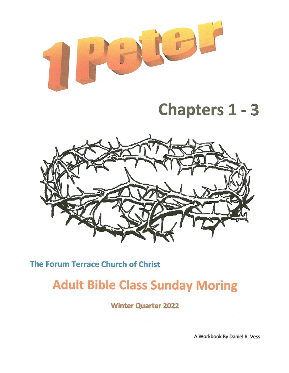

# **Chapters 1 - 3**



The Forum Terrace Church of Christ

## **Adult Bible Class Sunday Moring**

**Winter Quarter 2022** 

A Workbook By Daniel R. Vess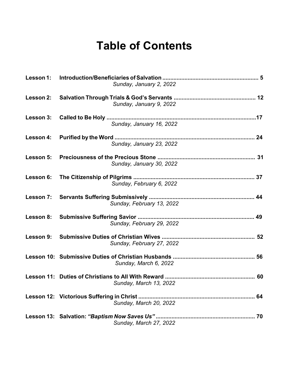## **Table of Contents**

|           | Sunday, January 2, 2022   |  |
|-----------|---------------------------|--|
| Lesson 2: | Sunday, January 9, 2022   |  |
| Lesson 3: | Sunday, January 16, 2022  |  |
| Lesson 4: | Sunday, January 23, 2022  |  |
|           | Sunday, January 30, 2022  |  |
| Lesson 6: | Sunday, February 6, 2022  |  |
| Lesson 7: | Sunday, February 13, 2022 |  |
|           | Sunday, February 29, 2022 |  |
|           | Sunday, February 27, 2022 |  |
|           | Sunday, March 6, 2022     |  |
|           | Sunday, March 13, 2022    |  |
|           | Sunday, March 20, 2022    |  |
|           | Sunday, March 27, 2022    |  |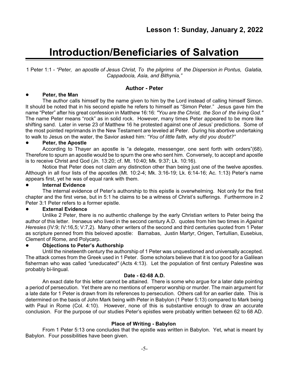## **Introduction/Beneficiaries of Salvation**

1 Peter 1:1 - *"Peter, an apostle of Jesus Christ, To the pilgrims of the Dispersion in Pontus, Galatia, Cappadocia, Asia, and Bithynia,"*

#### **Author - Peter**

#### ! **Peter, the Man**

The author calls himself by the name given to him by the Lord instead of calling himself Simon. It should be noted that in his second epistle he refers to himself as "Simon Peter." Jesus gave him the name "Peter" after his great confession in Matthew 16:16: *"You are the Christ, the Son of the living God."* The name Peter means "rock" as in solid rock. However, many times Peter appeared to be more like shifting sand. Later in verse 23 of Matthew 16 he protested against one of Jesus' predictions. Some of the most pointed reprimands in the New Testament are leveled at Peter. During his abortive undertaking to walk to Jesus on the water, the Savior asked him*: "You of little faith, why did you doubt?"*

#### ! **Peter, the Apostle**

According to Thayer an apostle is "a delegate, messenger, one sent forth with orders"(68). Therefore to spurn an apostle would be to spurn the one who sent him. Conversely, to accept and apostle is to receive Christ and God (Jn. 13:20; cf. Mt. 10:40; Mk. 9:37; Lk. 10:16).

Notice that Peter does not claim any distinction other than being just one of the twelve apostles. Although in all four lists of the apostles (Mt. 10:2-4; Mk. 3:16-19; Lk. 6:14-16; Ac. 1:13) Peter's name appears first, yet he was of equal rank with them.

#### ! **Internal Evidence**

The internal evidence of Peter's authorship to this epistle is overwhelming. Not only for the first chapter and the first verse, but in 5:1 he claims to be a witness of Christ's sufferings. Furthermore in 2 Peter 3:1 Peter refers to a former epistle.

#### ! **External Evidence**

Unlike 2 Peter, there is no authentic challenge by the early Christian writers to Peter being the author of this letter. Irenaeus who lived in the second century A.D. quotes from him two times in *Against Heresies* (IV:9; IV:16,5; V:7,2). Many other writers of the second and third centuries quoted from 1 Peter as scripture penned from this beloved apostle: Barnabas, Justin Martyr, Origen, Tertullian, Eusebius, Clement of Rome, and Polycarp.

#### ! **Objections to Peter's Authorship**

Until the nineteenth century the authorship of 1 Peter was unquestioned and universally accepted. The attack comes from the Greek used in 1 Peter. Some scholars believe that it is too good for a Galilean fisherman who was called *"uneducated"* (Acts 4:13). Let the population of first century Palestine was probably bi-lingual.

#### **Date - 62-68 A.D.**

An exact date for this letter cannot be attained. There is some who argue for a later date pointing a period of persecution. Yet there are no mentions of emperor worship or murder. The main argument for a late date for 1 Peter is drawn from its references to persecution. Others call for an earlier date. This is determined on the basis of John Mark being with Peter in Babylon (1 Peter 5:13) compared to Mark being with Paul in Rome (Col. 4:10). However, none of this is substantive enough to draw an accurate conclusion. For the purpose of our studies Peter's epistles were probably written between 62 to 68 AD.

#### **Place of Writing - Babylon**

From 1 Peter 5:13 one concludes that the epistle was written in Babylon. Yet, what is meant by Babylon. Four possibilities have been given.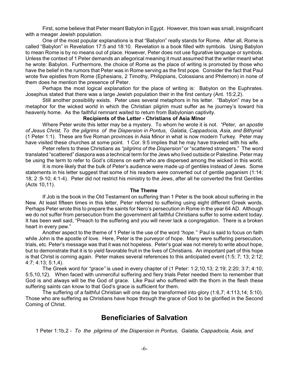First, some believe that Peter meant Babylon in Egypt. However, this town was small, insignificant with a meager Jewish population.

One of the most popular explanations is that "Babylon" really stands for Rome. After all, Rome is called "Babylon" in Revelation 17:5 and 18:10. Revelation is a book filled with symbols. Using Babylon to mean Rome is by no means out of place. However, Peter does not use figurative language or symbols. Unless the context of 1 Peter demands an allegorical meaning it must assumed that the writer meant what he wrote: Babylon. Furthermore, the choice of Rome as the place of writing is promoted by those who have the belief in the rumors that Peter was in Rome serving as the first pope. Consider the fact that Paul wrote five epistles from Rome (Ephesians, 2 Timothy, Philippians, Colossians and Philemon) in none of them does he mention the presence of Peter.

Perhaps the most logical explanation for the place of writing is: Babylon on the Euphrates. Josephus stated that there was a large Jewish population their in the first century (Ant. 15:2,2).

Still another possibility exists. Peter uses several metaphors in his letter. "Babylon" may be a metaphor for the wicked world in which the Christian pilgrim must suffer as he journey's toward his heavenly home. As the faithful remnant waited to return from Babylonian captivity.

#### **Recipients of the Letter - Christians of Asia Minor**

Where Peter wrote this letter may be a mystery. To whom he wrote it is not. *"Peter, an apostle of Jesus Christ, To the pilgrims of the Dispersion in Pontus, Galatia, Cappadocia, Asia, and Bithynia"* (1 Peter 1:1). These are five Roman provinces in Asia Minor in what is now modern Turkey. Peter may have visited these churches at some point. 1 Cor. 9:5 implies that he may have traveled with his wife.

Peter refers to these Christians as *"pilgrims of the Dispersion"* or "scattered strangers." The word translated "scattered" diaspora was a technical term for the Jews who lived outside or Palestine. Peter may be using the term to refer to God's citizens on earth who are dispersed among the wicked in this world.

It is more likely that the bulk of Peter's audience were made up of gentiles instead of Jews. Some statements in his letter suggest that some of his readers were converted out of gentile paganism (1:14; 18; 2 :9-10; 4:1-4). Peter did not restrict his ministry to the Jews, after all he converted the first Gentiles (Acts 10,11).

#### **The Theme**

If Job is the book in the Old Testament on suffering than 1 Peter is the book about suffering in the New. At least fifteen times in this letter, Peter referred to suffering using eight different Greek words. Perhaps Peter wrote this to prepare the saints for Nero's persecution in Rome in the year 64 AD. Although we do not suffer from persecution from the government all faithful Christians suffer to some extent today. It has been well said, "Preach to the suffering and you will never lack a congregation. There is a broken heart in every pew."

Another aspect to the theme of 1 Peter is the use of the word *"hope."* Paul is said to focus on faith while John is the apostle of love. Here, Peter is the purveyor of hope. Many were suffering persecution, trials, etc. Peter's message was that it was not hopeless. Peter's goal was not merely to write about hope, but to demonstrate that it is to yield favorable fruit in the lives of Christians. An important part of this hope is that Christ is coming again. Peter makes several references to this anticipated event (1:5; 7; 13; 2:12; 4:7; 4:13; 5:1,4).

The Greek word for *"grace"* is used in every chapter of (1 Peter: 1:2,10,13; 2:19; 2:20; 3:7; 4:10; 5:5,10,12). When faced with unmerciful suffering and fiery trials Peter needed them to remember that God is and always will be the God of grace. Like Paul who suffered with the thorn in the flesh these suffering saints can know to that God's grace is sufficient for them.

The suffering of a faithful Christian will one day be transformed into glory (1:6,7; 4:113,14; 5:10). Those who are suffering as Christians have hope through the grace of God to be glorified in the Second Coming of Christ.

### **Beneficiaries of Salvation**

1 Peter 1:1b,2 - *To the pilgrims of the Dispersion in Pontus, Galatia, Cappadocia, Asia, and*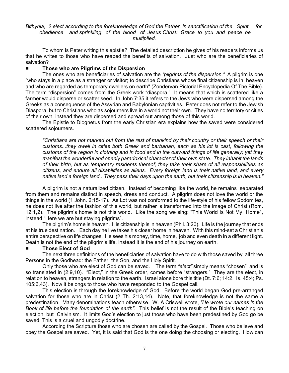#### *Bithynia, 2 elect according to the foreknowledge of God the Father, in sanctification of the Spirit, for obedience and sprinkling of the blood of Jesus Christ: Grace to you and peace be multiplied.*

To whom is Peter writing this epistle? The detailed description he gives of his readers informs us that he writes to those who have reaped the benefits of salvation. Just who are the beneficiaries of salvation?

#### # **Those who are Pilgrims of the Dispersion**

The ones who are beneficiaries of salvation are the *"pilgrims of the dispersion."* A pilgrim is one "who stays in a place as a stranger or visitor; to describe Christians whose final citizenship is in heaven and who are regarded as temporary dwellers on earth" (Zondervan Pictorial Encyclopedia Of The Bible). The term "dispersion" comes from the Greek work "diaspora." It means that which is scattered like a farmer would disperse or scatter seed. In John 7:35 it refers to the Jews who were dispersed among the Greeks as a consequence of the Assyrian and Babylonian captivities. Peter does not refer to the Jewish Diaspora, but to Christians who as sojourners live in a world not their own. They have no territory or cities of their own, instead they are dispersed and spread out among those of this world.

The Epistle to Diognetus from the early Christian era explains how the saved were considered scattered sojourners.

*"Christians are not marked out from the rest of mankind by their country or their speech or their customs...they dwell in cities both Greek and barbarian, each as his lot is cast, following the customs of the region in clothing and in food and in the outward things of life generally; yet they manifest the wonderful and openly paradoxical character of their own state. They inhabit the lands of their birth, but as temporary residents thereof; they take their share of all responsibilities as citizens, and endure all disabilities as aliens. Every foreign land is their native land, and every native land a foreign land...They pass their days upon the earth, but their citizenship is in heaven."*

A pilgrim is not a naturalized citizen. Instead of becoming like the world, he remains separated from them and remains distinct in speech, dress and conduct. A pilgrim does not love the world or the things in the world (1 John. 2:15-17). As Lot was not conformed to the life-style of his fellow Sodomites, he does not live after the fashion of this world, but rather is transformed into the image of Christ (Rom. 12:1,2). The pilgrim's home is not this world. Like the song we sing: "This World Is Not My Home", instead "Here we are but staying pilgrims".

The pilgrim's home is heaven. His citizenship is in heaven (Phil. 3:20). Life is the journey that ends at his true destination. Each day he live takes his closer home in heaven. With this mind-set a Christian's entire perspective on life changes. He sees his money, time, home, job and even death in a different light. Death is not the end of the pilgrim's life, instead it is the end of his journey on earth.

#### # **Those Elect of God**

The next three definitions of the beneficiaries of salvation have to do with those saved by all three Persons in the Godhead: the Father, the Son, and the Holy Spirit.

Only those who are elect of God can be saved. The term *"elect"* simply means "chosen" and is so translated in (2:9,10). "Elect," in the Greek order, comes before "strangers." They are the elect, in relation to heaven, strangers in relation to the earth. Israel alone bore this title (Dt. 7:6; 14:2. Is. 45:4; Ps. 105:6,43). Now it belongs to those who have responded to the Gospel call.

This election is through the foreknowledge of God. Before the world began God pre-arranged salvation for those who are in Christ (2 Th. 2:13,14). Note, that foreknowledge is not the same a predestination. Many denominations teach otherwise. W. A Criswell wrote, *"He wrote our names in the Book of life before the foundation of the earth".* This belief is not the result of the Bible's teaching on election, but Calvinism. It limits God's election to just those who have been predestined by God go be saved. This is a cruel and ungodly doctrine.

According the Scripture those who are chosen are called by the Gospel. Those who believe and obey the Gospel are saved. Yet, it is said that God is the one doing the choosing or electing. How can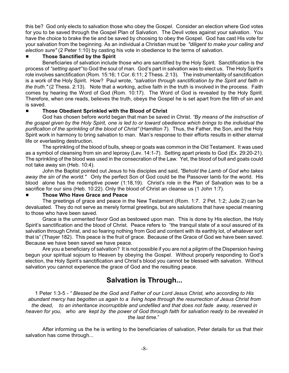this be? God only elects to salvation those who obey the Gospel. Consider an election where God votes for you to be saved through the Gospel Plan of Salvation. The Devil votes against your salvation. You have the choice to brake the tie and be saved by choosing to obey the Gospel. God has cast His vote for your salvation from the beginning. As an individual a Christian must be *"diligent to make your calling and election sure"* (2 Peter 1:10) by casting his vote in obedience to the terms of salvation.

#### # **Those Sanctified by the Spirit**

Beneficiaries of salvation include those who are sanctified by the Holy Spirit. Sanctification is the process of *"setting apart"* to God the soul of man. God's part in salvation was to elect us. The Holy Spirit's role involves sanctification (Rom. 15:16; 1 Cor. 6:11; 2 Thess. 2:13). The instrumentality of sanctification is a work of the Holy Spirit. How? Paul wrote, *"salvation through sanctification by the Spirit and faith in the truth."* (2 Thess. 2:13). Note that a working, active faith in the truth is involved in the process. Faith comes by hearing the Word of God (Rom. 10:17). The Word of God is revealed by the Holy Spirit. Therefore, when one reads, believes the truth, obeys the Gospel he is set apart from the filth of sin and is saved.

#### # **Those Obedient Sprinkled with the Blood of Christ**

God has chosen before world began that man be saved in Christ. *"By means of the instruction of the gospel given by the Holy Spirit, one is led to or toward obedience which brings to the individual the purification of the sprinkling of the blood of Christ"* (Hamilton 7). Thus, the Father, the Son, and the Holy Spirit work in harmony to bring salvation to man. Man's response to their efforts results in either eternal life or everlasting destruction.

The sprinkling of the blood of bulls, sheep or goats was common in the Old Testament. It was used as a symbol of cleansing from sin and leprosy (Lev. 14:1-7). Setting apart priests to God (Ex. 29:20-21). The sprinkling of the blood was used in the consecration of the Law. Yet, the blood of bull and goats could not take away sin (Heb. 10:4).

John the Baptist pointed out Jesus to his disciples and said, *"Behold the Lamb of God who takes away the sin of the world."* Only the perfect Son of God could be the Passover lamb for the world. His blood alone has the redemptive power (1:18,19). Christ's role in the Plan of Salvation was to be a sacrifice for our sins (Heb. 10:22). Only the blood of Christ an cleanse us (1 John 1:7).

#### # **Those Who Have Grace and Peace**

The greetings of grace and peace in the New Testament (Rom. 1:7. 2 Pet. 1:2; Jude 2) can be devaluated. They do not serve as merely formal greetings, but are salutations that have special meaning to those who have been saved.

Grace is the unmerited favor God as bestowed upon man. This is done by His election, the Holy Spirit's sanctification and the blood of Christ. Peace refers to "the tranquil state of a soul assured of its salvation through Christ, and so fearing nothing from God and content with its earthly lot, of whatever sort that is" (Thayer 182). This peace is the fruit of grace. Because of the Grace of God we have been saved. Because we have been saved we have peace.

Are you a beneficiary of salvation? It is not possible if you are not a pilgrim of the Dispersion having begun your spiritual sojourn to Heaven by obeying the Gospel. Without properly responding to God's election, the Holy Spirit's sanctification and Christ's blood you cannot be blessed with salvation. Without salvation you cannot experience the grace of God and the resulting peace.

## **Salvation is Through...**

1 Peter 1:3-5 *- " Blessed be the God and Father of our Lord Jesus Christ, who according to His abundant mercy has begotten us again to a living hope through the resurrection of Jesus Christ from the dead, to an inheritance incorruptible and undefiled and that does not fade away, reserved in heaven for you, who are kept by the power of God through faith for salvation ready to be revealed in the last time.*"

After informing us the he is writing to the beneficiaries of salvation, Peter details for us that their salvation has come through...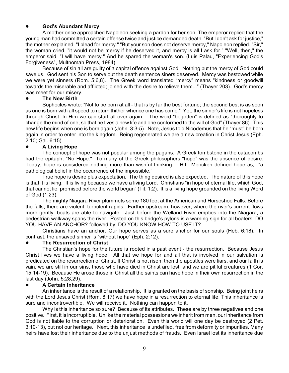#### ! **God's Abundant Mercy**

A mother once approached Napoleon seeking a pardon for her son. The emperor replied that the young man had committed a certain offense twice and justice demanded death. "But I don't ask for justice," the mother explained. "I plead for mercy." "But your son does not deserve mercy," Napoleon replied. "Sir," the woman cried, "it would not be mercy if he deserved it, and mercy is all I ask for." "Well, then," the emperor said, "I will have mercy." And he spared the woman's son. (Luis Palau, "Experiencing God's Forgiveness", Multnomah Press, 1984).

Because of sin all are guilty of a capital offence against God. Nothing but the mercy of God could save us. God sent his Son to serve out the death sentence siners deserved. Mercy was bestowed while we were yet sinners (Rom. 5:6,8). The Greek word translated "mercy" means "kindness or goodwill towards the miserable and afflicted; joined with the desire to relieve them..." (Thayer 203). God's mercy was meet for our misery.

#### ! **The New Birth**

Sophocles wrote: "Not to be born at all - that is by far the best fortune; the second best is as soon as one is born with all speed to return thither whence one has come." Yet, the sinner's life is not hopeless through Christ. In Him we can start all over again. The word "begotten" is defined as "thoroughly to change the mind of one, so that he lives a new life and one conformed to the will of God" (Thayer 86). This new life begins when one is born again (John. 3:3-5). Note, Jesus told Nicodemus that he "must" be born again in order to enter into the kingdom. Being regenerated we are a new creation in Christ Jesus (Eph. 2:10; Gal. 6:15).

#### ! **A Living Hope**

The concept of hope was not popular among the pagans. A Greek tombstone in the catacombs had the epitaph, "No Hope." To many of the Greek philosophers "hope" was the absence of desire. Today, hope is considered nothing more than wishful thinking. H.L. Mencken defined hope as, "a pathological belief in the occurrence of the impossible."

True hope is desire plus expectation. The thing desired is also expected. The nature of this hope is that it is living. It is living because we have a living Lord. Christians "in hope of eternal life, which God, that cannot lie, promised before the world began" (Tit. 1:2). It is a living hope grounded on the living Word of God (1:23).

The mighty Niagara River plummets some 180 feet at the American and Horseshoe Falls. Before the falls, there are violent, turbulent rapids. Farther upstream, however, where the river's current flows more gently, boats are able to navigate. Just before the Welland River empties into the Niagara, a pedestrian walkway spans the river. Posted on this bridge's pylons is a warning sign for all boaters: DO YOU HAVE AN ANCHOR? followed by: DO YOU KNOW HOW TO USE IT?

Christians have an anchor. Our hope serves as a sure anchor for our souls (Heb. 6:18). In contrast, the unsaved sinner is "without hope" (Eph. 2:12).

#### ! **The Resurrection of Christ**

The Christian's hope for the future is rooted in a past event - the resurrection. Because Jesus Christ lives we have a living hope. All that we hope for and all that is involved in our salvation is predicated on the resurrection of Christ. If Christ is not risen, then the apostles were liars, and our faith is vain, we are still in our sins, those who have died in Christ are lost, and we are pitiful creatures (1 Cor. 15:14-19). Because He arose those in Christ all the saints can have hope in their own resurrection in the last day (John. 5:28,29).

#### ! **A Certain Inheritance**

An inheritance is the result of a relationship. It is granted on the basis of sonship. Being joint heirs with the Lord Jesus Christ (Rom. 8:17) we have hope in a resurrection to eternal life. This inheritance is sure and incontrovertible. We will receive it. Nothing can happen to it.

Why is this inheritance so sure? Because of its attributes. These are by three negatives and one positive. First, it is incorruptible. Unlike the material possessions we inherit from men, our inheritance from God is not liable to the corruption or deterioration. Even this world will one day be destroyed (2 Pet. 3:10-13), but not our heritage. Next, this inheritance is undefiled, free from deformity or impurities. Many heirs have lost their inheritance due to the unjust methods of frauds. Even Israel lost its inheritance due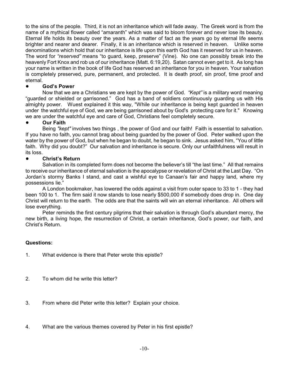to the sins of the people. Third, it is not an inheritance which will fade away. The Greek word is from the name of a mythical flower called "amaranth" which was said to bloom forever and never lose its beauty. Eternal life holds its beauty over the years. As a matter of fact as the years go by eternal life seems brighter and nearer and dearer. Finally, it is an inheritance which is reserved in heaven. Unlike some denominations which hold that our inheritance is life upon this earth God has it reserved for us in heaven. The word for *"reserved"* means "to guard, keep, preserve" (Vine). No one can possibly break into the heavenly Fort Knox and rob us of our inheritance (Matt. 6:19,20). Satan cannot even get to it. As long has your name is written in the book of life God has reserved an inheritance for you in heaven. Your salvation is completely preserved, pure, permanent, and protected. It is death proof, sin proof, time proof and eternal.

#### ! **God's Power**

Now that we are a Christians we are kept by the power of God. *"Kept"* is a military word meaning "guarded or shielded or garrisoned." God has a band of soldiers continuously guarding us with His almighty power. Wuest explained it this way, "While our inheritance is being kept guarded in heaven under the watchful eye of God, we are being garrisoned about by God's protecting care for it." Knowing we are under the watchful eye and care of God, Christians feel completely secure.

#### ! **Our Faith**

Being *"kept"* involves two things, the power of God and our faith! Faith is essential to salvation. If you have no faith, you cannot brag about being guarded by the power of God. Peter walked upon the water by the power of God, but when he began to doubt, he began to sink. Jesus asked him, "You of little faith. Why did you doubt?" Our salvation and inheritance is secure. Only our unfaithfulness will result in its loss.

#### ! **Christ's Return**

Salvation in its completed form does not become the believer's till "the last time." All that remains to receive our inheritance of eternal salvation is the apocalypse or revelation of Christ at the Last Day. "On Jordan's stormy Banks I stand, and cast a wishful eye to Canaan's fair and happy land, where my possessions lie."

A London bookmaker, has lowered the odds against a visit from outer space to 33 to 1 - they had been 100 to 1. The firm said it now stands to lose nearly \$500,000 if somebody does drop in. One day Christ will return to the earth. The odds are that the saints will win an eternal inheritance. All others will lose everything.

Peter reminds the first century pilgrims that their salvation is through God's abundant mercy, the new birth, a living hope, the resurrection of Christ, a certain inheritance, God's power, our faith, and Christ's Return.

#### **Questions:**

- 1. What evidence is there that Peter wrote this epistle?
- 2. To whom did he write this letter?
- 3. From where did Peter write this letter? Explain your choice.
- 4. What are the various themes covered by Peter in his first epistle?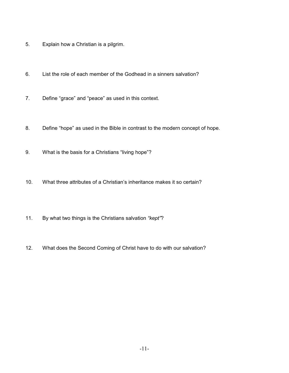- 5. Explain how a Christian is a pilgrim.
- 6. List the role of each member of the Godhead in a sinners salvation?
- 7. Define "grace" and "peace" as used in this context.
- 8. Define "hope" as used in the Bible in contrast to the modern concept of hope.
- 9. What is the basis for a Christians "living hope"?
- 10. What three attributes of a Christian's inheritance makes it so certain?
- 11. By what two things is the Christians salvation *"kept"*?
- 12. What does the Second Coming of Christ have to do with our salvation?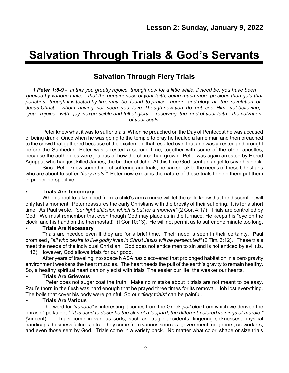## **Salvation Through Trials & God's Servants**

## **Salvation Through Fiery Trials**

*1 Peter 1:6-9* - *In this you greatly rejoice, though now for a little while, if need be, you have been grieved by various trials, that the genuineness of your faith, being much more precious than gold that perishes, though it is tested by fire, may be found to praise, honor, and glory at the revelation of Jesus Christ, whom having not seen you love. Though now you do not see Him, yet believing, you rejoice with joy inexpressible and full of glory, receiving the end of your faith-- the salvation of your souls.*

Peter knew what it was to suffer trials. When he preached on the Day of Pentecost he was accused of being drunk. Once when he was going to the temple to pray he healed a lame man and then preached to the crowd that gathered because of the excitement that resulted over that and was arrested and brought before the Sanhedrin. Peter was arrested a second time, together with some of the other apostles, because the authorities were jealous of how the church had grown. Peter was again arrested by Herod Agrippa, who had just killed James, the brother of John. At this time God sent an angel to save his neck.

Since Peter knew something of suffering and trials, he can speak to the needs of these Christians who are about to suffer *"fiery trials."* Peter now explains the nature of these trials to help them put them in proper perspective.

#### < **Trials Are Temporary**

When about to take blood from a child's arm a nurse will let the child know that the discomfort will only last a moment. Peter reassures the early Christians with the brevity of their suffering. It is for a short time. As Paul wrote, *"our light affliction which is but for a moment"* (2 Cor. 4:17). Trials are controlled by God. We must remember that even though God may place us in the furnace, He keeps his "eye on the clock, and his hand on the thermostat!!" (I Cor 10:13). He will not permit us to suffer one minute too long.

#### < **Trials Are Necessary**

Trials are needed even if they are for a brief time. Their need is seen in their certainty. Paul promised **,** *"all who desire to live godly lives in Christ Jesus will be persecuted"* (2 Tim. 3:12). These trials meet the needs of the individual Christian. God does not entice men to sin and is not enticed by evil (Js. 1:13). However, God allows trials for our good.

After years of traveling into space NASA has discovered that prolonged habitation in a zero gravity environment weakens the heart muscles. The heart needs the pull of the earth's gravity to remain healthy. So, a healthy spiritual heart can only exist with trials. The easier our life, the weaker our hearts.

#### < **Trials Are Grievous**

Peter does not sugar coat the truth. Make no mistake about it trials are not meant to be easy. Paul's thorn in the flesh was hard enough that he prayed three times for its removal. Job lost everything. The boils that cover his body were painful. So our *"fiery trials"* can be painful.

#### < **Trials Are Various**

The word for *"various"* is interesting it comes from the Greek *poikolos* from which we derived the phrase " polka dot." *"It is used to describe the skin of a leopard, the different-colored veinings of marble." (*Vincent). Trials come in various sorts, such as, tragic accidents, lingering sicknesses, physical handicaps, business failures, etc. They come from various sources: government, neighbors, co-workers, and even those sent by God. Trials come in a variety pack. No matter what color, shape or size trials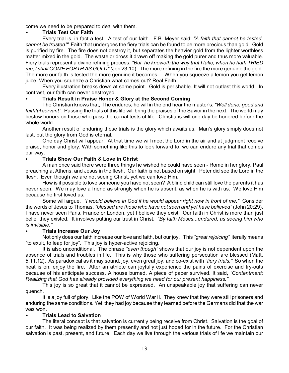come we need to be prepared to deal with them.

#### < **Trials Test Our Faith**

Every trial is, in fact a test. A test of our faith. F.B. Meyer said: *"A faith that cannot be tested, cannot be trusted!"* Faith that undergoes the fiery trials can be found to be more precious than gold. Gold is purified by fire. The fire does not destroy it, but separates the heavier gold from the lighter worthless matter mixed in the gold. The waste or dross it drawn off making the gold purer and thus more valuable. Fiery trials represent a divine refining process. *"But, he knoweth the way that I take; when he hath TRIED me, I shall COME FORTH AS GOLD" (*Job 23:10). The more refining in the fire the more genuine the gold. The more our faith is tested the more genuine it becomes. When you squeeze a lemon you get lemon juice. When you squeeze a Christian what comes out? Real Faith.

Every illustration breaks down at some point. Gold is perishable. It will not outlast this world. In contrast, our faith can never destroyed.

#### < **Trials Result in Praise Honor & Glory at the Second Coming**

The Christian knows that, if he endures, he will in the end hear the master's, *"Well done, good and faithful servant".* Passing the trials of this life will bring the praises of the Savior in the next. The world may bestow honors on those who pass the carnal tests of life. Christians will one day be honored before the whole world.

Another result of enduring these trials is the glory which awaits us. Man's glory simply does not last, but the glory from God is eternal.

One day Christ will appear. At that time we will meet the Lord in the air and at judgment receive praise, honor and glory. With something like this to look forward to, we can endure any trial that comes our way.

#### < **Trials Show Our Faith & Love in Christ**

A man once said there were three things he wished he could have seen - Rome in her glory, Paul preaching at Athens, and Jesus in the flesh. Our faith is not based on sight. Peter did see the Lord in the flesh. Even though we are not seeing Christ, yet we can love Him.

How is it possible to love someone you have not seen? A blind child can still love the parents it has never seen. We may love a friend as strongly when he is absent, as when he is with us. We love Him because he first loved us.

Some will argue, *"I would believe in God if he would appear right now in front of me."* Consider the words of Jesus to Thomas, *"blessed are those who have not seen and yet have believed"* (John 20:29). I have never seen Paris, France or London, yet I believe they exist. Our faith in Christ is more than just belief they existed. It involves putting our trust in Christ. *"By faith Moses...endured, as seeing him who is invisible."*

#### < **Trials Increase Our Joy**

Not only does our faith increase our love and faith, but our joy. This *"great rejoicing"* literally means "to exult, to leap for joy". This joy is hyper-active rejoicing.

It is also unconditional. The phrase *"even though"* shows that our joy is not dependent upon the absence of trials and troubles in life. This is why those who suffering persecution are blessed (Matt. 5:11,12). As paradoxical as it may sound, joy, even great joy, and co-exist with *"fiery trials."* So when the heat is on, enjoy the fire. After an athlete can joyfully experience the pains of exercise and try-outs because of his anticipate success. A house burned. A piece of paper survived. It said, *"Contentment: Realizing that God has already provided everything we need for our present happiness."*

This joy is so great that it cannot be expressed. An unspeakable joy that suffering can never quench.

It is a joy full of glory. Like the POW of World War II. They knew that they were still prisoners and enduring the same conditions. Yet they had joy because they learned before the Germans did that the war was won.

#### < **Trials Lead to Salvation**

The literal concept is that salvation is currently being receive from Christ. Salvation is the goal of our faith. It was being realized by them presently and not just hoped for in the future. For the Christian salvation is past, present, and future. Each day we live through the various trials of life we maintain our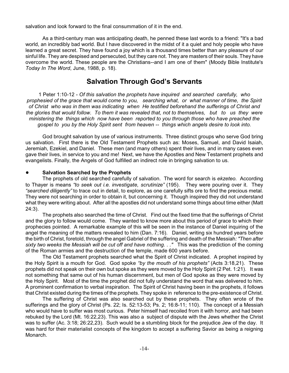salvation and look forward to the final consummation of it in the end.

As a third-century man was anticipating death, he penned these last words to a friend: "It's a bad world, an incredibly bad world. But I have discovered in the midst of it a quiet and holy people who have learned a great secret. They have found a joy which is a thousand times better than any pleasure of our sinful life. They are despised and persecuted, but they care not. They are masters of their souls. They have overcome the world. These people are the Christians--and I am one of them" (Moody Bible Institute's *Today In The Word*, June, 1988, p. 18).

### **Salvation Through God's Servants**

1 Peter 1:10-12 - *Of this salvation the prophets have inquired and searched carefully, who prophesied of the grace that would come to you, searching what, or what manner of time, the Spirit of Christ who was in them was indicating when He testified beforehand the sufferings of Christ and the glories that would follow. To them it was revealed that, not to themselves, but to us they were ministering the things which now have been reported to you through those who have preached the gospel to you by the Holy Spirit sent from heaven -- things which angels desire to look into.*

God brought salvation by use of various instruments. Three distinct groups who serve God bring us salvation. First there is the Old Testament Prophets such as: Moses, Samuel, and David Isaiah, Jeremiah, Ezekiel, and Daniel. These men (and many others) spent their lives, and in many cases even gave their lives, in service to you and me! Next, we have the Apostles and New Testament prophets and evangelists. Finally, the Angels of God fulfilled an indirect role in bringing salvation to us.

#### ! **Salvation Searched by the Prophets**

The prophets of old searched carefully of salvation. The word for search is *ekzeteo.* According to Thayer is means *"to seek out i.e. investigate, scrutinize"* (195). They were pouring over it. They *"searched diligently"* to trace out in detail, to explore, as one carefully sifts ore to find the precious metal. They were not searching in order to obtain it, but concerning it. Though inspired they did not understand what they were writing about. After all the apostles did not understand some things about time either (Matt 24:3).

The prophets also searched the time of Christ. Find out the fixed time that the sufferings of Christ and the glory to follow would come. They wanted to know more about this period of grace to which their prophecies pointed. A remarkable example of this will be seen in the instance of Daniel inquiring of the angel the meaning of the matters revealed to him (Dan. 7:16). Daniel, writing six hundred years before the birth of Christ, foretold, through the angel Gabriel of the suffering and death of the Messiah*: "Then after sixty two weeks the Messiah will be cut off and have nothing. . ."* This was the prediction of the coming of the Roman armies and the destruction of the temple, made 600 years before.

The Old Testament prophets searched what the Spirit of Christ indicated. A prophet inspired by the Holy Spirit is a mouth for God. God spoke *"by the mouth of his prophets"* (Acts 3:18,21). These prophets did not speak on their own but spoke as they were moved by the Holy Spirit (2 Pet. 1:21). It was not something that same out of his human discernment, but men of God spoke as they were moved by the Holy Spirit. Most of the time the prophet did not fully understand the word that was delivered to him. A prominent confirmation to verbal inspiration. The Spirit of Christ having been in the prophets, it follows that Christ existed during the times of the prophets. They spoke in reference to the pre-existence of Christ.

The suffering of Christ was also searched out by these prophets. They often wrote of the sufferings and the glory of Christ (Ps. 22; Is. 52:13-53; Ps. 2; 16:8-11; 110). The concept of a Messiah who would have to suffer was most curious. Peter himself had recoiled from it with horror, and had been rebuked by the Lord (Mt. 16:22,23). This was also a subject of dispute with the Jews whether the Christ was to suffer (Ac. 3:18; 26:22,23). Such would be a stumbling block for the prejudice Jew of the day. It was hard for their materialist concepts of the kingdom to accept a suffering Savior as being a reigning Monarch.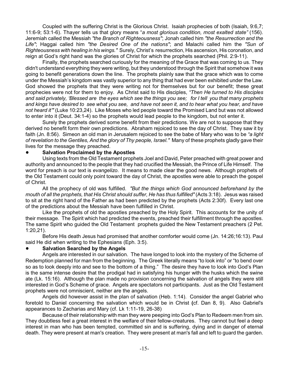Coupled with the suffering Christ is the Glorious Christ. Isaiah prophecies of both (Isaiah, 9:6,7; 11:6-9; 53:1-6). Thayer tells us that glory means "*a most glorious condition, most exalted state"* (156). Jeremiah called the Messiah *"the Branch of Righteousness"*; Jonah called him *"the Resurrection and the Life"*; Haggai called him *"the Desired One of the nations"*; and Malachi called him the *"Sun of Righteousness with healing in his wings."* Surely, Christ's resurrection, His ascension, His coronation, and reign at God's right hand was the glories of Christ for which the prophets searched (Phil. 2:9-11).

Finally, the prophets searched curiously for the meaning of the Grace that was coming to us. They didn't understand everything they were writing, but they understood through the Spirit that somehow it was going to benefit generations down the line. The prophets plainly saw that the grace which was to come under the Messiah's kingdom was vastly superior to any thing that had ever been exhibited under the Law. God showed the prophets that they were writing not for themselves but for our benefit; these great prophecies were not for them to enjoy. As Christ said to His disciples, *"Then He turned to His disciples and said privately, 'Blessed are the eyes which see the things you see; for I tell you that many prophets and kings have desired to see what you see, and have not seen it, and to hear what you hear, and have not heard it'"* (Luke 10:23,24). Like Moses who led people toward the Promised Land but was not allowed to enter into it (Deut. 34:1-4) so the prophets would lead people to the kingdom, but not enter it.

Surely the prophets derived some benefit from their predictions. We are not to suppose that they derived no benefit form their own predictions. Abraham rejoiced to see the day of Christ. They saw it by faith (Jn. 8:56). Simeon an old man in Jerusalem rejoiced to see the babe of Mary who was to be *"a light of revelation to the Gentiles, And the glory of Thy people, Israel."* Many of these prophets gladly gave their lives for the message they preached.

#### ! **Salvation Proclaimed by the Apostles**

Using texts from the Old Testament prophets Joel and David, Peter preached with great power and authority and announced to the people that they had crucified the Messiah, the Prince of Life Himself. The word for preach is our text is *evangelizo*. It means to made clear the good news. Although prophets of the Old Testament could only point toward the day of Christ, the apostles were able to preach the gospel of Christ.

All the prophecy of old was fulfilled. *"But the things which God announced beforehand by the mouth of all the prophets, that His Christ should suffer, He has thus fulfilled"* (Acts 3:18). Jesus was raised to sit at the right hand of the Father as had been predicted by the prophets (Acts 2:30f). Every last one of the predictions about the Messiah have been fulfilled in Christ.

Like the prophets of old the apostles preached by the Holy Spirit. This accounts for the unity of their message. The Spirit which had predicted the events, preached their fulfillment through the apostles. The same Spirit who guided the Old Testament prophets guided the New Testament preachers (2 Pet. 1:20,21).

Before His death Jesus had promised that another comforter would come (Jn. 14:26;16:13). Paul said He did when writing to the Ephesians (Eph. 3:5).

#### ! **Salvation Searched by the Angels**

Angels are interested in our salvation. The have longed to look into the mystery of the Scheme of Redemption planned for man from the beginning. The Greek literally means "to look into" or "to bend over so as to look deeply into and see to the bottom of a thing." The desire they have to look into God's Plan is the same intense desire that the prodigal had in satisfying his hunger with the husks which the swine ate (Lk. 15:16). Although the plan made no provision concerning the salvation of angels they were still interested in God's Scheme of grace. Angels are spectators not participants. Just as the Old Testament prophets were not omniscient, neither are the angels.

Angels did however assist in the plan of salvation (Heb. 1:14). Consider the angel Gabriel who foretold to Daniel concerning the salvation which would be in Christ **(**cf. Dan 8, 9). Also Gabriel's appearances to Zacharias and Mary (cf. Lk 1:11-19, 26-38)

Because of their relationship with man they were peeping into God's Plan to Redeem men from sin. They doubtless feel a great interest in the welfare of their fellow-creatures. They cannot but feel a deep interest in man who has been tempted, committed sin and is suffering, dying and in danger of eternal death. They were present at man's creation. They were present at man's fall and left to guard the garden.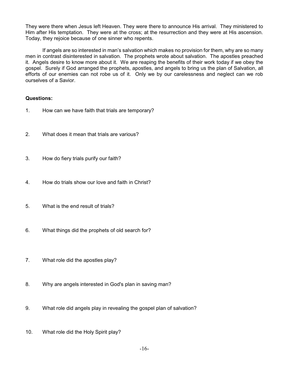They were there when Jesus left Heaven. They were there to announce His arrival. They ministered to Him after His temptation. They were at the cross; at the resurrection and they were at His ascension. Today, they rejoice because of one sinner who repents.

If angels are so interested in man's salvation which makes no provision for them, why are so many men in contrast disinterested in salvation. The prophets wrote about salvation. The apostles preached it. Angels desire to know more about it. We are reaping the benefits of their work today if we obey the gospel. Surely if God arranged the prophets, apostles, and angels to bring us the plan of Salvation, all efforts of our enemies can not robe us of it. Only we by our carelessness and neglect can we rob ourselves of a Savior.

#### **Questions:**

- 1. How can we have faith that trials are temporary?
- 2. What does it mean that trials are various?
- 3. How do fiery trials purify our faith?
- 4. How do trials show our love and faith in Christ?
- 5. What is the end result of trials?
- 6. What things did the prophets of old search for?
- 7. What role did the apostles play?
- 8. Why are angels interested in God's plan in saving man?
- 9. What role did angels play in revealing the gospel plan of salvation?
- 10. What role did the Holy Spirit play?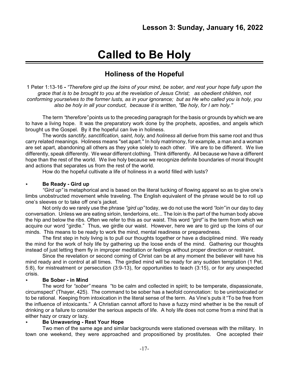## **Called to Be Holy**

## **Holiness of the Hopeful**

1 Peter 1:13-16 **-** *"Therefore gird up the loins of your mind, be sober, and rest your hope fully upon the grace that is to be brought to you at the revelation of Jesus Christ; as obedient children, not conforming yourselves to the former lusts, as in your ignorance; but as He who called you is holy, you also be holy in all your conduct, because it is written, "Be holy, for I am holy.''*

The term *"therefore"* points us to the preceding paragraph for the basis or grounds by which we are to have a living hope. It was the preparatory work done by the prophets, apostles, and angels which brought us the Gospel. By it the hopeful can live in holiness.

The words *sanctify, sanctification, saint, holy,* and *holiness* all derive from this same root and thus carry related meanings. Holiness means "set apart." In holy matrimony, for example, a man and a woman are set apart, abandoning all others as they yoke solely to each other. We are to be different. We live differently, speak differently. We wear different clothing. Think differently. All because we have a different hope than the rest of the world. We live holy because we recognize definite boundaries of moral thought and actions that separates us from the rest of the world.

How do the hopeful cultivate a life of holiness in a world filled with lusts?

#### < **Be Ready - Gird up**

*"Gird up"* is metaphorical and is based on the literal tucking of flowing apparel so as to give one's limbs unobstructed movement while traveling. The English equivalent of the phrase would be to roll up one's sleeves or to take off one's jacket.

Not only do we rarely use the phrase *"gird up"* today, we do not use the word *"loin"* in our day to day conversation. Unless we are eating sirloin, tenderloins, etc... The loin is the part of the human body above the hip and below the ribs. Often we refer to this as our waist. This word *"gird"* is the term from which we acquire our word "girdle." Thus, we girdle our waist. However, here we are to gird up the loins of our minds. This means to be ready to work the mind, mental readiness or preparedness.

The first step in holy living is to pull our thoughts together or have a disciplined mind. We ready the mind for the work of holy life by gathering up the loose ends of the mind. Gathering our thoughts instead of just letting them fly in improper meditation or feelings without proper direction or restraint.

Since the revelation or second coming of Christ can be at any moment the believer will have his mind ready and in control at all times. The girdled mind will be ready for any sudden temptation (1 Pet. 5:8), for mistreatment or persecution (3:9-13), for opportunities to teach (3:15), or for any unexpected crisis.

#### < **Be Sober - in Mind**

The word for *"sober"* means "to be calm and collected in spirit; to be temperate, dispassionate, circumspect" (Thayer, 425). The command to be sober has a twofold connotation: to be unintoxicated or to be rational. Keeping from intoxication in the literal sense of the term. As Vine's puts it "To be free from the influence of intoxicants." A Christian cannot afford to have a fuzzy mind whether is be the result of drinking or a failure to consider the serious aspects of life. A holy life does not come from a mind that is either hazy or crazy or lazy.

#### < **Be Unwavering - Rest Your Hope**

Two men of the same age and similar backgrounds were stationed overseas with the military. In town one weekend, they were approached and propositioned by prostitutes. One accepted their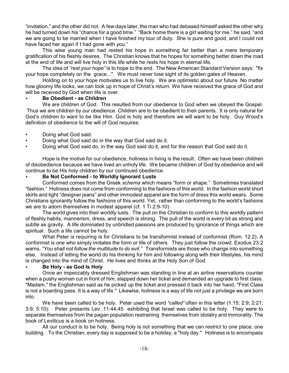"invitation," and the other did not. A few days later, the man who had debased himself asked the other why he had turned down his "chance for a good time." "Back home there is a girl waiting for me," he said, "and we are going to be married when I have finished my tour of duty. She is pure and good, and I could not have faced her again if I had gone with you."

This wise young man had rested his hope in something far better than a mere temporary gratification of his fleshly desires. The Christian knows that he hopes for something better down the road at the end of life and will live holy in this life while he rests his hope in eternal life.

The idea of *"rest your hope"* is to hope to the end. The New American Standard Version says: "fix your hope completely on the grace..." We must never lose sight of its golden gates of Heaven.

Holding on to your hope motivates us to live holy. We are optimistic about our future. No matter how gloomy life looks, we can look up in hope of Christ's return. We have received the grace of God and will be received by God when life is over.

#### < **Be Obedient - as Children**

We are children of God. This resulted from our obedience to God when we obeyed the Gospel. Thus we are children by our obedience. Children are to be obedient to their parents. It is only natural for God's children to want to be like Him. God is holy and therefore we will want to be holy. Guy Wood's definition of obedience to the will of God requires:

- Doing what God said.
- Doing what God said do in the way that God said do it.
- Doing what God said do, in the way God said do it, and for the reason that God said do it.

Hope is the motive for our obedience, holiness in living is the result. Often we have been children of disobedience because we have lived an unholy life. We became children of God by obedience and will continue to be His holy children by our continued obedience.

#### < **Be Not Conformed - to Worldly Ignorant Lusts**

Conformed comes from the Greek *schema* which means "form or shape." Sometimes translated "fashion." Holiness does not come from conforming to the fashions of this world. In the fashion world short skirts and tight "designer jeans" and other immodest apparel are the form of dress this world wears. Some Christians ignorantly follow the fashions of this world. Yet, rather than conforming to the world's fashions we are to adorn themselves in modest apparel (cf. 1 Ti 2:9-10).

The world gives into their worldly lusts. The pull on the Christian to conform to this worldly pattern of fleshly habits, mannerism, dress, and speech is strong. The pull of the world is every bit as strong and subtle as gravity. A life dominated by unbridled passions are produced by ignorance of things which are spiritual. Such a life cannot be holy.

What Peter is requiring is for Christians to be transformist instead of conformist (Rom. 12:2). A conformist is one who simply imitates the form or life of others. They just follow the crowd. Exodus 23:2 warns, *"You shall not follow the multitude to do evil."* Transformists are those who change into something else. Instead of letting the world do his thinking for him and following along with their lifestyles, his mind is changed into the mind of Christ. He lives and thinks at the Holy Son of God.

#### < **Be Holy - as God Is Holy**

Once an impeccably dressed Englishman was standing in line at an airline reservations counter when a pushy woman cut in front of him, slapped down her ticket and demanded an upgrade to first class. "Madam," the Englishman said as he picked up the ticket and pressed it back into her hand, "First Class is not a boarding pass. It is a way of life." Likewise, holiness is a way of life not just a privilege we are born into.

We have been called to be holy. Peter used the word *"called"* often in this letter (1:15; 2:9; 2:21; 3:9; 5:10). Peter presents Lev. 11:44,45 exhibiting that Israel was called to be holy. They were to separate themselves from the pagan population restraining themselves from idolatry and immorality. The book of Leviticus is a book on holiness.

All our conduct is to be holy. Being holy is not something that we can restrict to one place, one building. To the Christian, every day is supposed to be a holiday, a "holy day." Holiness is to encompass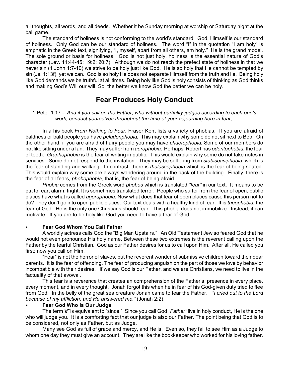all thoughts, all words, and all deeds. Whether it be Sunday morning at worship or Saturday night at the ball game.

The standard of holiness is not conforming to the world's standard. God, Himself is our standard of holiness. Only God can be our standard of holiness. The word "I" in the quotation "I am holy" is emphatic in the Greek text, signifying, "I, myself, apart from all others, am holy." He is the grand model. The sole ground or basis for holiness. God is not just holy, holiness is the essential nature of God's character (Lev. 11:44-45; 19:2; 20:7). Although we do not reach the prefect state of holiness in that we never sin (1 John 1:7-10) we strive to be holy just like God. He is so holy that He cannot be tempted by sin (Js. 1:13f), yet we can. God is so holy He does not separate Himself from the truth and lie. Being holy like God demands we be truthful at all times. Being holy like God is holy consists of thinking as God thinks and making God's Will our will. So, the better we know God the better we can be holy.

## **Fear Produces Holy Conduct**

1 Peter 1:17 - *And if you call on the Father, who without partiality judges according to each one's work, conduct yourselves throughout the time of your sojourning here in fear;*

In a his book *From Nothing to Fear*, Fraser Kent lists a variety of phobias. If you are afraid of baldness or bald people you have *peladonphobia.* This may explain why some do not sit next to Bob. On the other hand, if you are afraid of hairy people you may have *chaetophobia.* Some of our members do not like sitting under a fan. They may suffer from *aerophobia*. Perhaps, Robert has *odontophobia,* the fear of teeth. *Graphophobia* is the fear of writing in public. This would explain why some do not take notes in services. Some do not respond to the invitation. They may be suffering from *stabisbasiphobia*, which is the fear of standing and walking. In contrast, there is *thalassophobia* which is the fear of being seated. This would explain why some are always wandering around in the back of the building. Finally, there is the fear of all fears, *phobophobia,* that is, the fear of being afraid.

*Phobia* comes from the Greek word *phobos* which is translated *"fear"* in our text. It means to be put to fear, alarm, fright. It is sometimes translated terror. People who suffer from the fear of open, public places have what is called *agoraphobia*. Now what does that fear of open places cause this person not to do? They don't go into open public places. Our text deals with a healthy kind of fear. It is *theophobia,* the fear of God. He is the only one Christians should fear. This phobia does not immobilize. Instead, it can motivate. If you are to be holy like God you need to have a fear of God.

#### < **Fear God Whom You Call Father**

A worldly actress calls God the "Big Man Upstairs." An Old Testament Jew so feared God that he would not even pronounce His holy name. Between these two extremes is the reverent calling upon the Father by the fearful Christian. God as our Father desires for us to call upon Him. After all, He called you first; now you call on Him.

"Fear" is not the horror of slaves, but the reverent wonder of submissive children toward their dear parents. It is the fear of offending. The fear of producing anguish on the part of those we love by behavior incompatible with their desires. If we say God is our Father, and we are Christians, we need to live in the factuality of that avowal.

This fear is a reverence that creates an comprehension of the Father's presence in every place, every moment, and in every thought. Jonah forgot this when he in fear of his God-given duty tried to flee from God. In the belly of the great sea creature Jonah came to fear the Father. *"I cried out to the Lord because of my affliction, and He answered me."* (Jonah 2:2).

#### < **Fear God Who Is Our Judge**

The term*"if"* is equivalent to "since." Since you call God *"Father"* live in holy conduct, He is the one who will judge you. It is a comforting fact that our judge is also our Father. The point being that God is to be considered, not only as Father, but as Judge.

Many see God as full of grace and mercy, and He is. Even so, they fail to see Him as a Judge to whom one day they must give an account. They are like the bookkeeper who worked for his loving father.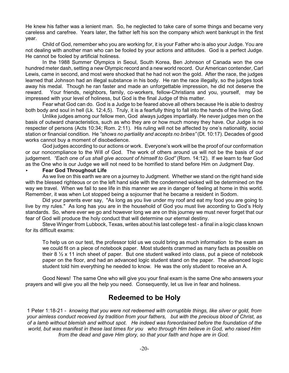He knew his father was a lenient man. So, he neglected to take care of some things and became very careless and carefree. Years later, the father left his son the company which went bankrupt in the first year.

Child of God, remember who you are working for, it is your Father who is also your Judge. You are not dealing with another man who can be fooled by your actions and attitudes. God is a perfect Judge. He cannot be fooled by artificial holiness.

In the 1988 Summer Olympics in Seoul, South Korea, Ben Johnson of Canada won the one hundred meter dash, setting a new Olympic record and a new world record. Our American contender, Carl Lewis, came in second, and most were shocked that he had not won the gold. After the race, the judges learned that Johnson had an illegal substance in his body. He ran the race illegally, so the judges took away his medal. Though he ran faster and made an unforgettable impression, he did not deserve the reward. Your friends, neighbors, family, co-workers, fellow-Christians and you, yourself, may be impressed with your level of holiness, but God is the final Judge of this matter.

Fear what God can do. God is a Judge to be feared above all others because He is able to destroy both body and soul in hell (Lk. 12:4,5). Truly, it is a fearfully thing to fall into the hands of the living God.

Unlike judges among our fellow men, God always judges impartially. He never judges men on the basis of outward characteristics, such as who they are or how much money they have. Our Judge is no respecter of persons (Acts 10:34; Rom. 2:11). His ruling will not be affected by one's nationality, social station or financial condition. He *"shows no partiality and accepts no bribes"* (Dt. 10:17). Decades of good works cannot buy a moment of disobedience.

God judges according to our actions or work. Everyone's work will be the proof of our conformation or our noncompliance to the Will of God. The work of others around us will not be the basis of our judgement. *"Each one of us shall give account of himself to God"* (Rom. 14:12). If we learn to fear God as the One who is our Judge we will not need to be horrified to stand before Him on Judgment Day.

#### < **Fear God Throughout Life**

As we live on this earth we are on a journey to Judgment. Whether we stand on the right hand side with the blessed righteous or on the left hand side with the condemned wicked will be determined on the way we travel. When we fail to see life in this manner we are in danger of feeling at home in this world. Remember, it was when Lot stopped being a sojourner that he became a resident in Sodom.

Did your parents ever say, "As long as you live under my roof and eat my food you are going to live by my rules." As long has you are in the household of God you must live according to God's Holy standards. So, where ever we go and however long we are on this journey we must never forget that our fear of God will produce the holy conduct that will determine our eternal destiny.

Steve Winger from Lubbock, Texas, writes about his last college test - a final in a logic class known for its difficult exams:

To help us on our test, the professor told us we could bring as much information to the exam as we could fit on a piece of notebook paper. Most students crammed as many facts as possible on their 8  $\frac{1}{2}$  x 11 inch sheet of paper. But one student walked into class, put a piece of notebook paper on the floor, and had an advanced logic student stand on the paper. The advanced logic student told him everything he needed to know. He was the only student to receive an A.

Good News! The same One who will give you your final exam is the same One who answers your prayers and will give you all the help you need. Consequently, let us live in fear and holiness.

### **Redeemed to be Holy**

1 Peter 1:18-21 - *knowing that you were not redeemed with corruptible things, like silver or gold, from your aimless conduct received by tradition from your fathers, but with the precious blood of Christ, as of a lamb without blemish and without spot. He indeed was foreordained before the foundation of the world, but was manifest in these last times for you who through Him believe in God, who raised Him from the dead and gave Him glory, so that your faith and hope are in God.*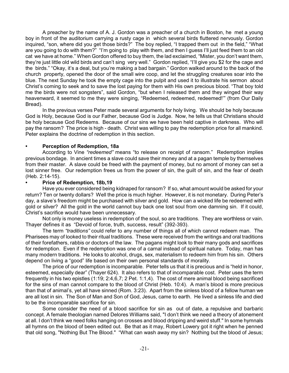A preacher by the name of A. J. Gordon was a preacher of a church in Boston, he met a young boy in front of the auditorium carrying a rusty cage in which several birds fluttered nervously. Gordon inquired, "son, where did you get those birds?" The boy replied, "I trapped them out in the field," "What are you going to do with them?" "I'm going to play with them, and then I guess I'll just feed them to an old cat we have at home." When Gordon offered to buy them, the lad exclaimed, "Mister, you don't want them, they're just little old wild birds and can't sing very well." Gordon replied, "I'll give you \$2 for the cage and the birds." "Okay, it's a deal, but you're making a bad bargain." Gordon walked around to the back of the church property, opened the door of the small wire coop, and let the struggling creatures soar into the blue. The next Sunday he took the empty cage into the pulpit and used it to illustrate his sermon about Christ's coming to seek and to save the lost paying for them with His own precious blood. "That boy told me the birds were not songsters", said Gordon, "but when I released them and they winged their way heavenward, it seemed to me they were singing, "Redeemed, redeemed, redeemed!'" (from Our Daily Bread).

In the previous verses Peter made several arguments for holy living. We should be holy because God is Holy, because God is our Father, because God is Judge. Now, he tells us that Christians should be holy because God Redeems. Because of our sins we have been held captive in darkness. Who will pay the ransom? The price is high - death. Christ was willing to pay the redemption price for all mankind. Peter explains the doctrine of redemption in this section.

#### **• Perception of Redemption, 18a**

According to Vine *"redeemed"* means "to release on receipt of ransom." Redemption implies previous bondage. In ancient times a slave could save their money and at a pagan temple by themselves from their master. A slave could be freed with the payment of money, but no amont of money can set a lost sinner free. Our redemption frees us from the power of sin, the guilt of sin, and the fear of death (Heb. 2:14-15).

#### **• Price of Redemption, 18b,19**

Have you ever considered being kidnaped for ransom? If so, what amount would be asked for your return? Ten or twenty dollars? Well the price is much higher. However, it is not monetary. During Peter's day, a slave's freedom might be purchased with silver and gold. How can a wicked life be redeemed with gold or silver? All the gold in the world cannot buy back one lost soul from one damning sin. If it could, Christ's sacrifice would have been unnecessary.

Not only is money useless in redemption of the soul, so are traditions. They are worthless or vain. Thayer defines it as "Devoid of force, truth, success, result" (392-393).

The term *"traditions"* could refer to any number of things all of which cannot redeem man. The Pharisees may of looked to their ritual traditions. These were received from the writings and oral traditions of their forefathers, rabbis or doctors of the law. The pagans might look to their many gods and sacrifices for redemption. Even if the redemption was one of a carnal instead of spiritual nature. Today, man has many modern traditions. He looks to alcohol, drugs, sex, materialism to redeem him from his sin. Others depend on living a "good" life based on their own personal standards of morality.

The price of our redemption is incomparable. Peter tells us that it is precious and is "held in honor, esteemed, especially dear" (Thayer 624). It also refers to that of incomparable cost. Peter uses the term frequently in his two epistles (1:19; 2:4,6,7; 2 Pet. 1:1,4). The cost of mere animal blood being sacrificed for the sins of man cannot compare to the blood of Christ (Heb. 10:4). A man's blood is more precious than that of animal's, yet all have sinned (Rom. 3:23). Apart from the sinless blood of a fellow human we are all lost in sin. The Son of Man and Son of God, Jesus, came to earth. He lived a sinless life and died to be the incomparable sacrifice for sin.

Some consider the need of a blood sacrifice for sin as out of date, a repulsive and barbaric concept. A female theologian named Delores Williams said, "I don't think we need a theory of atonement at all. I don't think we need folks hanging on crosses and blood dripping and weird stuff." In some hymnals all hymns on the blood of been edited out. Be that as it may, Robert Lowery got it right when he penned that old song, "Nothing But The Blood." "What can wash away my sin? Nothing but the blood of Jesus;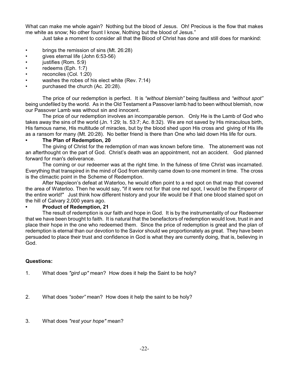What can make me whole again? Nothing but the blood of Jesus. Oh! Precious is the flow that makes me white as snow; No other fount I know, Nothing but the blood of Jesus."

Just take a moment to consider all that the Blood of Christ has done and still does for mankind:

- brings the remission of sins (Mt. 26:28)
- gives eternal life (John 6:53-56)
- justifies (Rom. 5:9)
- redeems (Eph. 1:7)
- reconciles (Col. 1:20)
- washes the robes of his elect white (Rev. 7:14)
- purchased the church (Ac. 20:28).

The price of our redemption is perfect. It is *"without blemish"* being faultless and *"without spot"* being undefiled by the world. As in the Old Testament a Passover lamb had to been without blemish, now our Passover Lamb was without sin and innocent.

The price of our redemption involves an incomparable person. Only He is the Lamb of God who takes away the sins of the world (Jn. 1:29; Is. 53:7; Ac. 8:32). We are not saved by His miraculous birth, His famous name, His multitude of miracles, but by the blood shed upon His cross and giving of His life as a ransom for many (Mt. 20:28). No better friend is there than One who laid down His life for ours.

#### **• The Plan of Redemption, 20**

The giving of Christ for the redemption of man was known before time. The atonement was not an afterthought on the part of God. Christ's death was an appointment, not an accident. God planned forward for man's deliverance.

The coming or our redeemer was at the right time. In the fulness of time Christ was incarnated. Everything that transpired in the mind of God from eternity came down to one moment in time. The cross is the climactic point in the Scheme of Redemption.

After Napoleon's defeat at Waterloo, he would often point to a red spot on that map that covered the area of Waterloo. Then he would say, "if it were not for that one red spot, I would be the Emperor of the entire world!" Just think how different history and your life would be if that one blood stained spot on the hill of Calvary 2,000 years ago.

#### **• Product of Redemption, 21**

The result of redemption is our faith and hope in God. It is by the instrumentality of our Redeemer that we have been brought to faith. It is natural that the benefactors of redemption would love, trust in and place their hope in the one who redeemed them. Since the price of redemption is great and the plan of redemption is eternal than our devotion to the Savior should we proportionately as great. They have been persuaded to place their trust and confidence in God is what they are currently doing, that is, believing in God.

#### **Questions:**

- 1. What does *"gird up"* mean? How does it help the Saint to be holy?
- 2. What does *"sober"* mean? How does it help the saint to be holy?
- 3. What does *"rest your hope"* mean?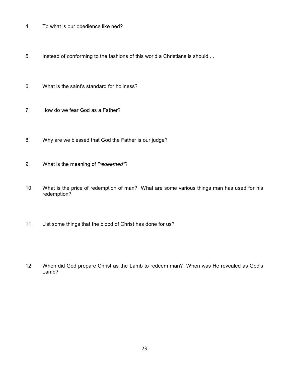- 4. To what is our obedience like ned?
- 5. Instead of conforming to the fashions of this world a Christians is should....
- 6. What is the saint's standard for holiness?
- 7. How do we fear God as a Father?
- 8. Why are we blessed that God the Father is our judge?
- 9. What is the meaning of *"redeemed"*?
- 10. What is the price of redemption of man? What are some various things man has used for his redemption?
- 11. List some things that the blood of Christ has done for us?
- 12. When did God prepare Christ as the Lamb to redeem man? When was He revealed as God's Lamb?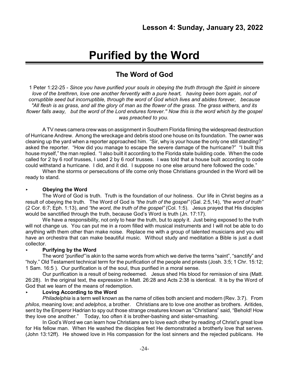## **Purified by the Word**

## **The Word of God**

1 Peter 1:22-25 - *Since you have purified your souls in obeying the truth through the Spirit in sincere love of the brethren, love one another fervently with a pure heart, having been born again, not of corruptible seed but incorruptible, through the word of God which lives and abides forever, because "All flesh is as grass, and all the glory of man as the flower of the grass. The grass withers, and its flower falls away, but the word of the Lord endures forever.'' Now this is the word which by the gospel was preached to you.*

A TV news camera crew was on assignment in Southern Florida filming the widespread destruction of Hurricane Andrew. Among the wreckage and debris stood one house on its foundation. The owner was cleaning up the yard when a reporter approached him. "Sir, why is your house the only one still standing?" asked the reporter. "How did you manage to escape the severe damage of the hurricane?" "I built this house myself," the man replied. "I also built it according to the Florida state building code. When the code called for 2 by 6 roof trusses, I used 2 by 6 roof trusses. I was told that a house built according to code could withstand a hurricane. I did, and it did. I suppose no one else around here followed the code."

When the storms or persecutions of life come only those Christians grounded in the Word will be ready to stand.

#### < **Obeying the Word**

The Word of God is truth. Truth is the foundation of our holiness. Our life in Christ begins as a result of obeying the truth. The Word of God is *"the truth of the gospel"* (Gal. 2:5,14), *"the word of truth"* (2 Cor. 6:7; Eph. 1:13), and *"the word, the truth of the gospel"* (Col. 1:5). Jesus prayed that His disciples would be sanctified through the truth, because God's Word is truth (Jn. 17:17).

We have a responsibility, not only to hear the truth, but to apply it. Just being exposed to the truth will not change us. You can put me in a room filled with musical instruments and I will not be able to do anything with them other than make noise. Replace me with a group of talented musicians and you will have an orchestra that can make beautiful music. Without study and meditation a Bible is just a dust collector.

#### < **Purifying by the Word**

The word *"purified"* is akin to the same words from which we derive the terms "saint", "sanctify" and "holy." Old Testament technical term for the purification of the people and priests (Josh. 3:5; 1 Chr. 15:12; 1 Sam. 16:5 ). Our purification is of the soul, thus purified in a moral sense.

Our purification is a result of being redeemed. Jesus shed His blood for remission of sins (Matt. 26:28). In the original text, the expression in Matt. 26:28 and Acts 2:38 is identical. It is by the Word of God that we learn of the means of redemption.

#### < **Loving According to the Word**

*Philadelphia* is a term well known as the name of cities both ancient and modern (Rev. 3:7). From *philos*, meaning love; and *adelphos*, a brother. Christians are to love one another as brothers. Aritides, sent by the Emperor Hadrian to spy out those strange creatures known as "Christians" said, "Behold! How they love one another." Today, too often it is brother-bashing and sister-smashing.

In God's Word we can learn how Christians are to love each other by reading of Christ's great love for His fellow man. When He washed the disciples feet He demonstrated a brotherly love that serves. (John 13:12ff). He showed love in His compassion for the lost sinners and the rejected publicans. He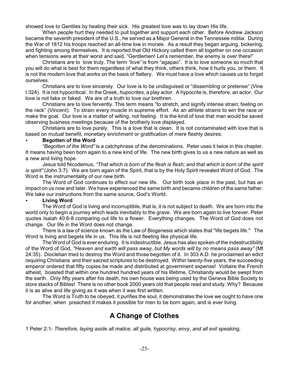showed love to Gentiles by healing their sick. His greatest love was to lay down His life.

When people hurt they needed to pull together and support each other. Before Andrew Jackson became the seventh president of the U.S., he served as a Major General in the Tennessee militia. During the War of 1812 his troops reached an all-time low in morale. As a result they began arguing, bickering, and fighting among themselves. It is reported that Old Hickory called them all together on one occasion when tensions were at their worst and said, "Gentlemen! Let's remember, the enemy is over there!"

Christians are to love truly. The term *"love"* is from "agapao". It is to love someone so much that you will do what is best for them regardless of what they think, others think, how it hurts you, or them. It is not the modern love that works on the basis of flattery. We must have a love which causes us to forget ourselves.

Christians are to love sincerely. Our love is to be undisguised or "dissembling or pretense" (Vine I:324). It is not hypocritical. In the Greek, *hupocrites*, a play actor. A hypocrite is, therefore, an actor. Our love is not fake or faked. We are of a truth to love our brethren.

Christians are to love fervently. This term means "to stretch, and signify intense strain; feeling on the rack" (Vincent). To strain every muscle in supreme effort. As an athlete strains to win the race or make the goal. Our love is a matter of willing, not feeling. It is the kind of love that man would be saved observing business meetings because of the brotherly love displayed.

Christians are to love purely. This is a love that is clean. It is not contaminated with love that is based on mutual benefit, monetary enrichment or gratification of mere fleshly desires.

#### < **Begotten of the Word**

*"Begotten of the Word"* is a catchphrase of the denominations. Peter uses it twice in this chapter. It means having been born again to a new kind of life. The new birth gives to us a new nature as well as a new and living hope.

Jesus told Nicodemus, *"That which is born of the flesh is flesh; and that which is born of the spirit is spirit"* (John 3:7). We are born again of the Spirit, that is by the Holy Spirit revealed Word of God. The Word is the instrumentality of our new birth.

The Word of God continues to effect our new life. Our birth took place in the past, but has an impact on us now and later. We have experienced the same birth and became children of the same father. We take our instructions from the same source, God's World.

#### < **Living Word**

The Word of God is living and incorruptible, that is, it is not subject to death. We are born into the world only to begin a journey which leads inevitably to the grave. We are born again to live forever. Peter quotes Isaiah 40:6-8 comparing out life to a flower. Everything changes. The Word of God does not change. Our life in the Word does not change.

There is a law of science known as the Law of Biogenesis which states that "life begets life." The Word is living and begets life in us. This life is not fleeting like physical life.

The Word of God is ever enduring. It is indestructible. Jesus has also spoken of the indestructibility of the Word of God, *"Heaven and earth will pass away, but My words will by no means pass away"* (Mt 24:35). Diocletian tried to destroy the Word and those begotten of it. In 303 A.D. he proclaimed an edict requiring Christians and their sacred scriptures to be destroyed. Within twenty-five years, the succeeding emperor ordered that fifty copies be made and distributed at government expense! Voltaire the French atheist, boasted that within one hundred hundred years of his lifetime, Christianity would be swept from the earth. Only fifty years after his death, his own house was being used by the Geneva Bible Society to store stacks of Bibles! There is no other book 2000 years old that people read and study. Why? Because it is as alive and life giving as it was when it was first written.

The Word is Truth to be obeyed, it purifies the soul, it demonstrates the love we ought to have one for another, when preached it makes it possible for men to be born again, and is ever living.

## **A Change of Clothes**

1 Peter 2:1- *Therefore, laying aside all malice, all guile, hypocrisy, envy, and all evil speaking,*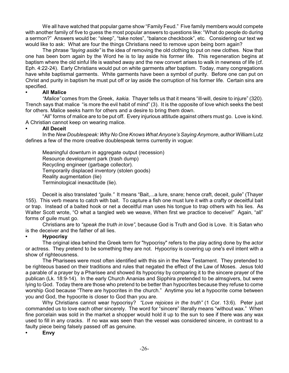We all have watched that popular game show "Family Feud." Five family members would compete with another family of five to guess the most popular answers to questions like: "What do people do during a sermon?" Answers would be: "sleep", "take notes", "balance checkbook", etc. Considering our text we would like to ask: What are four the things Christians need to remove upon being born again?

The phrase *"laying aside"* is the idea of removing the old clothing to put on new clothes. Now that one has been born again by the Word he is to lay aside his former life. This regeneration begins at baptism where the old sinful life is washed away and the new convert arises to walk in newness of life (cf. Eph. 4:22-24). Early Christians would put on white garments after baptism. Today, many congregations have white baptismal garments. White garments have been a symbol of purity. Before one can put on Christ and purity in baptism he must put off or lay aside the corruption of his former life. Certain sins are specified.

#### **• All Malice**

*"Malice"* comes from the Greek, *kakia.* Thayer tells us that it means "ill-will, desire to injure" (320). Trench says that malice "is more the evil habit of mind" (3). It is the opposite of love which seeks the best for others. Malice seeks harm for others and a desire to bring them down.

"All" forms of malice are to be put off. Every injurious attitude against others must go. Love is kind. A Christian cannot keep on wearing malice.

#### **• All Deceit**

In the *New Doublespeak: Why No One Knows What Anyone's Saying Anymore*, author William Lutz defines a few of the more creative doublespeak terms currently in vogue:

Meaningful downturn in aggregate output (recession) Resource development park (trash dump) Recycling engineer (garbage collector). Temporarily displaced inventory (stolen goods) Reality augmentation (lie) Terminological inexactitude (lie).

Deceit is also translated *"guile."* It means "Bait,...a lure, snare; hence craft, deceit, guile" (Thayer 155). This verb means to catch with bait. To capture a fish one must lure it with a crafty or deceitful bait or trap. Instead of a baited hook or net a deceitful man uses his tongue to trap others with his lies. As Walter Scott wrote, "O what a tangled web we weave, When first we practice to deceive!" Again, "all" forms of guile must go.

Christians are to *"speak the truth in love"*, because God is Truth and God is Love. It is Satan who is the deceiver and the father of all lies.

#### **• Hypocrisy**

The original idea behind the Greek term for "hypocrisy" refers to the play acting done by the actor or actress. They pretend to be something they are not. Hypocrisy is covering up one's evil intent with a show of righteousness.

The Pharisees were most often identified with this sin in the New Testament. They pretended to be righteous based on their traditions and rules that negated the effect of the Law of Moses. Jesus told a parable of a prayer by a Pharisee and showed its hypocrisy by comparing it to the sincere prayer of the publican (Lk. 18:9-14). In the early Church Ananias and Sipphira pretended to be almsgivers, but were lying to God. Today there are those who pretend to be better than hypocrites because they refuse to come worship God because "There are hypocrites in the church." Anytime you let a hypocrite come between you and God, the hypocrite is closer to God than you are.

Why Christians cannot wear hypocrisy? *"Love rejoices in the truth"* (1 Cor. 13:6). Peter just commanded us to love each other sincerely. The word for "sincere" literally means "without wax." When fine porcelain was sold in the market a shopper would hold it up to the sun to see if there was any wax used to fill in any cracks. If no wax was seen than the vessel was considered sincere, in contrast to a faulty piece being falsely passed off as genuine.

**• Envy**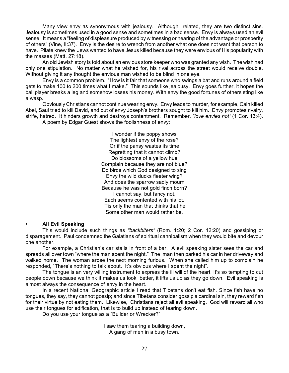Many view envy as synonymous with jealousy. Although related, they are two distinct sins. Jealousy is sometimes used in a good sense and sometimes in a bad sense. Envy is always used an evil sense. It means a "feeling of displeasure produced by witnessing or hearing of the advantage or prosperity of others" (Vine, II:37). Envy is the desire to wrench from another what one does not want that person to have. Pilate knew the Jews wanted to have Jesus killed because they were envious of His popularity with the masses (Matt. 27:18).

An old Jewish story is told about an envious store keeper who was granted any wish. The wish had only one stipulation. No matter what he wished for, his rival across the street would receive double. Without giving it any thought the envious man wished to be blind in one eye.

Envy is a common problem. "How is it fair that someone who swings a bat and runs around a field gets to make 100 to 200 times what I make." This sounds like jealousy. Envy goes further, it hopes the ball player breaks a leg and somehow losses his money. With envy the good fortunes of others sting like a wasp.

Obviously Christians cannot continue wearing envy. Envy leads to murder, for example, Cain killed Abel, Saul tried to kill David, and out of envy Joseph's brothers sought to kill him. Envy promotes rivalry, strife, hatred. It hinders growth and destroys contentment. Remember, *"love envies not"* (1 Cor. 13:4).

A poem by Edgar Guest shows the foolishness of envy:

I wonder if the poppy shows The lightest envy of the rose? Or if the pansy wastes its time Regretting that it cannot climb? Do blossoms of a yellow hue Complain because they are not blue? Do birds which God designed to sing Envy the wild ducks fleeter wing? And does the sparrow sadly mourn Because he was not gold finch born? I cannot say, but fancy not. Each seems contented with his lot. 'Tis only the man that thinks that he Some other man would rather be.

#### **• All Evil Speaking**

This would include such things as *"backbiters"* (Rom. 1:20; 2 Cor. 12:20) and gossiping or disparagement. Paul condemned the Galatians of spiritual cannibalism when they would bite and devour one another.

For example, a Christian's car stalls in front of a bar. A evil speaking sister sees the car and spreads all over town "where the man spent the night." The man then parked his car in her driveway and walked home. The woman arose the next morning furious. When she called him up to complain he responded, "There's nothing to talk about. It's obvious where I spent the night".

The tongue is an very willing instrument to express the ill will of the heart. It's so tempting to cut people down because we think it makes us look better, it lifts us up as they go down. Evil speaking is almost always the consequence of envy in the heart.

In a recent National Geographic article I read that Tibetans don't eat fish. Since fish have no tongues, they say, they cannot gossip; and since Tibetans consider gossip a cardinal sin, they reward fish for their virtue by not eating them. Likewise, Christians reject all evil speaking. God will reward all who use their tongues for edification, that is to build up instead of tearing down.

Do you use your tongue as a "Builder or Wrecker?"

I saw them tearing a building down, A gang of men in a busy town.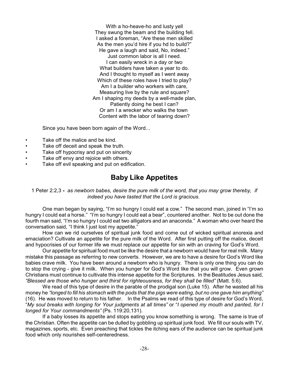With a ho-heave-ho and lusty yell They swung the beam and the building fell. I asked a foreman, "Are these men skilled As the men you'd hire if you hd to build?" He gave a laugh and said, No, indeed." Just common labor is all I need. I can easily wreck in a day or two What builders have taken a year to do. And I thought to myself as I went away Which of these roles have I tried to play? Am I a builder who workers with care. Measuring live by the rule and square? Am I shaping my deeds by a well-made plan, Patiently doing he best I can? Or am I a wrecker who walks the town Content with the labor of tearing down?

Since you have been born again of the Word...

- Take off the malice and be kind.
- Take off deceit and speak the truth.
- Take off hypocrisy and put on sincerity
- Take off envy and rejoice with others.
- Take off evil speaking and put on edification.

### **Baby Like Appetites**

1 Peter 2:2,3 **-** *as newborn babes, desire the pure milk of the word, that you may grow thereby, if indeed you have tasted that the Lord is gracious.*

One man began by saying, "I'm so hungry I could eat a cow." The second man, joined in "I'm so hungry I could eat a horse." "I'm so hungry I could eat a bear", countered another. Not to be out done the fourth man said, "I'm so hungry I could eat two alligators and an anaconda." A woman who over heard the conversation said, "I think I just lost my appetite."

How can we rid ourselves of spiritual junk food and come out of wicked spiritual anorexia and emaciation? Cultivate an appetite for the pure milk of the Word. After first putting off the malice, deceit and hypocrisies of our former life we must replace our appetite for sin with an craving for God's Word.

Our appetite for spiritual food must be like the desire that a newborn would have for real milk. Many mistake this passage as referring to new converts. However, we are to have a desire for God's Word like babies crave milk. You have been around a newborn who is hungry. There is only one thing you can do to stop the crying - give it milk. When you hunger for God's Word like that you will grow. Even grown Christians must continue to cultivate this intense appetite for the Scriptures. In the Beatitudes Jesus said, *"Blessed are those who hunger and thirst for righteousness, for they shall be filled"* (Matt. 5:6).

We read of this type of desire in the parable of the prodigal son (Luke 15). After he wasted all his money he *"longed to fill his stomach with the pods that the pigs were eating, but no one gave him anything"* (16). He was moved to return to his father. In the Psalms we read of this type of desire for God's Word, "*My soul breaks with longing for Your judgments at all times"* or "*I opened my mouth and panted, for I longed for Your commandments"* (Ps. 119:20,131).

If a baby losses its appetite and stops eating you know something is wrong. The same is true of the Christian. Often the appetite can be dulled by gobbling up spiritual junk food. We fill our souls with TV, magazines, sports, etc. Even preaching that tickles the itching ears of the audience can be spiritual junk food which only nourishes self-centeredness.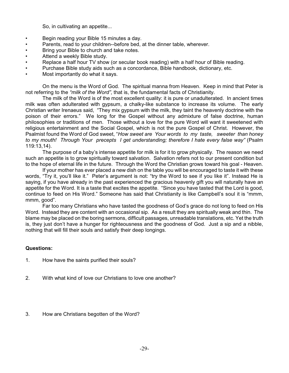So, in cultivating an appetite...

- Begin reading your Bible 15 minutes a day.
- Parents, read to your children--before bed, at the dinner table, wherever.
- Bring your Bible to church and take notes.
- Attend a weekly Bible study.
- Replace a half hour TV show (or secular book reading) with a half hour of Bible reading.
- Purchase Bible study aids such as a concordance, Bible handbook, dictionary, etc.
- Most importantly do what it says.

On the menu is the Word of God. The spiritual manna from Heaven. Keep in mind that Peter is not referring to the *"milk of the Word"*, that is, the fundamental facts of Christianity.

The milk of the Word is of the most excellent quality: it is pure or unadulterated. In ancient times milk was often adulterated with gypsum, a chalky-like substance to increase its volume. The early Christian writer Irenaeus said, "They mix gypsum with the milk, they taint the heavenly doctrine with the poison of their errors." We long for the Gospel without any admixture of false doctrine, human philosophies or traditions of men. Those without a love for the pure Word will want it sweetened with religious entertainment and the Social Gospel, which is not the pure Gospel of Christ. However, the Psalmist found the Word of God sweet, "*How sweet are Your words to my taste, sweeter than honey to my mouth! Through Your precepts I get understanding; therefore I hate every false way"* (Psalm 119:13,14).

The purpose of a baby's intense appetite for milk is for it to grow physically. The reason we need such an appetite is to grow spiritually toward salvation. Salvation refers not to our present condition but to the hope of eternal life in the future. Through the Word the Christian grows toward his goal - Heaven.

If your mother has ever placed a new dish on the table you will be encouraged to taste it with these words, "Try it, you'll like it." Peter's argument is not: "try the Word to see if you like it". Instead He is saying, if you have already in the past experienced the gracious heavenly gift you will naturally have an appetite for the Word. It is a taste that excites the appetite. "Since you have tasted that the Lord is good, continue to feed on His Word." Someone has said that Christianity is like Campbell's soul it is "mmm, mmm, good".

Far too many Christians who have tasted the goodness of God's grace do not long to feed on His Word. Instead they are content with an occasional sip. As a result they are spiritually weak and thin. The blame may be placed on the boring sermons, difficult passages, unreadable translations, etc. Yet the truth is, they just don't have a hunger for righteousness and the goodness of God. Just a sip and a nibble, nothing that will fill their souls and satisfy their deep longings.

#### **Questions:**

- 1. How have the saints purified their souls?
- 2. With what kind of love our Christians to love one another?
- 3. How are Christians begotten of the Word?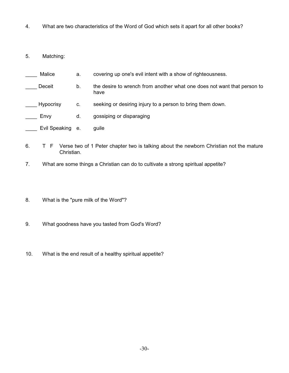- 4. What are two characteristics of the Word of God which sets it apart for all other books?
- 5. Matching:
- Malice a. covering up one's evil intent with a show of righteousness.
- Deceit b. the desire to wrench from another what one does not want that person to have
- Hypocrisy c. seeking or desiring injury to a person to bring them down.
- Envy d. gossiping or disparaging
- \_\_\_\_ Evil Speaking e. guile
- 6. T F Verse two of 1 Peter chapter two is talking about the newborn Christian not the mature Christian.
- 7. What are some things a Christian can do to cultivate a strong spiritual appetite?
- 8. What is the "pure milk of the Word"?
- 9. What goodness have you tasted from God's Word?
- 10. What is the end result of a healthy spiritual appetite?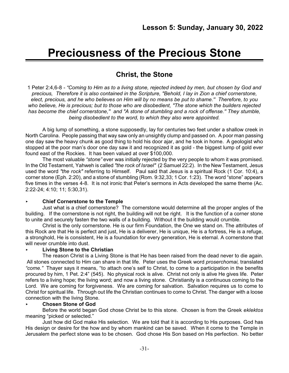## **Preciousness of the Precious Stone**

## **Christ, the Stone**

1 Peter 2:4,6-8 *- "Coming to Him as to a living stone, rejected indeed by men, but chosen by God and precious, Therefore it is also contained in the Scripture, "Behold, I lay in Zion a chief cornerstone, elect, precious, and he who believes on Him will by no means be put to shame.'' Therefore, to you who believe, He is precious; but to those who are disobedient, "The stone which the builders rejected has become the chief cornerstone,'' and "A stone of stumbling and a rock of offense.'' They stumble, being disobedient to the word, to which they also were appointed.*

A big lump of something, a stone supposedly, lay for centuries two feet under a shallow creek in North Carolina. People passing that way saw only an unsightly clump and passed on. A poor man passing one day saw the heavy chunk as good thing to hold his door ajar, and he took in home. A geologist who stopped at the poor man's door one day saw it and recognized it as gold - the biggest lump of gold ever found east of the Rockies. It has been valued at over \$100,000.

The most valuable *"stone"* ever was initially rejected by the very people to whom it was promised. In the Old Testament, Yahweh is called *"the rock of Israel"* (2 Samuel 22:2). In the New Testament, Jesus used the word *"the rock"* referring to Himself. Paul said that Jesus is a spiritual Rock (1 Cor. 10:4), a corner stone (Eph. 2:20), and a stone of stumbling (Rom. 9:32,33; 1 Cor. 1:23). The word "stone" appears five times in the verses 4-8. It is not ironic that Peter's sermons in Acts developed the same theme (Ac. 2:22-24; 4:10; 11; 5:30,31).

#### < **Chief Cornerstone to the Temple**

Just what is a chief cornerstone? The cornerstone would determine all the proper angles of the building. If the cornerstone is not right, the building will not be right. It is the function of a corner stone to unite and securely fasten the two walls of a building. Without it the building would crumble.

Christ is the only cornerstone. He is our firm Foundation, the One we stand on. The attributes of this Rock are that He is perfect and just, He is a deliverer, He is unique, He is a fortress, He is a refuge, a stronghold, He is consistent, He is a foundation for every generation, He is eternal. A cornerstone that will never crumble into dust.

#### < **Living Stone to the Christian**

The reason Christ is a Living Stone is that He has been raised from the dead never to die again. All stones connected to Him can share in that life. Peter uses the Greek word *proserchomai,* translated *"come."* Thayer says it means, "to attach one's self to Christ, to come to a participation in the benefits procured by him, 1 Pet. 2:4" (545). No physical rock is alive. Christ not only is alive He gives life. Peter refers to a living hope; the living word; and now a living stone. Christianity is a continuous coming to the Lord. We are coming for forgiveness. We are coming for salvation. Salvation requires us to come to Christ for spiritual life. Through out life the Christian continues to come to Christ. The danger with a loose connection with the living Stone.

#### < **Chosen Stone of God**

Before the world began God chose Christ be to this stone. Chosen is from the Greek *eklektos* meaning "picked or selected."

Just how did God make His selection. We are told that it is according to His purposes. God has His design or desire for the how and by whom mankind can be saved. When it come to the Temple in Jerusalem the perfect stone was to be chosen. God chose His Son based on His perfection. No better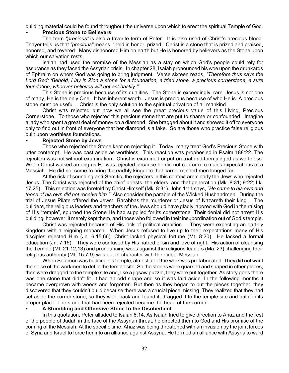building material could be found throughout the universe upon which to erect the spiritual Temple of God.

#### < **Precious Stone to Believers**

The term *"precious"* is also a favorite term of Peter. It is also used of Christ's precious blood. Thayer tells us that *"precious"* means "held in honor, prized." Christ is a stone that is prized and praised, honored, and revered. Many dishonored Him on earth but He is honored by believers as the Stone upon which our salvation rests.

Isaiah had used the promise of the Messiah as a stay on which God's people could rely for assurance as they faced the Assyrian crisis. In chapter 28, Isaiah pronounced his woe upon the drunkards of Ephraim on whom God was going to bring judgment. Verse sixteen reads, *"Therefore thus says the Lord God: 'Behold, I lay in Zion a stone for a foundation, a tried stone, a precious cornerstone, a sure foundation; whoever believes will not act hastily.'"* 

This Stone is precious because of its qualities. The Stone is exceedingly rare. Jesus is not one of many, He is the only One. It has inherent worth. Jesus is precious because of who He is. A precious stone must be useful. Christ is the only solution to the spiritual privation of all mankind.

Christ was rejected but now we all see the great precious value of this Living, Precious Cornerstone. To those who rejected this precious stone that are put to shame or confounded. Imagine a lady who spent a great deal of money on a diamond. She bragged about it and showed it off to everyone only to find out in front of everyone that her diamond is a fake. So are those who practice false religious built upon worthless foundations.

#### < **Rejected Stone by Jews**

Those who rejected the Stone kept on rejecting it. Today, many treat God's Precious Stone with utter contempt. He was cast aside as worthless. This reaction was prophesied in Psalm 188:22. The rejection was not without examination. Christ is examined or put on trial and then judged as worthless. When Christ walked among us He was rejected because he did not conform to man's expectations of a Messiah. He did not come to bring the earthly kingdom that carnal minded men longed for.

At the risk of sounding anti-Semitic, the rejecters in this context are clearly the Jews who rejected Jesus. The Christ was rejected of the chief priests, the elders, and that generation (Mk. 8:31; 9:22; Lk. 17:25). This rejection was foretold by Christ Himself (Mk. 8:31). John 1:11 says, *"He came to his own and those of his own did not receive him."* Also consider the parable of the Wicked Husbandmen. During the trial of Jesus Pilate offered the Jews: Barabbas the murderer or Jesus of Nazareth their king. The builders, the religious leaders and teachers of the Jews should have gladly labored with God in the raising of His "temple", spurned the Stone He had supplied for its cornerstone Their denial did not arrest His building, however; it merely kept them, and those who followed in their insubordination out of God's temple.

Christ was rejected because of His lack of political ambition. They were expecting an earthly kingdom with a reigning monarch. When Jesus refused to live up to their expectations many of His disciples rejected Him (Jn. 6:15,66). Christ lacked physical fortune (Mt. 8:20). He lacked a formal education (Jn. 7:15). They were confused by His hatred of sin and love of right. His action of cleansing the Temple (Mt. 21:12,13) and pronouncing woes against the religious leaders (Ma. 23) challenging their religious authority (Mt. 15:7-9) was out of character with their ideal Messiah.

When Solomon was building his temple, almost all of the work was prefabricated. They did not want the noise of the workmen to defile the temple site. So the stones were quarried and shaped in other places, then were dragged to the temple site and, like a jigsaw puzzle, they were put together. As story goes there was one stone that didn't fit. It had an odd shape and so it was laid aside. In the following months it became overgrown with weeds and forgotten. But then as they began to put the pieces together, they discovered that they couldn't build because there was a crucial piece missing, They realized that they had set aside the corner stone, so they went back and found it, dragged it to the temple site and put it in its proper place. The stone that had been rejected became the head of the corner.

#### < **A Stumbling and Offensive Stone to the Disobedient**

In this quotation, Peter alluded to Isaiah 8:14. As Isaiah tried to give direction to Ahaz and the rest of the people of Judah in the face of the Assyrian threat, he directed them to God and His promise of the coming of the Messiah. At the specific time, Ahaz was being threatened with an invasion by the joint forces of Syria and Israel to force her into an alliance against Assyria. He formed an alliance with Assyria to ward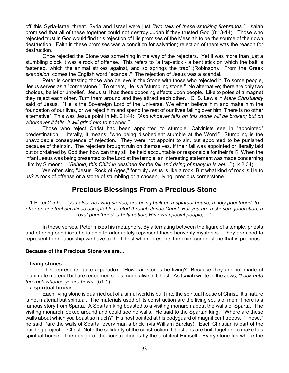off this Syria-Israel threat. Syria and Israel were just *"two tails of these smoking firebrands."* Isaiah promised that all of these together could not destroy Judah if they trusted God (8:13-14). Those who rejected trust in God would find this rejection of His promises of the Messiah to be the source of their own destruction. Faith in these promises was a condition for salvation; rejection of them was the reason for destruction.

Once rejected the Stone was something in the way of the rejecters. Yet it was more than just a stumbling block it was a rock of offense. This refers to "a trap-stick - a bent stick on which the bait is fastened, which the animal strikes against, and so springs the trap" (Robinson). From the Greek *skandalon*, comes the English word "scandal." The rejection of Jesus was a scandal.

Peter is contrasting those who believe in the Stone with those who rejected it. To some people, Jesus serves as a "cornerstone." To others, He is a "stumbling stone." No alternative; there are only two choices, belief or unbelief. Jesus still has these opposing effects upon people. Like to poles of a magnet they reject each other. Turn them around and they attract each other. C. S. Lewis in *Mere Christianity* said of Jesus, "He is the Sovereign Lord of the Universe. We either believe him and make him the foundation of our lives, or we reject him and spend the rest of our lives falling over him. There is no other alternative". This was Jesus point in Mt. 21:44: *"And whoever falls on this stone will be broken; but on whomever it falls, it will grind him to powder.''*

Those who reject Christ had been appointed to stumble. Calvinists see in "appointed" predestination. Literally, it means: "who being disobedient stumble at the Word." Stumbling is the unavoidable consequence of rejection. They were not appoint to sin, but appointed to be punished because of their sin. The rejecters brought ruin on themselves. If their fall was appointed or literally laid out or ordained by God then how can they still be held accountable or responsible for their fall? When the infant Jesus was being presented to the Lord at the temple, an interesting statement was made concerning Him by Simeon: *"Behold, this Child in destined for the fall and rising of many in Israel..."* (Lk 2:34).

We often sing "Jesus, Rock of Ages," for truly Jesus is like a rock. But what kind of rock is He to us? A rock of offense or a stone of stumbling or a chosen, living, precious cornerstone.

## **Precious Blessings From a Precious Stone**

1 Peter 2:5,9a - *"you also, as living stones, are being built up a spiritual house, a holy priesthood, to offer up spiritual sacrifices acceptable to God through Jesus Christ. But you are a chosen generation, a royal priesthood, a holy nation, His own special people, ..."*

In these verses, Peter mixes his metaphors. By alternating between the figure of a temple, priests and offering sacrifices he is able to adequately represent these heavenly mysteries. They are used to represent the relationship we have to the Christ who represents the chief corner stone that is precious.

#### **Because of the Precious Stone we are...**

#### **...living stones**

This represents quite a paradox. How can stones be living? Because they are not made of inanimate material but are redeemed souls made alive in Christ. As Isaiah wrote to the Jews, *"Look unto the rock whence ye are hewn"* (51:1).

#### **...a spiritual house**

Each living stone is quarried out of a sinful world is built into the spiritual house of Christ. It's nature is not material but spiritual. The materials used of its construction are the living souls of men. There is a famous story from Sparta. A Spartan king boasted to a visiting monarch about the walls of Sparta. The visiting monarch looked around and could see no walls. He said to the Spartan king. "Where are these walls about which you boast so much?" His host pointed at his bodyguard of magnificent troops. "These," he said, "are the walls of Sparta, every man a brick" (via William Barclay). Each Christian is part of the building project of Christ. Note the solidarity of the construction. Christians are built together to make this spiritual house. The design of the construction is by the architect Himself. Every stone fits where the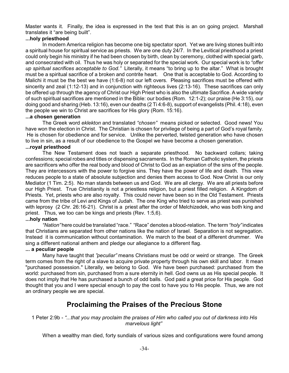Master wants it. Finally, the idea is expressed in the text that this is an on going project. Marshall translates it "are being built".

#### **...holy priesthood**

In modern America religion has become one big spectator sport. Yet we are living stones built into a spiritual house for spiritual service as priests. We are one duty 24/7. In the Levitical priesthood a priest could only begin his ministry if he had been chosen by birth, clean by ceremony, clothed with special garb, and consecrated with oil. Thus he was holy or separated for the special work. Our special work is to *"offer up spiritual sacrifices acceptable to God."* Literally, it means "to bring up to the altar." What is brought must be a spiritual sacrifice of a broken and contrite heart. One that is acceptable to God. According to Malichi it must be the best we have (1:6-8) not our left overs. Pleasing sacrifices must be offered with sincerity and zeal (1:12-13) and in conjunction with righteous lives (2:13-16). These sacrifices can only be offered up through the agency of Christ our High Priest who is also the ultimate Sacrifice. A wide variety of such spiritual sacrifices are mentioned in the Bible: our bodies (Rom. 12:1-2); our praise (He 3:15), our doing good and sharing (Heb. 13:16), even our deaths (2 Ti 4:6-8), support of evangelists (Phil. 4:18), even the people we win to Christ are sacrifices for His glory (Rom. 15:16).

#### **...a chosen generation**

The Greek word *eklekton* and translated *"chosen"* means picked or selected. Good news! You have won the election in Christ. The Christian is chosen for privilege of being a part of God's royal family. He is chosen for obedience and for service. Unlike the perverted, twisted generation who have chosen to live in sin, as a result of our obedience to the Gospel we have become a chosen generation.

#### **...royal priesthood**

The New Testament does not teach a separate priesthood. No backward collars; taking confessions; special robes and titles or dispensing sacraments. In the Roman Catholic system, the priests are sacrificers who offer the real body and blood of Christ to God as an expiation of the sins of the people. They are intercessors with the power to forgive sins. They have the power of life and death. This view reduces people to a state of absolute subjection and denies them access to God. Now Christ is our only Mediator (1 Tim. 2:5). No man stands between us and God. We are all clergy. We are all priests before our High Priest. True Christianity is not a priestless religion, but a priest filled religion. A Kingdom of Priests. Yet, priests who are also royalty. This could never have been so in the Old Testament. Priests came from the tribe of Levi and Kings of Judah. The one King who tried to serve as priest was punished with leprosy (2 Chr. 26:16-21). Christ is a priest after the order of Melchizedek, who was both king and priest. Thus, we too can be kings and priests (Rev. 1:5,6).

#### **...holy nation**

*"Nation"*here could be translated "race." "Race" denotes a blood-relation. The term *"holy"*indicates that Christians are separated from other nations like the nation of Israel. Separation is not segregation. Instead it is communication without contamination. We march to the beat of a different drummer. We sing a different national anthem and pledge our allegiance to a different flag.

#### **... a peculiar people**

Many have taught that *"peculiar"* means Christians must be odd or weird or strange. The Greek term comes from the right of a slave to acquire private property through his own skill and labor. It mean "purchased possession." Literally, we belong to God. We have been purchased: purchased from the world: purchased from sin, purchased from a sure eternity in hell. God owns us as His special people. It does not imply that He has purchased a bunch of odd balls. God paid a great price for His people. God thought that you and I were special enough to pay the cost to have you to His people. Thus, we are not an ordinary people we are special.

### **Proclaiming the Praises of the Precious Stone**

#### 1 Peter 2:9b - *"...that you may proclaim the praises of Him who called you out of darkness into His marvelous light"*

When a wealthy man died, forty sundials of various sizes and configurations were found among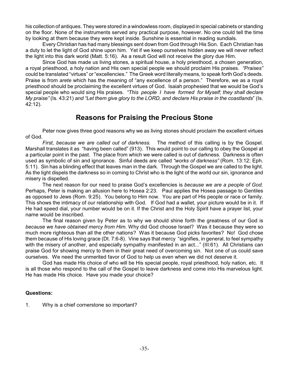his collection of antiques. They were stored in a windowless room, displayed in special cabinets or standing on the floor. None of the instruments served any practical purpose, however. No one could tell the time by looking at them because they were kept inside. Sunshine is essential in reading sundials.

Every Christian has had many blessings sent down from God through His Son. Each Christian has a duty to let the light of God shine upon him. Yet if we keep ourselves hidden away we will never reflect the light into this dark world (Matt. 5:16). As a result God will not receive the glory due Him.

Since God has made us living stones, a spiritual house, a holy priesthood, a chosen generation, a royal priesthood, a holy nation and His own special people we should proclaim His praises. *"Praises"* could be translated "virtues" or "excellencies." The Greek word literally means, to speak forth God's deeds. Praise is from *arete* which has the meaning of "any excellence of a person." Therefore, we as a royal priesthood should be proclaiming the excellent virtues of God. Isaiah prophesied that we would be God's special people who would sing His praises. *"This people I have formed for Myself; they shall declare My praise"* (Is. 43:21) *and "Let them give glory to the LORD, and declare His praise in the coastlands*" (Is. 42:12).

## **Reasons for Praising the Precious Stone**

Peter now gives three good reasons why we as living stones should proclaim the excellent virtues of God.

*First, because we are called out of darkness.* The method of this calling is by the Gospel. Marshall translates it as "having been called" (913). This would point to our calling to obey the Gospel at a particular point in the past. The place from which we were called is out of darkness. Darkness is often used as symbolic of sin and ignorance. Sinful deeds are called *"works of darkness"* (Rom. 13:12; Eph. 5:11). Sin has a blinding effect that leaves man in the dark. Through the Gospel we are called to the light. As the light dispels the darkness so in coming to Christ who is the light of the world our sin, ignorance and misery is dispelled.

The next reason for our need to praise God's excellencies is *because we are a people of God.* Perhaps, Peter is making an allusion here to Hosea 2:23. Paul applies the Hosea passage to Gentiles as opposed to Jews (Rom. 9:25). You belong to Him now. You are part of His people or race or family. This shows the intimacy of our relationship with God. If God had a wallet, your picture would be in it. If He had speed dial, your number would be on it. If the Christ and the Holy Spirit have a prayer list, your name would be inscribed.

The final reason given by Peter as to why we should shine forth the greatness of our God is *because we have obtained mercy from Him.* Why did God choose Israel? Was it because they were so much more righteous than all the other nations? Was it because God picks favorites? No! God chose them because of His loving grace (Dt. 7:6-8). Vine says that mercy "signifies, in general, to feel sympathy with the misery of another, and especially sympathy manifested in an act..." (III:61). All Christians can praise God for showing mercy to them in their great need of overcoming sin. Not one of us could save ourselves. We need the unmerited favor of God to help us even when we did not deserve it.

God has made His choice of who will be His special people, royal priesthood, holy nation, etc. It is all those who respond to the call of the Gospel to leave darkness and come into His marvelous light. He has made His choice. Have you made your choice?

#### **Questions:**

1. Why is a chief cornerstone so important?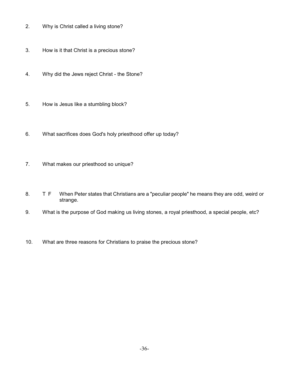- 2. Why is Christ called a living stone?
- 3. How is it that Christ is a precious stone?
- 4. Why did the Jews reject Christ the Stone?
- 5. How is Jesus like a stumbling block?
- 6. What sacrifices does God's holy priesthood offer up today?
- 7. What makes our priesthood so unique?
- 8. T F When Peter states that Christians are a "peculiar people" he means they are odd, weird or strange.
- 9. What is the purpose of God making us living stones, a royal priesthood, a special people, etc?
- 10. What are three reasons for Christians to praise the precious stone?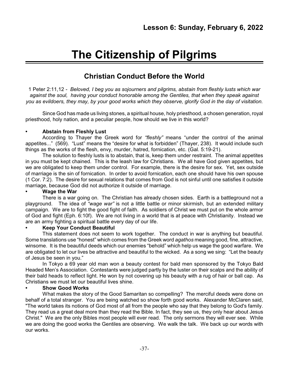# **The Citizenship of Pilgrims**

# **Christian Conduct Before the World**

1 Peter 2:11,12 *- Beloved, I beg you as sojourners and pilgrims, abstain from fleshly lusts which war against the soul, having your conduct honorable among the Gentiles, that when they speak against you as evildoers, they may, by your good works which they observe, glorify God in the day of visitation.*

Since God has made us living stones, a spiritual house, holy priesthood, a chosen generation, royal priesthood, holy nation, and a peculiar people, how should we live in this world?

# **• Abstain from Fleshly Lust**

According to Thayer the Greek word for *"fleshly"* means "under the control of the animal appetites..." (569). "Lust" means the "desire for what is forbidden" (Thayer, 238). It would include such things as the works of the flesh, envy, murder, hatred, fornication, etc. (Gal. 5:19-21).

The solution to fleshly lusts is to abstain, that is, keep them under restraint. The animal appetites in you must be kept chained. This is the leash law for Christians. We all have God given appetites, but we are obligated to keep them under control. For example, there is the desire for sex. Yet, sex outside of marriage is the sin of fornication. In order to avoid fornication, each one should have his own spouse (1 Cor. 7:2). The desire for sexual relations that comes from God is not sinful until one satisfies it outside marriage, because God did not authorize it outside of marriage.

# **• Wage the War**

There is a war going on. The Christian has already chosen sides. Earth is a battleground not a playground. The idea of *"wage war"* is not a little battle or minor skirmish, but an extended military campaign. We are to fight the good fight of faith. As soldiers of Christ we must put on the whole armor of God and fight (Eph. 6:10f). We are not living in a world that is at peace with Christianity. Instead we are an army fighting a spiritual battle every day of our life.

# **• Keep Your Conduct Beautiful**

This statement does not seem to work together. The conduct in war is anything but beautiful. Some translations use "honest" which comes from the Greek word *agathos* meaning good, fine, attractive, winsome. It is the beautiful deeds which our enemies "behold" which help us wage the good warfare. We are obligated to let our lives be attractive and beautiful to the wicked. As a song we sing: "Let the beauty of Jesus be seen in you."

In Tokyo a 69 year old man won a beauty contest for bald men sponsored by the Tokyo Bald Headed Men's Association. Contestants were judged partly by the luster on their scalps and the ability of their bald heads to reflect light. He won by not covering up his beauty with a rug of hair or ball cap. As Christians we must let our beautiful lives shine.

# **• Show Good Works**

What makes the story of the Good Samaritan so compelling? The merciful deeds were done on behalf of a total stranger. You are being watched so show forth good works. Alexander McClaren said, "The world takes its notions of God most of all from the people who say that they belong to God's family. They read us a great deal more than they read the Bible. In fact, they see us, they only hear about Jesus Christ." We are the only Bibles most people will ever read. The only sermons they will ever see. While we are doing the good works the Gentiles are observing. We walk the talk. We back up our words with our works.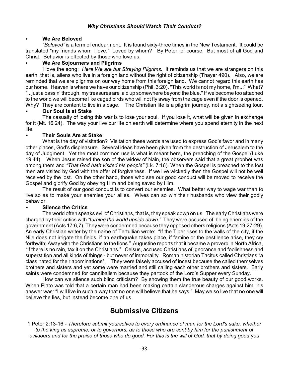### *Why Christians Should Watch Their Conduct?*

### < **We Are Beloved**

*"Beloved"* is a term of endearment. It is found sixty-three times in the New Testament. It could be translated "my friends whom I love." Loved by whom? By Peter, of course. But most of all God and Christ. Behavior is effected by those who love us.

### < **We Are Sojourners and Pilgrims**

I love the song: *Here We are but Straying Pilgrims.* It reminds us that we are strangers on this earth, that is, aliens who live in a foreign land without the right of citizenship (Thayer 490). Also, we are reminded that we are pilgrims on our way home from this foreign land. We cannot regard this earth has our home. Heaven is where we have our citizenship (Phil. 3:20). "This world is not my home, I'm..." What? "...just a passin' through, my treasures are laid up somewhere beyond the blue." If we become too attached to the world we will become like caged birds who will not fly away from the cage even if the door is opened. Why? They are content to live in a cage. The Christian life is a pilgrim journey, not a sightseeing tour.

### < **Our Soul Is at Stake**

The casualty of losing this war is to lose your soul. If you lose it, what will be given in exchange for it (Mt. 16:24). The way your live our life on earth will determine where you spend eternity in the next life.

### < **Their Souls Are at Stake**

What is the day of visitation? Visitation these words are used to express God's favor and in many other places, God's displeasure. Several ideas have been given from the destruction of Jerusalem to the day of Judgment. Yet the most common use is what is meant here, the preaching of the Gospel (Luke 19:44). When Jesus raised the son of the widow of Nain, the observers said that a great prophet was among them and *"That God hath visited his people"* (Lk. 7:16). When the Gospel is preached to the lost men are visited by God with the offer of forgiveness. If we live wickedly then the Gospel will not be well received by the lost. On the other hand, those who see our good conduct will be moved to receive the Gospel and glorify God by obeying Him and being saved by Him.

The result of our good conduct is to convert our enemies. What better way to wage war than to live so as to make your enemies your allies. Wives can so win their husbands who view their godly behavior.

# < **Silence the Critics**

The world often speaks evil of Christians, that is, they speak down on us. The early Christians were charged by their critics with *"turning the world upside down."* They were accused of being enemies of the government (Acts 17:6,7). They were condemned because they opposed others religions (Acts 19:27-29). An early Christian writer by the name of Tertullian wrote: "If the Tiber rises to the walls of the city, if the Nile does not irrigate the fields, if an earthquake takes place, if famine or the pestilence arise, they cry forthwith; Away with the Christians to the lions." Augustine reports that it became a proverb in North Africa, "If there is no rain, tax it on the Christians." Celsus, accused Christians of ignorance and foolishness and superstition and all kinds of things - but never of immorality. Roman historian Tacitus called Christians "a class hated for their abominations". They were falsely accused of incest because the called themselves brothers and sisters and yet some were married and still calling each other brothers and sisters. Early saints were condemned for cannibalism because they partook of the Lord's Supper every Sunday.

How can we silence such blind criticism? By showing them the true beauty of our good works. When Plato was told that a certain man had been making certain slanderous charges against him, his answer was: "I will live in such a way that no one will believe that he says." May we so live that no one will believe the lies, but instead become one of us.

# **Submissive Citizens**

1 Peter 2:13-16 *- Therefore submit yourselves to every ordinance of man for the Lord's sake, whether to the king as supreme, or to governors, as to those who are sent by him for the punishment of evildoers and for the praise of those who do good. For this is the will of God, that by doing good you*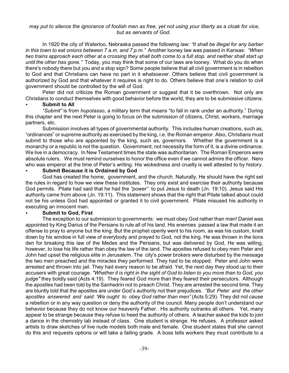### *may put to silence the ignorance of foolish men as free, yet not using your liberty as a cloak for vice, but as servants of God.*

In 1920 the city of Waterloo, Nebraska passed the following law: *"It shall be illegal for any barber in this town to eat onions between 7 a.m. and 7 p.m."* Another looney law was passed in Kansas: *"When two trains approach each other at a crossing they shall both come to a full stop, and neither shall start up until the other has gone."* Today, you may think that some of our laws are looney. What do you do when there's nobody there but you and a stop sign? Some people believe that all civil government is in rebellion to God and that Christians can have no part in it whatsoever. Others believe that civil government is authorized by God and that whatever it requires is right to do. Others believe that one's relation to civil government should be controlled by the will of God.

Peter did not criticize the Roman government or suggest that it be overthrown. Not only are Christians to conduct themselves with good behavior before the world, they are to be submissive citizens.

# < **Submit to All**

*"Submit"* is from *hupotasso*, a military term that means "to fall in rank under an authority." During this chapter and the next Peter is going to focus on the submission of citizens, Christ, workers, marriage partners, etc.

Submission involves all types of governmental authority. This includes human creations, such as, "ordinances" or supreme authority as exercised by the king, i.e. the Roman emperor. Also, Christians must submit to those who are appointed by the king, such as, governors. Whether the government is a monarchy or a republic is not the question. Government, not necessity the form of it, is a divine ordinance. We live in a democracy. In New Testament times the state was authoritarian. The Roman Emperors were absolute rulers. We must remind ourselves to honor the office even if we cannot admire the officer. Nero who was emperor at the time of Peter's writing. His wickedness and cruelty is well attested to by history.

### < **Submit Because it is Ordained by God**

God has created the home, government, and the church. Naturally, He should have the right set the rules in regard to how we view these institutes. They only exist and exercise their authority because God permits. Pilate had said that he had the *"power"* to put Jesus to death (Jn. 19:10). Jesus said His authority came from above (Jn. 19:11). This statement shows that the right that Pilate talked about could not be his unless God had appointed or granted it to civil government. Pilate misused his authority in executing an innocent man.

### < **Submit to God, First**

The exception to our submission to governments: we must obey God rather than man! Daniel was appointed by King Darius of the Persians to rule all of his land. His enemies passed a law that made it an offense to pray to anyone but the king. But the prophet openly went to his room, as was his custom, knelt down by his window in full view of everybody and prayed to God, not the king. He was thrown in the lions den for breaking this law of the Medes and the Persians, but was delivered by God, He was willing, however, to lose his life rather than obey the law of the land. The apostles refused to obey men Peter and John had upset the religious elite in Jerusalem. The city's power brokers were disturbed by the message the two men preached and the miracles they performed. They had to be stopped. Peter and John were arrested and thrown into jail. They had every reason to be afraid. Yet, the next day they stood up to their accusers with great courage. *"Whether it is right in the sight of God to listen to you more than to God, you judge"* they boldly said (Acts 4:19). They feared God more than they feared their persecutors. Although the apostles had been told by the Sanhedrin not to preach Christ. They are arrested the second time. They are bluntly told that the apostles are under God's authority not their prejudices. *"But Peter and the other apostles answered and said: 'We ought to obey God rather than men"* (Acts 5:29). They did not cause a rebellion or in any way question or deny the authority of the council. Many people don't understand our behavior because they do not know our heavenly Father. His authority outranks all others. Yet, many appear to be strange because they refuse to heed the authority of others. A teacher asked the kids to join a dance in the chemistry lab instead of class. One student is strange. He refuses. A professor asked artists to draw sketches of live nude models both male and female. One student states that she cannot do this and requests options or will take a failing grade. A boss tells workers they must contribute to a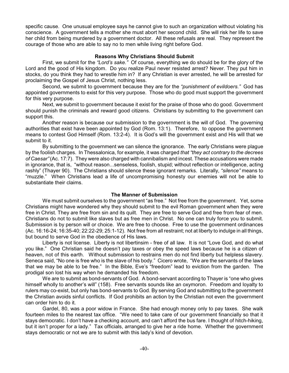specific cause. One unusual employee says he cannot give to such an organization without violating his conscience. A government tells a mother she must abort her second child. She will risk her life to save her child from being murdered by a government doctor. All these refusals are real. They represent the courage of those who are able to say no to men while living right before God.

### **Reasons Why Christians Should Submit**

First, we submit for the *"Lord's sake."* Of course, everything we do should be for the glory of the Lord and the good of His kingdom. Do you realize Paul never resisted arrest? Never. They put him in stocks, do you think they had to wrestle him in? If any Christian is ever arrested, he will be arrested for proclaiming the Gospel of Jesus Christ, nothing less.

Second, we submit to government because they are for the *"punishment of evildoers."* God has appointed governments to exist for this very purpose. Those who do good must support the government for this very purpose.

Next, we submit to government because it exist for the praise of those who do good. Government should punish the criminals and reward good citizens. Christians by submitting to the government can support this.

Another reason is because our submission to the government is the will of God. The governing authorities that exist have been appointed by God (Rom. 13:1). Therefore, to oppose the government means to contest God Himself (Rom. 13:2-4). It is God's will the government exist and His will that we submit to it.

By submitting to the government we can silence the ignorance. The early Christians were plague by the foolish charges. In Thessalonica, for example, it was charged *that "they act contrary to the decrees of Caesar"*(Ac. 17:7). They were also charged with cannibalism and incest. These accusations were made in ignorance, that is, "without reason...senseless, foolish, stupid; without reflection or intelligence, acting rashly" (Thayer 90). The Christians should silence these ignorant remarks. Literally, *"silence"* means to "muzzle." When Christians lead a life of uncompromising honesty our enemies will not be able to substantiate their claims.

# **The Manner of Submission**

We must submit ourselves to the government "as free." Not free from the government. Yet, some Christians might have wondered why they should submit to the evil Roman government when they were free in Christ. They are free from sin and its quilt. They are free to serve God and free from fear of men. Christians do not to submit like slaves but as free men in Christ. No one can truly force you to submit. Submission is by person will or choice. We are free to choose. Free to use the government ordinances (Ac. 16:16-24; 16:35-40; 22:22-29; 25:1-12). Not free from all restraint; not at liberty to indulge in all things, but bound to serve God in the obedience of His laws.

Liberty is not license. Liberty is not libertinsim - free of all law. It is not "Love God, and do what you like." One Christian said he doesn't pay taxes or obey the speed laws because he is a citizen of heaven, not of this earth. Without submission to restrains men do not find liberty but helpless slavery. Seneca said, "No one is free who is the slave of his body." Cicero wrote, "We are the servants of the laws that we may be able to be free." In the Bible, Eve's "freedom" lead to eviction from the garden. The prodigal son lost his way when he demanded his freedom.

We are to submit as bond-servants of God. A bond-servant according to Thayer is "one who gives himself wholly to another's will" (158). Free servants sounds like an oxymoron. Freedom and loyalty to rulers may co-exist, but only has bond-servants to God. By serving God and submitting to the government the Christian avoids sinful conflicts. If God prohibits an action by the Christian not even the government can order him to do it.

Gardel, 80, was a poor widow in France. She had enough money only to pay taxes. She walk fourteen miles to the nearest tax office. "We need to take care of our government financially so that it stays democratic. I don't have a checking account, and can't afford the bus fare. I thought of hitch-hiking, but it isn't proper for a lady." Tax officials, arranged to give her a ride home. Whether the government stays democratic or not we are to submit with this lady's kind of devotion.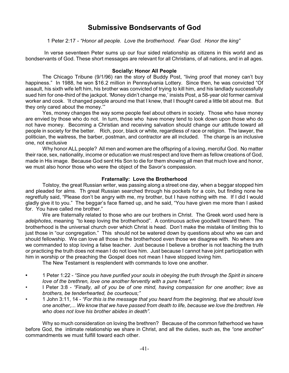# **Submissive Bondservants of God**

1 Peter 2:17 *- "Honor all people. Love the brotherhood. Fear God. Honor the king"*

In verse seventeen Peter sums up our four sided relationship as citizens in this world and as bondservants of God. These short messages are relevant for all Christians, of all nations, and in all ages.

### **Socially: Honor All People**

The Chicago Tribune (9/1/96) ran the story of Buddy Post, "living proof that money can't buy happiness." In 1988, he won \$16.2 million in Pennsylvania Lottery. Since then, he was convicted "Of assault, his sixth wife left him, his brother was convicted of trying to kill him, and his landlady successfully sued him for one-third of the jackpot. 'Money didn't change me,' insists Post, a 58-year old former carnival worker and cook. 'It changed people around me that I knew, that I thought cared a little bit about me. But they only cared about the money.'"

Yes, money changes the way some people feel about others in society. Those who have money are envied by those who do not. In turn, those who have money tend to look down upon those who do not have money. Becoming a Christian and receiving salvation should change our attitude toward all people in society for the better. Rich, poor, black or white, regardless of race or religion. The lawyer, the politician, the waitress, the barber, postman, and contractor are all included. The charge is an inclusive one, not exclusive

Why honor ALL people? All men and women are the offspring of a loving, merciful God. No matter their race, sex, nationality, income or education we must respect and love them as fellow creations of God, made in His image. Because God sent His Son to die for them showing all men that much love and honor, we must also honor those who were the object of the Savor's compassion.

#### **Fraternally: Love the Brotherhood**

Tolstoy, the great Russian writer, was passing along a street one day, when a beggar stopped him and pleaded for alms. Th great Russian searched through his pockets for a coin, but finding none he regretfully said, "Please don't be angry with me, my brother, but I have nothing with me. If I did I would gladly give it to you." The beggar's face flamed up, and he said, "You have given me more than I asked for. You have called me brother."

We are fraternally related to those who are our brothers in Christ. The Greek word used here is *adelphotes*, meaning "to keep loving the brotherhood". A continuous active goodwill toward them. The brotherhood is the universal church over which Christ is head. Don't make the mistake of limiting this to just those in "our congregation." This should not be watered down by questions about who we can and should fellowship. We can love all those in the brotherhood even those we disagree with. No where are we commanded to stop loving a false teacher. Just because I believe a brother is not teaching the truth or practicing the truth does not mean I do not love him. Just because I cannot have joint participation with him in worship or the preaching the Gospel does not mean I have stopped loving him.

The New Testament is resplendent with commands to love one another.

- **•** 1 Peter 1:22 *"Since you have purified your souls in obeying the truth through the Spirit in sincere love of the brethren, love one another fervently with a pure heart,"*
- I Peter 3:8 *"Finally, all of you be of one mind, having compassion for one another; love as brothers, be tenderhearted, be courteous;"*
- 1 John 3:11, 14 *"For this is the message that you heard from the beginning, that we should love one another,... We know that we have passed from death to life, because we love the brethren. He who does not love his brother abides in death".*

Why so much consideration on loving the brethren? Because of the common fatherhood we have before God, the intimate relationship we share in Christ, and all the duties, such as, the *"one another"* commandments we must fulfill toward each other.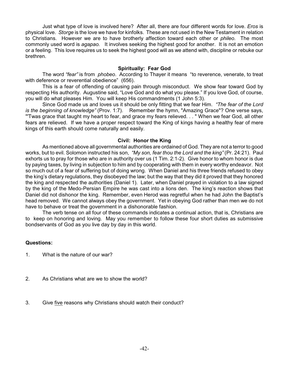Just what type of love is involved here? After all, there are four different words for love. *Eros* is physical love. *Storge* is the love we have for kinfolks. These are not used in the New Testament in relation to Christians. However we are to have brotherly affection toward each other or *phileo.* The most commonly used word is *agapao.* It involves seeking the highest good for another. It is not an emotion or a feeling. This love requires us to seek the highest good will as we attend with, discipline or rebuke our brethren.

# **Spiritually: Fear God**

The word *"fear"* is from *phobeo*. According to Thayer it means "to reverence, venerate, to treat with deference or reverential obedience" (656).

This is a fear of offending of causing pain through misconduct. We show fear toward God by respecting His authority. Augustine said, "Love God and do what you please." If you love God, of course, you will do what pleases Him. You will keep His commandments (1 John 5:3).

Since God made us and loves us it should be only fitting that we fear Him. *"The fear of the Lord is the beginning of knowledge"* (Prov. 1:7). Remember the hymn, "Amazing Grace"? One verse says, "'Twas grace that taught my heart to fear, and grace my fears relieved. . . " When we fear God, all other fears are relieved. If we have a proper respect toward the King of kings having a healthy fear of mere kings of this earth should come naturally and easily.

### **Civil: Honor the King**

As mentioned above all governmental authorities are ordained of God. They are not a terror to good works, but to evil. Solomon instructed his son, *"My son, fear thou the Lord and the king"* (Pr. 24:21). Paul exhorts us to pray for those who are in authority over us (1 Tim. 2:1-2). Give honor to whom honor is due by paying taxes, by living in subjection to him and by cooperating with them in every worthy endeavor. Not so much out of a fear of suffering but of doing wrong. When Daniel and his three friends refused to obey the king's dietary regulations, they disobeyed the law; but the way that they did it proved that they honored the king and respected the authorities (Daniel 1). Later, when Daniel prayed in violation to a law signed by the king of the Medo-Persian Empire he was cast into a lions den. The king's reaction shows that Daniel did not dishonor the king. Remember, even Herod was regretful when he had John the Baptist's head removed. We cannot always obey the government. Yet in obeying God rather than men we do not have to behave or treat the government in a dishonorable fashion.

The verb tense on all four of these commands indicates a continual action, that is, Christians are to keep on honoring and loving. May you remember to follow these four short duties as submissive bondservants of God as you live day by day in this world.

- 1. What is the nature of our war?
- 2. As Christians what are we to show the world?
- 3. Give five reasons why Christians should watch their conduct?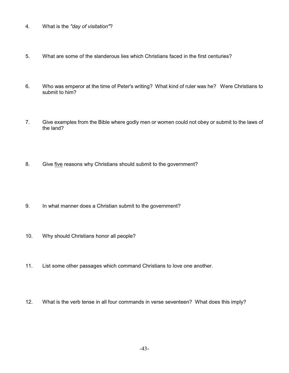- 4. What is the *"day of visitation"*?
- 5. What are some of the slanderous lies which Christians faced in the first centuries?
- 6. Who was emperor at the time of Peter's writing? What kind of ruler was he? Were Christians to submit to him?
- 7. Give examples from the Bible where godly men or women could not obey or submit to the laws of the land?
- 8. Give five reasons why Christians should submit to the government?
- 9. In what manner does a Christian submit to the government?
- 10. Why should Christians honor all people?
- 11. List some other passages which command Christians to love one another.
- 12. What is the verb tense in all four commands in verse seventeen? What does this imply?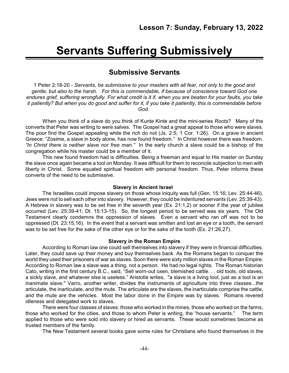# **Servants Suffering Submissively**

# **Submissive Servants**

1 Peter 2:18-20 - *Servants, be submissive to your masters with all fear, not only to the good and gentle, but also to the harsh. For this is commendable, if because of conscience toward God one endures grief, suffering wrongfully. For what credit is it if, when you are beaten for your faults, you take it patiently? But when you do good and suffer for it, if you take it patiently, this is commendable before God.*

When you think of a slave do you think of Kunte Kinte and the mini-series *Roots*? Many of the converts that Peter was writing to were salves. The Gospel had a great appeal to those who were slaves. The poor find the Gospel appealing while the rich do not (Js. 2:5; 1 Cor. 1:26). On a grave in ancient Greece: "Zosime, a slave in body alone, has now found freedom." In Christ however there was freedom. *"In Christ there is neither slave nor free man."* In the early church a slave could be a bishop of the congregation while his master could be a member of it.

This new found freedom had is difficulties. Being a freeman and equal to His master on Sunday the slave once again became a tool on Monday. It was difficult for them to reconcile subjection to men with liberty in Christ. Some equated spiritual freedom with personal freedom. Thus, Peter informs these converts of the need to be submissive.

#### **Slavery in Ancient Israel**

The Israelites could impose slavery on those whose iniquity was full (Gen. 15:16; Lev. 25:44-46). Jews were not to sell each other into slavery. However, they could be indentured servants (Lev. 25:39-43). A Hebrew in slavery was to be set free in the seventh year (Ex. 21:1,2) or sooner if the year of jubilee occurred (Lev. 25:39-41; Dt. 15:13-15). So, the longest period to be served was six years. The Old Testament clearly condemns the oppression of slaves. Even a servant who ran off was not to be oppressed (Dt. 23:15,16). In the event that a servant was smitten and lost an eye or a tooth, the servant was to be set free for the sake of the other eye or for the sake of the tooth (Ex. 21:26,27).

#### **Slavery in the Roman Empire**

According to Roman law one could sell themselves into slavery if they were in financial difficulties. Later, they could save up their money and buy themselves back. As the Romans began to conquer the world they used their prisoners of war as slaves. Soon there were sixty million slaves in the Roman Empire. According to Roman law a slave was a thing, not a person. He had no legal rights. The Roman historian Cato, writing in the first century B.C., said, "Sell worn-out oxen, blemished cattle. . . old tools, old slaves, a sickly slave, and whatever else is useless." Aristotle writes, "a slave is a living tool, just as a tool is an inanimate slave." Varro, another writer, divides the instruments of agriculture into three classes...the articulate, the inarticulate, and the mute. The articulate are the slaves, the inarticulate comprise the cattle, and the mute are the vehicles. Most the labor done in the Empire was by slaves. Romans revered idleness and delegated work to slaves.

There were four classes of slaves: those who worked in the mines, those who worked on the farms, those who worked for the cities, and those to whom Peter is writing, the "house servants." The term applied to those who were sold into slavery or hired as servants. These would sometimes become as trusted members of the family.

The New Testament several books gave some rules for Christians who found themselves in the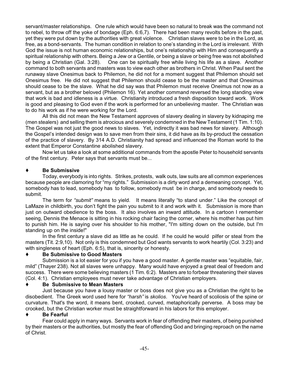servant/master relationships. One rule which would have been so natural to break was the command not to rebel, to throw off the yoke of bondage (Eph. 6:6,7). There had been many revolts before in the past, yet they were put down by the authorities with great violence. Christian slaves were to be in the Lord, as free, as a bond-servants. The human condition in relation to one's standing in the Lord is irrelevant. With God the issue is not human economic relationships, but one's relationship with Him and consequently a spiritual relationship with others. Being a Jew or a Gentile, or being a slave or being free was not abolished by being a Christian (Gal. 3:28). One can be spiritually free while living his life as a slave. Another command to both servants and masters was to view each other as brothers in Christ. When Paul sent the runaway slave Onesimus back to Philemon, he did not for a moment suggest that Philemon should set Onesimus free. He did not suggest that Philemon should cease to be the master and that Onesimus should cease to be the slave. What he did say was that Philemon must receive Oneimus not now as a servant, but as a brother beloved (Philemon 16). Yet another command reversed the long standing view that work is bad and idleness is a virtue. Christianity introduced a fresh disposition toward work. Work is good and pleasing to God even if the work is performed for an unbelieving master. The Christian was to do his work as if he were working for the Lord.

All this did not mean the New Testament approves of slavery dealing in slavery by kidnaping me (men stealers) and selling them is atrocious and severely condemned in the New Testament (1 Tim. 1:10). The Gospel was not just the good news to slaves. Yet, indirectly it was bad news for slavery. Although the Gospel's intended design was to save men from their sins, it did have as its by-product the cessation of the practice of slavery. By 314 A.D. Christianity had spread and influenced the Roman world to the extent that Emperor Constantine abolished slavery.

Now let us take a look at some additional commands from the apostle Peter to household servants of the first century. Peter says that servants must be...

# **Be Submissive**

Today, everybody is into rights. Strikes, protests, walk outs, law suits are all common experiences because people are clamoring for "my rights." Submission is a dirty word and a demeaning concept. Yet, somebody has to lead, somebody has to follow, somebody must be in charge, and somebody needs to submit.

The term for *"submit"* means to yield. It means literally "to stand under." Like the concept of LaMaze in childbirth, you don't fight the pain you submit to it and work with it. Submission is more than just on outward obedience to the boss. It also involves an inward attitude. In a cartoon I remember seeing, Dennis the Menace is sitting in his rocking chair facing the corner, where his mother has put him to punish him. He is saying over his shoulder to his mother, "I'm sitting down on the outside, but I'm standing up on the inside!"

In the first century a slave did as little as he could. If he could he would pilfer or steal from the masters (Tit. 2:9,10). Not only is this condemned but God wants servants to work heartily (Col. 3:23) and with singleness of heart (Eph. 6:5), that is, sincerity or honesty.

# **Be Submissive to Good Masters**

Submission is a lot easier for you if you have a good master. A gentle master was "equitable, fair, mild" (Thayer 238). Not all slaves were unhappy. Many would have enjoyed a great deal of freedom and success. There were some believing masters (1 Tim. 6:2). Masters are to forbear threatening their slaves (Col. 4:1). Christian employees must never take advantage of Christian employers.

### **Be Submissive to Mean Masters**

Just because you have a lousy master or boss does not give you as a Christian the right to be disobedient. The Greek word used here for *"harsh"* is *skolios*. You've heard of scoliosis of the spine or curvature. That's the word, it means bent, crooked, curved, metaphorically perverse. A boss may be crooked, but the Christian worker must be straightforward in his labors for this employer.

### **Be Fearful**

Fear could apply in many ways. Servants work in fear of offending their masters, of being punished by their masters or the authorities, but mostly the fear of offending God and bringing reproach on the name of Christ.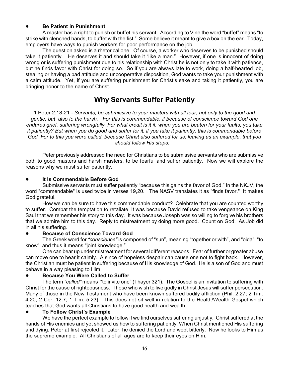### **Be Patient in Punishment**

A master has a right to punish or buffet his servant. According to Vine the word "buffet" means "to strike with clenched hands, to buffet with the fist." Some believe it meant to give a box on the ear. Today, employers have ways to punish workers for poor performance on the job.

The question asked is a rhetorical one. Of course, a worker who deserves to be punished should take it patiently. He deserves it and should take it "like a man." However, if one is innocent of doing wrong or is suffering punishment due to his relationship with Christ he is not only to take it with patience, but he finds favor with Christ for doing so. So if you are always late to work, doing a half-hearted job, stealing or having a bad attitude and uncooperative disposition, God wants to take your punishment with a calm attitude. Yet, if you are suffering punishment for Christ's sake and taking it patiently, you are bringing honor to the name of Christ.

# **Why Servants Suffer Patiently**

1 Peter 2:18-21 *- Servants, be submissive to your masters with all fear, not only to the good and gentle, but also to the harsh. For this is commendable, if because of conscience toward God one endures grief, suffering wrongfully. For what credit is it if, when you are beaten for your faults, you take it patiently? But when you do good and suffer for it, if you take it patiently, this is commendable before God. For to this you were called, because Christ also suffered for us, leaving us an example, that you should follow His steps:* 

Peter previously addressed the need for Christians to be submissive servants who are submissive both to good masters and harsh masters, to be fearful and suffer patiently. Now we will explore the reasons why we must suffer patiently.

### ! **It Is Commendable Before God**

Submissive servants must suffer patiently "because this gains the favor of God." In the NKJV, the word "commendable" is used twice in verses 19,20. The NASV translates it as "finds favor." It makes God grateful.

How we can be sure to have this commendable conduct? Celebrate that you are counted worthy to suffer. Combat the temptation to retaliate. It was because David refused to take vengeance on King Saul that we remember his story to this day. It was because Joseph was so willing to forgive his brothers that we admire him to this day. Reply to mistreatment by doing more good. Count on God. As Job did in all his suffering.

# ! **Because of Conscience Toward God**

The Greek word for *"conscience"* is composed of "sun", meaning "together or with", and "oida", "to know", and thus it means "joint knowledge."

One can bear up under mistreatment for several different reasons. Fear of further or greater abuse can move one to bear it calmly. A since of hopeless despair can cause one not to fight back. However, the Christian must be patient in suffering because of His knowledge of God. He is a son of God and must behave in a way pleasing to Him.

# ! **Because You Were Called to Suffer**

The term *"called"* means "to invite one" (Thayer 321). The Gospel is an invitation to suffering with Christ for the cause of righteousness. Those who wish to live godly in Christ Jesus will suffer persecution. Many of those in the New Testament who have been known suffered bodily affliction (Phil. 2;27; 2 Tim. 4:20; 2 Cor. 12:7; 1 Tim. 5:23). This does not sit well in relation to the Health/Wealth Gospel which teaches that God wants all Christians to have good health and wealth.

### ! **To Follow Christ's Example**

We have the perfect example to follow if we find ourselves suffering unjustly. Christ suffered at the hands of His enemies and yet showed us how to suffering patiently. When Christ mentioned His suffering and dying, Peter at first rejected it. Later, he denied the Lord and wept bitterly. Now he looks to Him as the supreme example. All Christians of all ages are to keep their eyes on Him.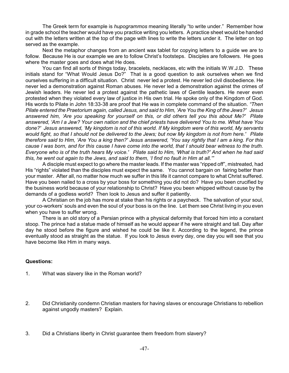The Greek term for example is *hupogrammos* meaning literally "to write under." Remember how in grade school the teacher would have you practice writing you letters. A practice sheet would be handed out with the letters written at the top of the page with lines to write the letters under it. The letter on top served as the example.

Next the metaphor changes from an ancient wax tablet for copying letters to a guide we are to follow. Because He is our example we are to follow Christ's footsteps. Disciples are followers. He goes where the master goes and does what He does.

You can find all sorts of things today, bracelets, necklaces, etc with the initials W.W.J.D. These initials stand for "What Would Jesus Do?" That is a good question to ask ourselves when we find ourselves suffering in a difficult situation. Christ never led a protest. He never led civil disobedience. He never led a demonstration against Roman abuses. He never led a demonstration against the crimes of Jewish leaders. He never led a protest against the pathetic laws of Gentile leaders. He never even protested when they violated every law of justice in His own trial. He spoke only of the Kingdom of God. His words to Pilate in John 18:33-38 are proof that He was in complete command of the situation. *"Then Pilate entered the Praetorium again, called Jesus, and said to Him, 'Are You the King of the Jews?' Jesus answered him, 'Are you speaking for yourself on this, or did others tell you this about Me?' Pilate answered, 'Am I a Jew? Your own nation and the chief priests have delivered You to me. What have You done?' Jesus answered, 'My kingdom is not of this world. If My kingdom were of this world, My servants would fight, so that I should not be delivered to the Jews; but now My kingdom is not from here.' Pilate therefore said to Him, 'Are You a king then?' Jesus answered, 'You say rightly that I am a king. For this cause I was born, and for this cause I have come into the world, that I should bear witness to the truth. Everyone who is of the truth hears My voice.' Pilate said to Him, 'What is truth?' And when he had said this, he went out again to the Jews, and said to them, 'I find no fault in Him at all.'"*

A disciple must expect to go where the master leads. If the master was "ripped off", mistreated, had His "rights" violated than the disciples must expect the same. You cannot bargain on fairing better than your master. After all, no matter how much we suffer in this life it cannot compare to what Christ suffered. Have you been nailed to a cross by your boss for something you did not do? Have you been crucified by the business world because of your relationship to Christ? Have you been whipped without cause by the demands of a godless world? Then look to Jesus and suffer it patiently.

A Christian on the job has more at stake than his rights or a paycheck. The salvation of your soul, your co-workers' souls and even the soul of your boss is on the line. Let them see Christ living in you even when you have to suffer wrong.

There is an old story of a Persian prince with a physical deformity that forced him into a constant stoop. The prince had a statue made of himself as he would appear if he were straight and tall. Day after day he stood before the figure and wished he could be like it. According to the legend, the prince eventually stood as straight as the statue. If you look to Jesus every day, one day you will see that you have become like Him in many ways.

- 1. What was slavery like in the Roman world?
- 2. Did Christianity condemn Christian masters for having slaves or encourage Christians to rebellion against ungodly masters? Explain.
- 3. Did a Christians liberty in Christ guarantee them freedom from slavery?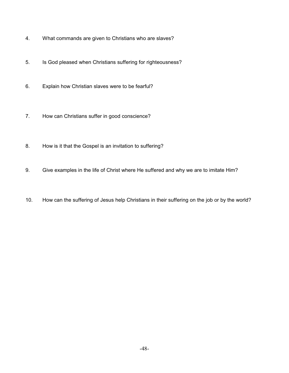- 4. What commands are given to Christians who are slaves?
- 5. Is God pleased when Christians suffering for righteousness?
- 6. Explain how Christian slaves were to be fearful?
- 7. How can Christians suffer in good conscience?
- 8. How is it that the Gospel is an invitation to suffering?
- 9. Give examples in the life of Christ where He suffered and why we are to imitate Him?
- 10. How can the suffering of Jesus help Christians in their suffering on the job or by the world?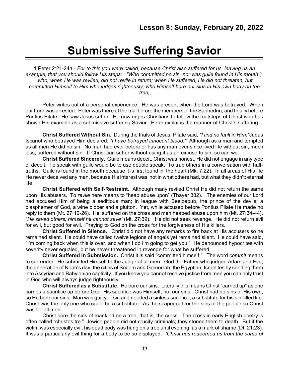# **Submissive Suffering Savior**

1 Peter 2:21-24a - *For to this you were called, because Christ also suffered for us, leaving us an example, that you should follow His steps: "Who committed no sin, nor was guile found in His mouth''; who, when He was reviled, did not revile in return; when He suffered, He did not threaten, but committed Himself to Him who judges righteously; who Himself bore our sins in His own body on the tree,*

Peter writes out of a personal experience. He was present when the Lord was betrayed. When our Lord was arrested. Peter was there at the trial before the members of the Sanhedrin, and finally before Pontius Pilate. He saw Jesus suffer. He now urges Christians to follow the footsteps of Christ who has shown His example as a submissive suffering Savior. Peter explains the manner of Christ's suffering...

**Christ Suffered Without Sin.** During the trials of Jesus, Pilate said, *"I find no fault in Him."*Judas Iscariot who betrayed Him declared, *"I have betrayed innocent blood."* Although as a man and tempted as all men He did no sin. No man had ever before or has any man ever since lived life without sin, much less, suffered without sin. If Christ can suffer without using it as an excuse to sin, so can we.

**Christ Suffered Sincerely**. Guile means deceit. Christ was honest, He did not engage in any type of deceit. To speak with guile would be to use double speak. To trap others in a conversation with halftruths. Guile is found in the mouth because it is first found in the heart (Mk. 7:22). In all areas of His life He never deceived any man, because His interest was not in what others had, but what they didn't: eternal life.

**Christ Suffered with Self-Restraint**. Although many reviled Christ He did not return the same upon His abusers. To *revile* here means to "heap abuse upon" (Thayer 382). The enemies of our Lord had accused Him of being a seditious man; in league with Beelzebub, the prince of the devils; a blasphemer of God, a wine bibber and a glutton. Yet, while accused before Pontius Pilate He made no reply to them (Mt. 27:12-26). He suffered on the cross and men heaped abuse upon him (Mt. 27:34-44). *"He saved others; himself he cannot save"* (Mt. 27:39). He did not seek revenge. He did not return evil for evil, but good for evil. Praying to God on the cross for the forgiveness of His killers.

**Christ Suffered in Silence.** Christ did not have any remarks to fire back at His accusers so he remained silent. He could have called twelve legions of angels yet remained silent. He could have said, "I'm coming back when this is over, and when I do I'm going to get you!" He denounced hypocrites with severity never equaled, but he never threatened in revenge for what he suffered.

**Christ Suffered in Submission.** Christ it is said "committed himself." The word *commit* means to surrender. He submitted Himself to the Judge of all men. God the Father who judged Adam and Eve, the generation of Noah's day, the cities of Sodom and Gomorrah, the Egyptian, Israelites by sending them into Assyrian and Babylonian captivity. If you know you cannot receive justice from men you can only trust in God who will always judge righteously.

**Christ Suffered as a Substitute.** He bore our sins. Literally this means Christ "carried up" as one carries a sacrifice up before God. His sacrifice was Himself, not our sins. Christ had no sins of His own, so He bore our sins. Man was guilty of sin and needed a sinless sacrifice, a substitute for his sin-filled life. Christ was the only one who could be a substitute. As the scapegoat for the sins of the people so Christ was for all men.

Christ bore the sins of mankind on a tree, that is, the cross. The cross in early English poetry is often called "christos tre." Jewish people did not crucify criminals; they stoned them to death. But if the victim was especially evil, his dead body was hung on a tree until evening, as a mark of shame (Dt. 21:23). It was a particularly evil thing for a body to be so displayed. *"Christ has redeemed us from the curse of*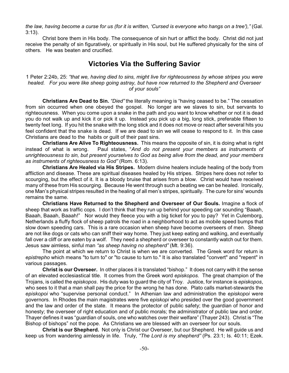*the law, having become a curse for us (for it is written, 'Cursed is everyone who hangs on a tree'),"* (Gal. 3:13).

Christ bore them in His body. The consequence of sin hurt or afflict the body. Christ did not just receive the penalty of sin figuratively, or spiritually in His soul, but He suffered physically for the sins of others. He was beaten and crucified.

# **Victories Via the Suffering Savior**

1 Peter 2:24b, 25: *"that we, having died to sins, might live for righteousness by whose stripes you were healed. For you were like sheep going astray, but have now returned to the Shepherd and Overseer of your souls"*

**Christians Are Dead to Sin.** *"Died"* the literally meaning is "having ceased to be." The cessation from sin occurred when one obeyed the gospel. No longer are we slaves to sin, but servants to righteousness. When you come upon a snake in the path and you want to know whether or not it is dead you do not walk up and kick it or pick it up. Instead you pick up a big, long stick, preferable fifteen to twenty feet long. If you hit the snake with the long stick and it does not move or react after several hits you feel confident that the snake is dead. If we are dead to sin we will cease to respond to it. In this case Christians are dead to the habits or guilt of their past sins.

**Christians Are Alive To Righteousness.** This means the opposite of sin, it is doing what is right instead of what is wrong. Paul states, "*And do not present your members as instruments of unrighteousness to sin, but present yourselves to God as being alive from the dead, and your members as instruments of righteousness to God"* (Rom. 6:13).

**Christians Are Healed via His Stripes.** Modern divine healers include healing of the body from affliction and disease. These are spiritual diseases healed by His stripes. Stripes here does not refer to scourging, but the effect of it. It is a bloody bruise that arises from a blow. Christ would have received many of these from His scourging. Because He went through such a beating we can be healed. Ironically, one Man's physical stripes resulted in the healing of all men's stripes, spiritually. The cure for sins' wounds remains the same.

**Christians Have Returned to the Shepherd and Overseer of Our Souls.** Imagine a flock of sheep that work as traffic cops. I don't think that they run up behind your speeding car sounding "Baaah, Baaah, Baaah, Baaah!" Nor would they fleece you with a big ticket for you to pay? Yet in Culemborg, Netherlands a fluffy flock of sheep patrols the road in a neighborhood to act as mobile speed bumps that slow down speeding cars. This is a rare occasion when sheep have become overseers of men. Sheep are not like dogs or cats who can sniff their way home. They just keep eating and walking, and eventually fall over a cliff or are eaten by a wolf. They need a shepherd or overseer to constantly watch out for them. Jesus saw aimless, sinful man *"as sheep having no shepherd"* (Mt. 9:36).

The point at which we return to Christ is when we are converted. The Greek word for return is *epistrepho* which means "to turn to" or "to cause to turn to." It is also translated "convert" and "repent" in various passages.

**Christ is our Overseer.** In other places it is translated "bishop." It does not carry with it the sense of an elevated ecclesiastical title. It comes from the Greek word *episkopos.* The great champion of the Trojans, is called the *episkopos*. His duty was to guard the city of Troy. Justice, for instance is *episkopos*, who sees to it that a man shall pay the price for the wrong he has done. Plato calls market-stewards the *episkopoi* who "supervise personal conduct." In Athenian law and administration the *episkopoi* were governors. In Rhodes the main magistrates were five *episkopi* who presided over the good government and the law and order of the state. It means the protector of public safety; the guardian of honor and honesty; the overseer of right education and of public morals; the administrator of public law and order. Thayer defines it was "guardian of souls, one who watches over their welfare" (Thayer 243). Christ is "The Bishop of bishops" not the pope. As Christians we are blessed with an overseer for our souls.

**Christ is our Shepherd.** Not only is Christ our Overseer, but our Shepherd. He will guide us and keep us from wandering aimlessly in life. Truly, *"The Lord is my shepherd"* (Ps. 23:1; Is. 40:11; Ezek.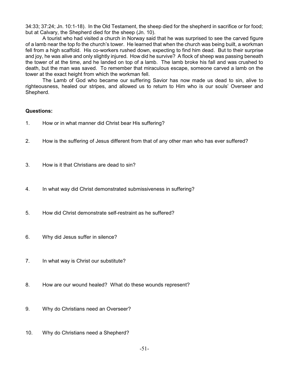34:33; 37:24; Jn. 10:1-18). In the Old Testament, the sheep died for the shepherd in sacrifice or for food; but at Calvary, the Shepherd died for the sheep (Jn. 10).

A tourist who had visited a church in Norway said that he was surprised to see the carved figure of a lamb near the top fo the church's tower. He learned that when the church was being built, a workman fell from a high scaffold. His co-workers rushed down, expecting to find him dead. But to their surprise and joy, he was alive and only slightly injured. How did he survive? A flock of sheep was passing beneath the tower of at the time, and he landed on top of a lamb. The lamb broke his fall and was crushed to death, but the man was saved. To remember that miraculous escape, someone carved a lamb on the tower at the exact height from which the workman fell.

The Lamb of God who became our suffering Savior has now made us dead to sin, alive to righteousness, healed our stripes, and allowed us to return to Him who is our souls' Overseer and Shepherd.

- 1. How or in what manner did Christ bear His suffering?
- 2. How is the suffering of Jesus different from that of any other man who has ever suffered?
- 3. How is it that Christians are dead to sin?
- 4. In what way did Christ demonstrated submissiveness in suffering?
- 5. How did Christ demonstrate self-restraint as he suffered?
- 6. Why did Jesus suffer in silence?
- 7. In what way is Christ our substitute?
- 8. How are our wound healed? What do these wounds represent?
- 9. Why do Christians need an Overseer?
- 10. Why do Christians need a Shepherd?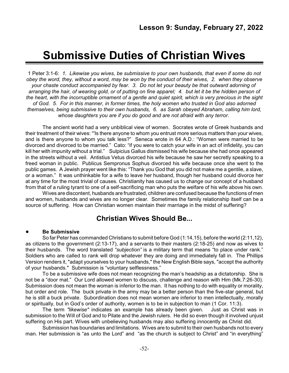# **Submissive Duties of Christian Wives**

1 Peter 3:1-6: *1. Likewise you wives, be submissive to your own husbands, that even if some do not obey the word, they, without a word, may be won by the conduct of their wives, 2. when they observe your chaste conduct accompanied by fear. 3. Do not let your beauty be that outward adorning of arranging the hair, of wearing gold, or of putting on fine apparel; 4. but let it be the hidden person of the heart, with the incorruptible ornament of a gentle and quiet spirit, which is very precious in the sight of God. 5. For in this manner, in former times, the holy women who trusted in God also adorned themselves, being submissive to their own husbands, 6. as Sarah obeyed Abraham, calling him lord, whose daughters you are if you do good and are not afraid with any terror.*

The ancient world had a very unbiblical view of women. Socrates wrote of Greek husbands and their treatment of their wives: "'Is there anyone to whom you entrust more serious matters than your wives, and is there anyone to whom you talk less?" Seneca wrote in 64 A.D.: "Women were married to be divorced and divorced to be married." Cato: "if you were to catch your wife in an act of infidelity, you can kill her with impunity without a trial." Sulpicius Gallus dismissed his wife because she had once appeared in the streets without a veil. Antistius Vetus divorced his wife because he saw her secretly speaking to a freed woman in public. Publicus Sempronus Sophus divorced his wife because once she went to the public games. A Jewish prayer went like this: "Thank you God that you did not make me a gentile, a slave, or a woman." It was unthinkable for a wife to leave her husband, though her husband could divorce her at any time for the most trivial of causes. Christianity has caused us to change our concept of a husband from that of a ruling tyrant to one of a self-sacrificing man who puts the welfare of his wife above his own.

Wives are discontent, husbands are frustrated, children are confused because the functions of men and women, husbands and wives are no longer clear. Sometimes the family relationship itself can be a source of suffering. How can Christian women maintain their marriage in the midst of suffering?

# **Christian Wives Should Be...**

# ! **Be Submissive**

So far Peter has commanded Christians to submit before God (1:14,15), before the world (2:11,12), as citizens to the government (2:13-17), and a servants to their masters (2:18-25) and now as wives to their husbands. The word translated *"subjection"* is a military term that means "to place under rank." Soldiers who are called to rank will drop whatever they are doing and immediately fall in. The Phillips Version renders it, "adapt yourselves to your husbands," the New English Bible says, "accept the authority of your husbands." Submission is "voluntary selflessness."

To be a submissive wife does not mean recognizing the man's headship as a dictatorship. She is not be a "door mat." Our Lord allowed women to discuss, challenge and reason with Him (Mk.7:26-30). Submission does not mean the woman is inferior to the man. It has nothing to do with equality or morality, but order and role. The buck private in the army may be a better person than the five-star general, but he is still a buck private. Subordination does not mean women are inferior to men intellectually, morally or spiritually, but in God's order of authority, women is to be in subjection to man (1 Cor. 11:3).

The term *"likewise"* indicates an example has already been given. Just as Christ was in submission to the Will of God and to Pilate and the Jewish rulers. He did so even though it involved unjust suffering on His part. Wives with unbelieving husbands may also suffering innocently as Christ did.

Submission has boundaries and limitations. Wives are to submit to their own husbands not to every man. Her submission is "as unto the Lord" and "as the church is subject to Christ" and "in everything"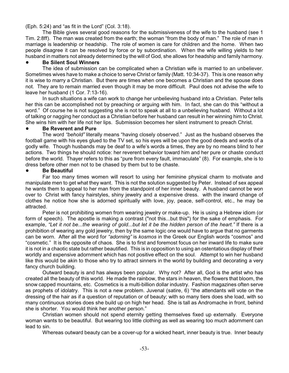(Eph. 5:24) and "as fit in the Lord" (Col. 3:18).

The Bible gives several good reasons for the submissiveness of the wife to the husband (see 1 Tim. 2:8ff). The man was created from the earth; the woman "from the body of man." The role of man in marriage is leadership or headship. The role of women is care for children and the home. When two people disagree it can be resolved by force or by subordination. When the wife willing yields to her husband in matters not already determined by the will of God, she allows for headship and family harmony.

### ! **Be Silent Soul Winners**

The idea of submission can be complicated when a Christian wife is married to an unbeliever. Sometimes wives have to make a choice to serve Christ or family (Matt. 10:34-37). This is one reason why it is wise to marry a Christian. But there are times when one becomes a Christian and the spouse does not. They are to remain married even though it may be more difficult. Paul does not advise the wife to leave her husband (1 Cor. 7:13-16).

In such situations a wife can work to change her unbelieving husband into a Christian. Peter tells her this can be accomplished not by preaching or arguing with him. In fact, she can do this "without a word." Of course he is not suggesting she is not to speak at all to a unbelieving husband. Without a lot of talking or nagging her conduct as a Christian before her husband can result in her winning him to Christ. She wins him with her life not her lips. Submission becomes her silent instrument to preach Christ.

### ! **Be Reverent and Pure**

The word *"behold"* literally means "having closely observed." Just as the husband observes the football game with his eyes glued to the TV set, so his eyes will be upon the good deeds and words of a godly wife. Though husbands may be deaf to a wife's words a times, they are by no means blind to her actions. Two things he should notice: her reverent behavior toward him and her pure or chaste conduct before the world. Thayer refers to this as "pure from every fault, immaculate" (8). For example, she is to dress before other men not to be chased by them but to be chaste.

# ! **Be Beautiful**

Far too many times women will resort to using her feminine physical charm to motivate and manipulate men to get what they want. This is not the solution suggested by Peter. Instead of sex appeal he wants them to appeal to her man from the standpoint of her inner beauty. A husband cannot be won over to Christ with fancy hairstyles, shiny jewelry and a expensive dress. with the inward change of clothes he notice how she is adorned spiritually with love, joy, peace, self-control, etc., he may be attracted.

Peter is not prohibiting women from wearing jewelry or make-up. He is using a Hebrew idiom (or form of speech). The apostle is making a contrast ("not this...but this") for the sake of emphasis. For example, *"Let it not be...the wearing of gold...but let it be the hidden person of the heart."* If there is a prohibition of wearing any gold jewelry, then by the same logic one would have to argue that no garments can be worn. After all the word for *"adorning"* is *kosmos* in the Greek our English words "cosmos" and "cosmetic." It is the opposite of chaos. She is to first and foremost focus on her inward life to make sure it is not in a chaotic state but rather beautified. This is in opposition to using an ostentatious display of their worldly and expensive adornment which has not positive effect on the soul. Attempt to win her husband like this would be akin to those who try to attract sinners in the world by building and decorating a very fancy church building.

Outward beauty is and has always been popular. Why not? After all, God is the artist who has created all the beauty of this world. He made the rainbow, the stars in heaven, the flowers that bloom, the snow capped mountains, etc. Cosmetics is a multi-billion dollar industry. Fashion magazines often serve as prophets of idolatry. This is not a new problem. Juvenal (satire, 6) "the attendants will vote on the dressing of the hair as if a question of reputation or of beauty; with so many tiers does she load, with so many continuous stories does she build up on high her head. She is tall as Andromache in front, behind she is shorter. You would think her another person."

Christian women should not spend eternity getting themselves fixed up externally. Everyone woman wants to be beautiful. But wearing too little clothing as well as wearing too much adornment can lead to sin.

Whereas outward beauty can be a cover-up for a wicked heart, inner beauty is true. Inner beauty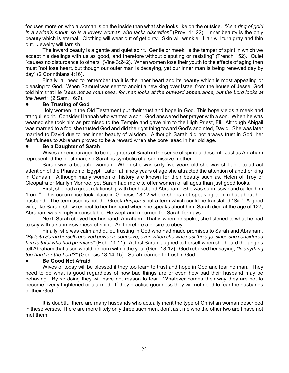focuses more on who a woman is on the inside than what she looks like on the outside. *"As a ring of gold in a swine's snout, so is a lovely woman who lacks discretion"* (Prov. 11:22). Inner beauty is the only beauty which is eternal. Clothing will wear out of get dirty. Skin will wrinkle. Hair will turn gray and thin out. Jewelry will tarnish.

The inward beauty is a gentle and quiet spirit. Gentle or meek "is the temper of spirit in which we accept his dealings with us as good, and therefore without disputing or resisting" (Trench 152). Quiet "causes no disturbance to others" (Vine 3:242). When women lose their youth to the effects of aging then must "not lose heart, but though our outer man is decaying, yet our inner man is being renewed day by day" (2 Corinthians 4:16).

Finally, all need to remember tha it is the inner heart and its beauty which is most appealing or pleasing to God. When Samuel was sent to anoint a new king over Israel from the house of Jesse, God told him that He *"sees not as man sees, for man looks at the outward appearance, but the Lord looks at the heart"* (2 Sam. 16:7).

# ! **Be Trusting of God**

Holy women in the Old Testament put their trust and hope in God. This hope yields a meek and tranquil spirit. Consider Hannah who wanted a son. God answered her prayer with a son. When he was weaned she took him as promised to the Temple and gave him to the High Priest, Eli. Although Abigail was married to a fool she trusted God and did the right thing toward God's anointed, David. She was later married to David due to her inner beauty of wisdom. Although Sarah did not always trust in God, her faithfulness to Abraham proved to be a reward when she bore Isaac in her old age.

### ! **Be a Daughter of Sarah**

Wives are encouraged to be daughters of Sarah in the sense of spiritual descent**.** Just as Abraham represented the ideal man, so Sarah is symbolic of a submissive mother.

Sarah was a beautiful woman. When she was sixty-five years old she was still able to attract attention of the Pharaoh of Egypt. Later, at ninety years of age she attracted the attention of another king in Canaan. Although many women of history are known for their beauty such as, Helen of Troy or Cleopatra or Marilyn Monroe, yet Sarah had more to offer women of all ages than just good looks.

First, she had a great relationship with her husband Abraham. She was submissive and called him "Lord." This occurrence took place in Genesis 18:12 where she is not speaking to him but about her husband. The term used is not the Greek *despotes* but a term which could be translated "Sir." A good wife, like Sarah, show respect to her husband when she speaks about him. Sarah died at the age of 127, Abraham was simply inconsolable. He wept and mourned for Sarah for days.

Next, Sarah obeyed her husband, Abraham. That is when he spoke, she listened to what he had to say with a submissiveness of spirit. An therefore a desire to obey.

Finally, she was calm and quiet, trusting in God who had made promises to Sarah and Abraham. *"By faith Sarah herself received power to conceive, even when she was past the age, since she considered him faithful who had promised"* (Heb. 11:11). At first Sarah laughed to herself when she heard the angels tell Abraham that a son would be born within the year (Gen. 18:12). God rebuked her saying, *"Is anything too hard for the Lord?"* (Genesis 18:14-15). Sarah learned to trust in God.

### ! **Be Good Not Afraid**

Wives of today will be blessed if they too learn to trust and hope in God and fear no man. They need to do what is good regardless of how bad things are or even how bad their husband may be behaving. By so doing they will have not reason to fear. Whatever comes their way they are not to become overly frightened or alarmed. If they practice goodness they will not need to fear the husbands or their God.

It is doubtful there are many husbands who actually merit the type of Christian woman described in these verses. There are more likely only three such men, don't ask me who the other two are I have not met them.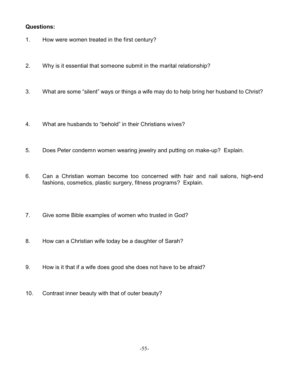- 1. How were women treated in the first century?
- 2. Why is it essential that someone submit in the marital relationship?
- 3. What are some "silent" ways or things a wife may do to help bring her husband to Christ?
- 4. What are husbands to "behold" in their Christians wives?
- 5. Does Peter condemn women wearing jewelry and putting on make-up? Explain.
- 6. Can a Christian woman become too concerned with hair and nail salons, high-end fashions, cosmetics, plastic surgery, fitness programs? Explain.
- 7. Give some Bible examples of women who trusted in God?
- 8. How can a Christian wife today be a daughter of Sarah?
- 9. How is it that if a wife does good she does not have to be afraid?
- 10. Contrast inner beauty with that of outer beauty?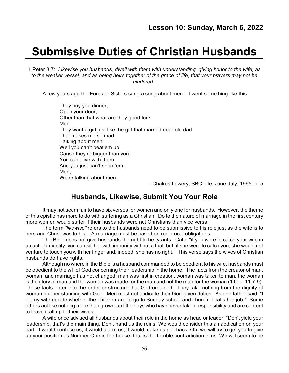# **Submissive Duties of Christian Husbands**

1 Peter 3:7: *Likewise you husbands, dwell with them with understanding, giving honor to the wife, as to the weaker vessel, and as being heirs together of the grace of life, that your prayers may not be hindered.*

A few years ago the Forester Sisters sang a song about men. It went something like this:

They buy you dinner, Open your door, Other than that what are they good for? Men They want a girl just like the girl that married dear old dad. That makes me so mad. Talking about men. Well you can't beat'em up Cause they're bigger than you. You can't live with them And you just can't shoot'em. Men, We're talking about men.

– Chalres Lowery, SBC Life, June-July, 1995, p. 5

# **Husbands, Likewise, Submit You Your Role**

It may not seem fair to have six verses for women and only one for husbands. However, the theme of this epistle has more to do with suffering as a Christian. Do to the nature of marriage in the first century more women would suffer if their husbands were not Christians than vice versa.

The term *"likewise"* refers to the husbands need to be submissive to his role just as the wife is to hers and Christ was to his. A marriage must be based on reciprocal obligations.

The Bible does not give husbands the right to be tyrants. Cato: "if you were to catch your wife in an act of infidelity, you can kill her with impunity without a trial; but, if she were to catch you, she would not venture to touch you with her finger and, indeed, she has no right." This verse says the wives of Christian husbands do have rights.

Although no where in the Bible is a husband commanded to be obedient to his wife, husbands must be obedient to the will of God concerning their leadership in the home. The facts from the creator of man, woman, and marriage has not changed: man was first in creation, woman was taken to man, the woman is the glory of man and the woman was made for the man and not the man for the woman (1 Cor. 11:7-9). These facts enter into the order or structure that God ordained. They take nothing from the dignity of woman nor her standing with God. Men must not abdicate their God-given duties. As one father said, "I let my wife decide whether the children are to go to Sunday school and church. That's her job." Some others act like nothing more than grown-up little boys who have never taken responsibility and are content to leave it all up to their wives.

A wife once advised all husbands about their role in the home as head or leader: "Don't yield your leadership, that's the main thing. Don't hand us the reins. We would consider this an abdication on your part. It would confuse us, it would alarm us; it would make us pull back. Oh, we will try to get you to give up your position as Number One in the house, that is the terrible contradiction in us. We will seem to be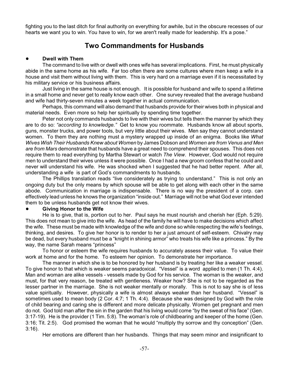fighting you to the last ditch for final authority on everything for awhile, but in the obscure recesses of our hearts we want you to win. You have to win, for we aren't really made for leadership. It's a pose."

# **Two Commandments for Husbands**

### ! **Dwell with Them**

The command to live with or dwell with ones wife has several implications. First, he must physically abide in the same home as his wife. Far too often there are some cultures where men keep a wife in a house and visit them without living with them. This is very hard on a marriage even if it is necessitated by his military service or his business affairs.

Just living in the same house is not enough. It is possible for husband and wife to spend a lifetime in a small home and never get to really know each other. One survey revealed that the average husband and wife had thirty-seven minutes a week together in actual communication.

Perhaps, this command will also demand that husbands provide for their wives both in physical and material needs. Even more so help her spiritually by spending time together.

Peter not only commands husbands to live with their wives but tells them the manner by which they are to do so: *"according to knowledge."* Get to know you roommate. Husbands know all about sports, guns, monster trucks, and power tools, but very little about their wives. Men say they cannot understand women. To them they are nothing must a mystery wrapped up inside of an enigma. Books like *What Wives Wish Their Husbands Knew about Women* by James Dobson and *Women are from Venus and Men are from Mars* demonstrate that husbands have a great need to comprehend their spouses. This does not require them to read everything by Martha Stewart or watch *The View*. However, God would not require men to understand their wives unless it were possible. Once I had a new groom confess that he could and never will understand his wife. He was shocked when I suggested that he had better repent. After all, understanding a wife is part of God's commandments to husbands.

The Phillips translation reads "live considerately as trying to understand." This is not only an ongoing duty but the only means by which spouse will be able to get along with each other in the same abode. Communication in marriage is indispensable. There is no way the president of a corp. can effectively lead unless he knows the organization "inside out." Marriage will not be what God ever intended them to be unless husbands get not know their wives.

### ! **Giving Honor to the Wife**

He is to give, that is, portion out to her. Paul says he must nourish and cherish her (Eph. 5:29). This does not mean to give into the wife. As head of the family he will have to make decisions which affect the wife. These must be made with knowledge of the wife and done so while respecting the wife's feelings, thinking, and desires. To give her honor is to render to her a just amount of self-esteem. Chivalry may be dead, but every husband must be a "knight in shining armor" who treats his wife like a princess." By the way, the name Sarah means "princess"

To honor or esteem the wife requires husbands to accurately assess their value. To value their work at home and for the home. To esteem her opinion. To demonstrate her importance.

The manner in which she is to be honored by her husband is by treating her like a weaker vessel. To give honor to that which is weaker seems paradoxical. "Vessel" is a word applied to men (1 Th. 4:4). Man and woman are alike vessels - vessels made by God for his service. The woman is the weaker, and must, for that very reason, be treated with gentleness. Weaker how? She is not to be regarded as the lesser partner in the marriage. She is not weaker mentally or morally. This is not to say she is of less value spiritually. However, physically a wife is almost always weaker than her husband. "Vessel" is sometimes used to mean body (2 Cor. 4:7; 1 Th. 4:4). Because she was designed by God with the role of child bearing and caring she is different and more delicate physically. Women get pregnant and men do not. God told man after the sin in the garden that his living would come "by the sweat of his face" (Gen. 3:17-19). He is the provider (1 Tim. 5:8). The woman's role of childbearing and keeper of the home (Gen. 3:16; Tit. 2:5). God promised the woman that he would "multiply thy sorrow and thy conception" (Gen. 3:16).

Her emotions are different than her husbands. Things that may seem minor and insignificant to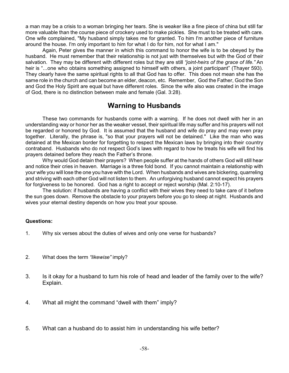a man may be a crisis to a woman bringing her tears. She is weaker like a fine piece of china but still far more valuable than the course piece of crockery used to make pickles. She must to be treated with care. One wife complained, "My husband simply takes me for granted. To him I'm another piece of furniture around the house. I'm only important to him for what I do for him, not for what I am."

Again, Peter gives the manner in which this command to honor the wife is to be obeyed by the husband. He must remember that their relationship is not just with themselves but with the God of their salvation. They may be different with different roles but they are still *"joint-heirs of the grace of life."* An heir is "...one who obtains something assigned to himself with others, a joint participant" (Thayer 593). They clearly have the same spiritual rights to all that God has to offer. This does not mean she has the same role in the church and can become an elder, deacon, etc. Remember, God the Father, God the Son and God the Holy Spirit are equal but have different roles. Since the wife also was created in the image of God, there is no distinction between male and female (Gal. 3:28).

# **Warning to Husbands**

These two commands for husbands come with a warning. If he does not dwell with her in an understanding way or honor her as the weaker vessel, their spiritual life may suffer and his prayers will not be regarded or honored by God. It is assumed that the husband and wife do pray and may even pray together. Literally, the phrase is, "so that your prayers will not be detained." Like the man who was detained at the Mexican border for forgetting to respect the Mexican laws by bringing into their country contraband. Husbands who do not respect God's laws with regard to how he treats his wife will find his prayers detained before they reach the Father's throne.

Why would God detain their prayers? When people suffer at the hands of others God will still hear and notice their cries in heaven. Marriage is a three fold bond. If you cannot maintain a relationship with your wife you will lose the one you have with the Lord. When husbands and wives are bickering, quarreling and striving with each other God will not listen to them. An unforgiving husband cannot expect his prayers for forgiveness to be honored. God has a right to accept or reject worship (Mal. 2:10-17).

The solution: if husbands are having a conflict with their wives they need to take care of it before the sun goes down. Remove the obstacle to your prayers before you go to sleep at night. Husbands and wives your eternal destiny depends on how you treat your spouse.

- 1. Why six verses about the duties of wives and only one verse for husbands?
- 2. What does the term *"likewise"* imply?
- 3. Is it okay for a husband to turn his role of head and leader of the family over to the wife? Explain.
- 4. What all might the command "dwell with them" imply?
- 5. What can a husband do to assist him in understanding his wife better?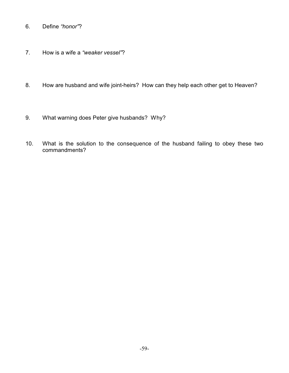- 6. Define *"honor"*?
- 7. How is a wife a *"weaker vessel"*?
- 8. How are husband and wife joint-heirs? How can they help each other get to Heaven?
- 9. What warning does Peter give husbands? Why?
- 10. What is the solution to the consequence of the husband failing to obey these two commandments?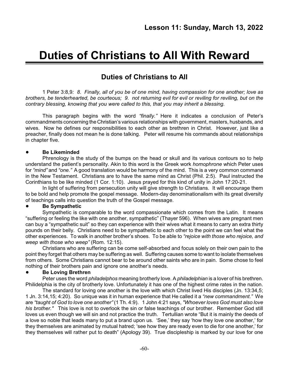# **Duties of Christians to All With Reward**

# **Duties of Christians to All**

1 Peter 3:8,9*: 8. Finally, all of you be of one mind, having compassion for one another; love as brothers, be tenderhearted, be courteous; 9. not returning evil for evil or reviling for reviling, but on the contrary blessing, knowing that you were called to this, that you may inherit a blessing.*

This paragraph begins with the word *"finally."* Here it indicates a conclusion of Peter's commandments concerning the Christian's various relationships with government, masters, husbands, and wives. Now he defines our responsibilities to each other as brethren in Christ. However, just like a preacher, finally does not mean he is done talking. Peter will resume his commands about relationships in chapter five.

### ! **Be Likeminded**

Phrenology is the study of the bumps on the head or skull and its various contours so to help understand the patient's personality. Akin to this word is the Greek work *homophrone* which Peter uses for *"mind"* and *"one."* A good translation would be harmony of the mind. This is a very common command in the New Testament. Christians are to have the same mind as Christ (Phil. 2:5). Paul instructed the Corinthians to be like minded (1 Cor. 1:10). Jesus prayed for this kind of unity in John 17:20-21.

In light of suffering from persecution unity will give strength to Christians. It will encourage them to be bold and help promote the gospel message. Modern-day denominationalism with its great diversity of teachings calls into question the truth of the Gospel message.

### ! **Be Sympathetic**

Sympathetic is comparable to the word compassionate which comes from the Latin. It means "suffering or feeling the like with one another, sympathetic" (Thayer 596). When wives are pregnant men can buy a "sympathetic suit" so they can experience with their wives what it means to carry an extra thirty pounds on their belly. Christians need to be sympathetic to each other to the point we can feel what the other experiences. To walk in another brother's shoes. To be able to *"rejoice with those who rejoice, and weep with those who weep"* (Rom. 12:15).

Christians who are suffering can be come self-absorbed and focus solely on their own pain to the point they forget that others may be suffering as well. Suffering causes some to want to isolate themselves from others. Some Christians cannot bear to be around other saints who are in pain. Some chose to feel nothing of their brothers pain and ignore one another's needs.

# ! **Be Loving Brethren**

Peter uses the word *philadelphos* meaning brotherly love. A *philadelphian* is a lover of his brethren. Philidelphia is the city of brotherly love. Unfortunately it has one of the highest crime rates in the nation.

The standard for loving one another is the love with which Christ lived His disciples (Jn. 13:34,5; 1 Jn. 3:14,15; 4:20). So unique was it in human experience that He called it a *"new commandment."* We are *"taught of God to love one another"* (1 Th. 4:9). 1 John 4:21 says, *"Whoever loves God must also love his brother."* This love is not to overlook the sin or false teachings of our brother. Remember God still loves us even though we will sin and not practice the truth. Tertullian wrote "But it is mainly the deeds of a love so noble that leads many to put a brand upon us. 'See,' they say 'how they love one another,' for they themselves are animated by mutual hatred; 'see how they are ready even to die for one another,' for they themselves will rather put to death" (Apology 39). True discipleship is marked by our love for one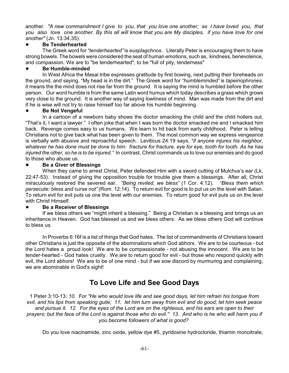another. *"A new commandment I give to you, that you love one another; as I have loved you, that you also love one another. By this all will know that you are My disciples, if you have love for one another"* (Jn. 13:34,35).

# ! **Be Tenderhearted**

The Greek word for *"tenderhearted"* is *eusplagchnos.* Literally Peter is encouraging them to have strong bowels. The bowels were considered the seat of human emotions, such as, kindness, benevolence, and compassion. We are to "be tenderhearted", to be "full of pity, tenderness"

# ! **Be Humble-minded**

In West Africa the Masai tribe expresses gratitude by first bowing, next putting their foreheads on the ground, and saying, "My head is in the dirt." The Greek word for *"humbleminded"* is *tapeinophrones.* it means the the mind does not rise far from the ground. It is saying the mind is humbled before the other person. Our word humble is from the same Latin word humus which today describes a grass which grows very close to the ground. It is another way of saying lowliness of mind. Man was made from the dirt and if he is wise will not try to raise himself too far above his humble beginning.

# ! **Be Not Vengeful**

In a cartoon of a newborn baby shows the doctor smacking the child and the child hollers out, "That's it, I want a lawyer." I often joke that when I was born the doctor smacked me and I smacked him back. Revenge comes easy to us humans. We learn to hit back from early childhood. Peter is telling Christians not to give back what has been given to them. The most common way we express vengeance is verbally with abusive and reproachful speech. Leviticus 24:19 says, *"if anyone injures his neighbor, whatever he has done must be done to him: fracture for fracture, eye for eye, tooth for tooth. As he has injured the other, so he is to be injured."* In contrast, Christ commands us to love our enemies and do good to those who abuse us.

# ! **Be a Giver of Blessings**

When they came to arrest Christ, Peter defended Him with a sword cutting of Mulchus's ear (Lk. 22:47-53). Instead of giving the opposition trouble for trouble give them a blessings. After all, Christ miraculously restored the severed ear. *"Being reviled, we bless"* (1 Cor. 4:12). *"Bless them which persecute: bless and curse not"* (Rom. 12:14). To return evil for good is to put us on the level with Satan. To return evil for evil puts us one the level with our enemies. To return good for evil puts us on the level with Christ Himself.

# ! **Be a Receiver of Blessings**

If we bless others we "might inherit a blessing." Being a Christian is a blessing and brings us an inheritance in Heaven. God has blessed us and we bless others. As we bless others God will continue to bless us.

In Proverbs 6:16f is a list of things that God hates. The list of commandments of Christians toward other Christians is just the opposite of the abominations which God abhors. We are to be courteous - but the Lord hates a proud look! We are to be compassionate - not abusing the innocent. We are to be tender-hearted - God hates cruelty. We are to return good for evil - but those who respond quickly with evil, the Lord abhors! We are to be of one mind - but if we sow discord by murmuring and complaining, we are abominable in God's sight!

# **To Love Life and See Good Days**

1 Peter 3:10-13*: 10. For "He who would love life and see good days, let him refrain his tongue from evil, and his lips from speaking guile; 11. let him turn away from evil and do good; let him seek peace and pursue it. 12. For the eyes of the Lord are on the righteous, and his ears are open to their prayers; but the face of the Lord is against those who do evil.'' 13. And who is he who will harm you if you become followers of what is good?*

Do you love niacinamide, zinc oxide, yellow dye #5, pyridoxine hydrocloride, thiamin monoitrate,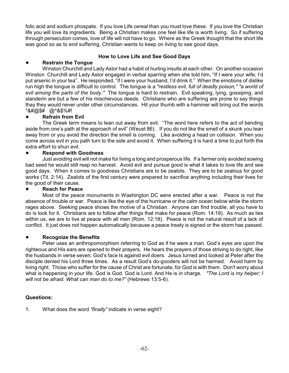folic acid and sodium phospate. If you love Life cereal than you must love these. If you love the Christian life you will love its ingredients. Being a Christian makes one feel like life is worth living. So if suffering through persecution comes, love of life will not have to go. Where as the Greek thought that the short life was good so as to end suffering, Christian wants to keep on living to see good days.

# ! **Restrain the Tongue**

# **How to Love Life and See Good Days**

Winston Churchill and Lady Astor had a habit of hurling insults at each other. On another occasion Winston Churchill and Lady Astor engaged in verbal sparring when she told him, "If I were your wife, I'd put arsenic in your tea". He responded, "if I were your husband, I'd drink it." When the emotions of dislike run high the tongue is difficult to control. The tongue is a *"restless evil, full of deadly poison," "a world of evil among the parts of the body."* The tongue is hard to restrain. Evil speaking, lying, gossiping, and slanderin are but a few of his mischievous deeds. Christians who are suffering are prone to say things thay they would never under other circumstances. Hit your thumb with a hammer will bring out the words \*&#@\$# @^&\$%#!

# ! **Refrain from Evil**

The Greek term means to lean out away from evil. "The word here refers to the act of bending aside from one's path at the approach of evil" (Weust 86). If you do not like the smell of a skunk you lean away from or you avoid the direction the smell is coming. Like avoiding a head on collision. When you come across evil in you path turn to the side and avoid it. When suffering it is hard a time to put forth the extra effort to shun evil.

# ! **Respond with Goodness**

Just avoiding evil will not make for living a long and prosperous life. If a farmer only avoided sowing bad seed he would still reap no harvest. Avoid evil and pursue good is what it takes to love life and see good days. When it comes to goodness Christians are to be zealots. They are to be zealous for good works (Tit. 2:14). Zealots of the first century were prepared to sacrifice anything including their lives for the good of their cause.

# ! **Reach for Peace**

Most of the peace monuments in Washington DC were erected after a war. Peace is not the absence of trouble or war. Peace is like the eye of the hurricane or the calm ocean below while the storm rages above. Seeking peace shows the motive of a Christian. Anyone can find trouble, all you have to do is look for it. Christians are to follow after things that make for peace (Rom. 14:19). As much as lies within us, we are to live at peace with all men (Rom. 12:18). Peace is not the natural result of a lack of conflict. It just does not happen automatically because a peace treaty is signed or the storm has passed.

# ! **Recognize the Benefits**

Peter uses an anthropomorphism referring to God as if he were a man. God's eyes are upon the righteous and His ears are opened to their prayers. He hears the prayers of those striving to do right, like the husbands in verse seven. God's face Is against evil doers. Jesus turned and looked at Peter after the disciple denied his Lord three times. As a result God's do-gooders will not be harmed. Avoid harm by living right. Those who suffer for the cause of Christ are fortunate, for God is with them. Don't worry about what is happening in your life. God is God. God is Lord. And He is in charge. *"The Lord is my helper; I will not be afraid. What can man do to me?"* (Hebrews 13:5-6).

# **Questions:**

1. What does the word *"finally"* indicate in verse eight?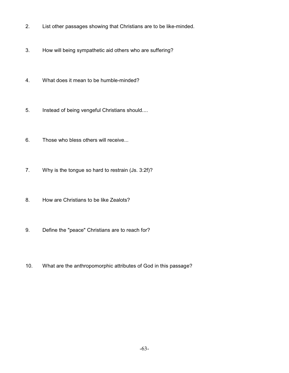- 2. List other passages showing that Christians are to be like-minded.
- 3. How will being sympathetic aid others who are suffering?
- 4. What does it mean to be humble-minded?
- 5. Instead of being vengeful Christians should....
- 6. Those who bless others will receive...
- 7. Why is the tongue so hard to restrain (Js. 3:2f)?
- 8. How are Christians to be like Zealots?
- 9. Define the "peace" Christians are to reach for?
- 10. What are the anthropomorphic attributes of God in this passage?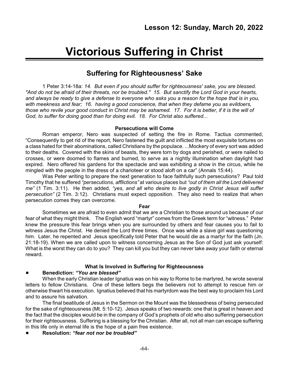# **Victorious Suffering in Christ**

# **Suffering for Righteousness' Sake**

1 Peter 3:14-18a: *14. But even if you should suffer for righteousness' sake, you are blessed. "And do not be afraid of their threats, nor be troubled.'' 15. But sanctify the Lord God in your hearts, and always be ready to give a defense to everyone who asks you a reason for the hope that is in you, with meekness and fear; 16. having a good conscience, that when they defame you as evildoers, those who revile your good conduct in Christ may be ashamed. 17. For it is better, if it is the will of God, to suffer for doing good than for doing evil. 18. For Christ also suffered...*

### **Persecutions will Come**

Roman emperor, Nero was suspected of setting the fire in Rome. Tactius commented, "Consequently to get rid of the report, Nero fastened the guilt and inflicted the most exquisite tortures on a class hated for their abominations, called Christians by the populace. ...Mockery of every sort was added to their deaths. Covered with the skins of beasts, they were torn by dogs and perished, or were nailed to crosses, or were doomed to flames and burned, to serve as a nightly illumination when daylight had expired. Nero offered his gardens for the spectacle and was exhibiting a show in the circus, while he mingled with the people in the dress of a charioteer or stood aloft on a car" (Annals 15:44).

Was Peter writing to prepare the next generation to face faithfully such persecutions? Paul told Timothy that he suffered *"persecutions, afflictions"* at various places but *"out of them all the Lord delivered me"* (1 Tim. 3:11). He then added, *"yes, and all who desire to live godly in Christ Jesus will suffer persecution"* (2 Tim. 3:12). Christians must expect opposition. They also need to realize that when persecution comes they can overcome.

#### **Fear**

Sometimes we are afraid to even admit that we are a Christian to those around us because of our fear of what they might think. The English word "martyr" comes from the Greek term for "witness." Peter knew the pressure this fear brings when you are surrounded by others and fear causes you to fail to witness Jesus the Christ. He denied the Lord three times. Once was while a slave girl was questioning him. Later, he repented and Jesus specifically told Peter that he would die as a martyr for the faith (Jn. 21:18-19). When we are called upon to witness concerning Jesus as the Son of God just ask yourself: What is the worst they can do to you? They can kill you but they can never take away your faith or eternal reward.

# **What Is Involved in Suffering for Righteousness**

# ! **Benediction:** *"You are blessed"*

When the early Christian leader Ignatius was on his way to Rome to be martyred, he wrote several letters to fellow Christians. One of these letters begs the believers not to attempt to rescue him or otherwise thwart his execution. Ignatius believed that his martyrdom was the best way to proclaim his Lord and to assure his salvation.

The final beatitude of Jesus in the Sermon on the Mount was the blessedness of being persecuted for the sake of righteousness (Mt. 5:10-12). Jesus speaks of two rewards: one that is great in heaven and the fact that the disciples would be in the company of God's prophets of old who also suffering persecution for their righteousness. Suffering is a blessing for the Christian. After all, not all man can escape suffering in this life only in eternal life is the hope of a pain free existence.

! **Resolution:** *"fear not nor be troubled"*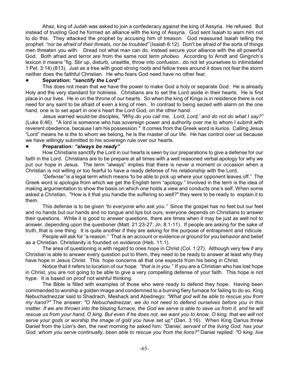Ahaz, king of Judah was asked to join a confederacy against the king of Assyria. He refused. But instead of trusting God he formed an alliance with the king of Assyria. God sent Isaiah to warn him not to do this. They attacked the prophet by accusing him of treason. God reassured Isaiah telling the prophet: *"nor be afraid of their threats, nor be troubled"* (Isaiah 8:12). Don't be afraid of the sorts of things men threaten you with. Dread not what man can do, instead secure your alliance with the all powerful God. Both afraid and terror are from the same root term *phobeo.* According to Arndt and Gingrich's lexicon it means "fig. Stir up, disturb, unsettle, throw into confusion...do not let yourselves to intimidated 1 Pet. 3:14) (813). Just as a tree with good strong roots and fellow trees around it does not fear the storm neither does the faithful Christian. He who fears God need have no other fear.

### ! **Separation:** *"sanctify the Lord"*

This does not mean that we have the power to make God a holy or separate God. He is already Holy and the very standard for holiness. Christians are to set the Lord aside in their hearts. He is first place in our lives. He in on the throne of our hearts. So when the king of Kings is in residence there is not need for any saint to be afraid of even a king of men. In contrast to being seized with alarm on the one hand, one is to set apart in one's heart the Lord God, on the other hand.

Jesus warned would-be disciples, *"Why do you call me, `Lord, Lord,' and do not do what I say?"* (Luke 6:46). "A lord is someone who has sovereign power and authority over me to whom I submit with reverent obedience, because I am his possession." It comes from the Greek word is *kurios*. Calling Jesus "Lord" means he is the to whom we belong, he is the master of our life. He has control over us because we have willingly submitted to his sovereign rule over our hearts.

### ! **Preparation:** *"always be ready"*

How Christians sanctify the Lord in our hearts is seen by our preparations to give a defense for our faith in the Lord. Christians are to be prepare at all times with a well reasoned verbal apology for why we put our hope in Jesus. The term "always" implies that there is never a moment or occasion when a Christian is not willing or too fearful to have a ready defense of his relationship with the Lord. .

*"Defense"* is a legal term which means 'to be able to pick up where your opponent leaves off." The Greek word is *apologia* from which we get the English term "apology." Involved in the term is the idea of making argumentation to show the basis on which one holds a view and conducts one's self. When some asked a Christian, "How is it that you handle the suffering so well?" they were to be ready to explain it to them.

This defense is to be given *"to everyone who ask you."* Since the gospel has no feet but our feet and no hands but our hands and no tongue and lips but ours, everyone depends on Christians to answer their questions. While it is good to answer questions, there are times when it may be just as well not to answer, depending upon the questioner (Matt. 21:23-27; Jn. 8:1-11). If people are asking for the sake of truth, that is one thing. It is quite another if they are asking for the purpose of entrapment and ridicule.

People will ask for "a reason." That is an account or evidence or ground for you behavior and belief as a Christian. Christianity is founded on evidence (Heb. 11:1).

The area of questioning is with regard to ones hope in Christ (Col. 1:27). Although very few if any Christian is able to answer every question put to them, they need to be ready to answer at least why they have hope in Jesus Christ. This hope concerns all that one expects from his being in Christ.

Notice that it refers to location of our hope: *"that is in you."* If you are a Christian who has lost hope in Christ, you are not going to be able to give a very compelling defense of your faith. This hope is not hype. It is based on proof not wishful thinking.

The Bible is filled with examples of those who were ready to defend they hope. Having been commanded to worship a golden image and condemned to a burning fiery furnace for failing to do so, King Nebuchadnezzar said to Shadrach, Meshack and Abednego: *"What god will be able to rescue you from my hand?"* The answer: *"O Nebuchadnezzar, we do not need to defend ourselves before you in this matter. If we are thrown into the blazing furnace, the God we serve is able to save us from it, and he will rescue us from your hand, O king. But even if he does not, we want you to know, O king, that we will not serve your gods or worship the image of gold you have set up"* (Dan. 3:16). When King Darius threw Daniel from the Lion's den, the next morning he asked him: *"Daniel, servant of the living God, has your God, whom you serve continually, been able to rescue you from the lions?"* Daniel replied: *"O king, live*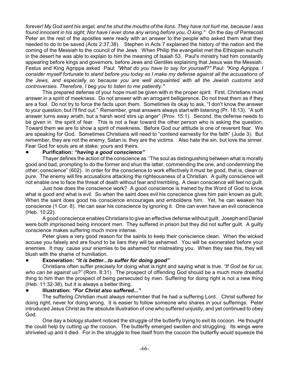*forever! My God sent his angel, and he shut the mouths of the lions. They have not hurt me, because I was found innocent in his sight. Nor have I ever done any wrong before you, O king."* On the day of Pentecost Peter an the rest of the apostles were ready with an answer to the people who asked them what they needed to do to be saved (Acts 2:37,38). Stephen in Acts 7 explained the history of the nation and the coming of the Messiah to the council of the Jews When Philip the evangelist met the Ethiopian eunuch in the desert he was able to explain to him the meaning of Isaiah 53. Paul's ministry had him constantly appearing before kings and governors, before Jews and Gentiles explaining that Jesus was the Messiah. Festus and King Agrippa asked Paul: *"What do you have to say for yourself?"* Paul: *"King Agrippa, I consider myself fortunate to stand before you today as I make my defense against all the accusations of the Jews, and especially so because you are well acquainted with all the Jewish customs and controversies. Therefore, I beg you to listen to me patiently."*

This prepared defense of your hope must be given with in the proper spirit. First, Christians must answer in a spirit of meekness. Do not answer with an arrogant belligerence. Do not treat them as if they are a fool. Do not try to force the facts upon them. Sometimes its okay to ask, "I don't know the answer to your question, but I'll find out." Remember, great answers always start with listening (Pr. 18:13). "A soft answer turns away wrath, but a harsh word stirs up anger" (Prov. 15:1). Second, the defense needs to be given in the spirit of fear. This is not a fear toward the other person who is asking the question. Toward them we are to show a spirit of meekness. Before God our attitude is one of reverent fear. We are speaking for God. Sometimes Christians will need to "contend earnestly for the faith" (Jude 3). But remember, they are not the enemy, Satan is; they are the victims. Also hate the sin, but love the sinner. Fear God for souls are at stake: yours and theirs.

### ! **Purification:** *"having a good conscience"*

Thayer defines the action of the conscience as "The soul as distinguishing between what is morally good and bad, prompting to do the former and shun the latter, commending the one, and condemning the other; conscience" (602). In order for the conscience to work effectively it must be good, that is, clean or pure. The enemy will fire accusations attacking the righteousness of a Christian. A guilty conscience will not enable one to face the threat of death without fear and trembling. A clean conscience will feel no guilt.

Just how does the conscience work? A good conscience is trained by the Word of God to know what is good and what is evil. So when the saint does evil his conscience gives him pain known as guilt. When the saint does good his conscience encourages and emboldens him. Yet, he can weaken his conscience (1 Cor. 8). He can sear his conscience by ignoring it. One can even have an evil conscience (Heb. 10:22).

A good conscience enables Christians to give an effective defense without guilt. Joseph and Daniel were both imprisoned being innocent men. They suffered in prison but they did not suffer guilt. A guilty conscience makes suffering much more intense.

Peter gives a very good reason for the saints to keep their conscience clean. When the wicked accuse you falsely and are found to be liars they will be ashamed. You will be exonerated before your enemies. It may cause your enemies to be ashamed for mistreating you. When they see this, they will blush with the shame of humiliation.

### ! **Exoneration:** *"it is better...to suffer for doing good"*

Christians often suffer precisely for doing what is right and saying what is true. *"If God be for us, who can be against us?"* (Rom. 8:31). The prospect of offending God should be a much more dreadful thing to him than the prospect of being persecuted by men. Suffering for doing right is not a new thing (Heb. 11:32-38), but it is always a better thing.

### ! **Illustration:** *"For Christ also suffered..."*

The suffering Christian must always remember that he had a suffering Lord. Christ suffered for doing right, never for doing wrong. It is easier to follow someone who shares in your sufferings. Peter introduced Jesus Christ as the absolute illustration of one who suffered unjustly, and yet continued to obey God.

One day a biology student noticed the struggle of the butterfly trying to exit its cocoon. He thought the could help by cutting up the cocoon. The butterfly emerged swollen and struggling. Its wings were shriveled up and it died. For in the struggle to free itself from the cocoon the butterfly would squeeze the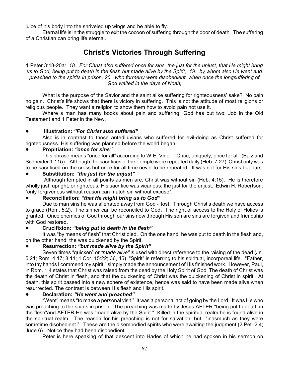juice of his body into the shriveled up wings and be able to fly.

Eternal life is in the struggle to exit the cocoon of suffering through the door of death. The suffering of a Christian can bring life eternal.

# **Christ's Victories Through Suffering**

1 Peter 3:18-20a: *18. For Christ also suffered once for sins, the just for the unjust, that He might bring us to God, being put to death in the flesh but made alive by the Spirit, 19. by whom also He went and preached to the spirits in prison, 20. who formerly were disobedient, when once the longsuffering of God waited in the days of Noah,*

What is the purpose of the Savior and the saint alike suffering for righteousness' sake? No pain no gain. Christ's life shows that there is victory in suffering. This is not the attitude of most religions or religious people. They want a religion to show them how to avoid pain not use it.

Where s man has many books about pain and suffering, God has but two: Job in the Old Testament and 1 Peter in the New.

### ! **Illustration:** *"For Christ also suffered"*

Also is in contrast to those antediluvians who suffered for evil-doing as Christ suffered for righteousness. His suffering was planned before the world began.

### ! **Propitiation:** *"once for sins"*

This phrase means "once for all" according to W.E. Vine. "Once, uniquely, once for all" (Balz and Schneider 1:115). Although the sacrifices of the Temple were repeated daily (Heb. 7:27) Christ only was to be sacrificed on the cross but once for all time never to be repeated. It was not for His sins but ours.

## ! **Substitution:** *"the just for the unjust"*

Although tempted in all points as men are, Christ was without sin (Heb. 4:15). He is therefore wholly just, upright, or righteous. His sacrifice was vicarious: the just for the unjust. Edwin H. Robertson: "only forgiveness without reason can match sin without excuse".

### ! **Reconciliation:** *"that He might bring us to God"*

Due to man sins he was alienated away from God - lost. Through Christ's death we have access to grace (Rom. 5:2). The sinner can be reconciled to God. The right of access to the Holy of Holies is granted. Once enemies of God through our sins now through His son are sins are forgiven and friendship with God restored.

# ! **Crucifixion:** *"being put to death in the flesh"*

It was "by means of flesh" that Christ died. On the one hand, he was put to death in the flesh and, on the other hand, the was quickened by the Spirit.

# ! **Resurrection:** *"but made alive by the Spirit"*

Seven times "quicken" or *"made alive"* is used with direct reference to the raising of the dead (Jn. 5:21; Rom. 4:17; 8:11; 1 Cor. 15:22; 36, 45) "Spirit" is referring to his spiritual, incorporeal life. "Father, into thy hands I commend my spirit," simply made the announcement of His finished work. However, Paul, in Rom. 1:4 states that Christ was raised from the dead by the Holy Spirit of God The death of Christ was the death of Christ in flesh, and that the quickening of Christ was the quickening of Christ in spirit. At death, this spirit passed into a new sphere of existence, hence was said to have been made alive when resurrected. The contrast is between His flesh and His spirit.

# ! **Declaration:** *"He went and preached"*

"Went" means "to make a personal visit." It was a personal act of going by the Lord. It was He who was preaching to the spirits in prison. The preaching was made by Jesus AFTER "being put to death in the flesh"and AFTER He was "made alive by the Spirit." Killed in the spiritual realm he is found alive in the spiritual realm. The reason for his preaching is not for salvation, but "inasmuch as they were sometime disobedient." These are the disembodied spirits who were awaiting the judgment (2 Pet. 2:4; Jude 6). Notice they had been disobedient.

Peter is here speaking of that descent into Hades of which he had spoken in his sermon on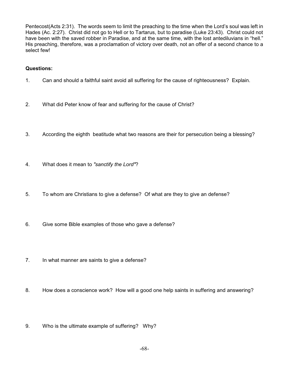Pentecost(Acts 2:31). The words seem to limit the preaching to the time when the Lord's soul was left in Hades (Ac. 2:27). Christ did not go to Hell or to Tartarus, but to paradise (Luke 23:43). Christ could not have been with the saved robber in Paradise, and at the same time, with the lost antediluvians in "hell." His preaching, therefore, was a proclamation of victory over death, not an offer of a second chance to a select few!

- 1. Can and should a faithful saint avoid all suffering for the cause of righteousness? Explain.
- 2. What did Peter know of fear and suffering for the cause of Christ?
- 3. According the eighth beatitude what two reasons are their for persecution being a blessing?
- 4. What does it mean to *"sanctify the Lord"*?
- 5. To whom are Christians to give a defense? Of what are they to give an defense?
- 6. Give some Bible examples of those who gave a defense?
- 7. In what manner are saints to give a defense?
- 8. How does a conscience work? How will a good one help saints in suffering and answering?
- 9. Who is the ultimate example of suffering? Why?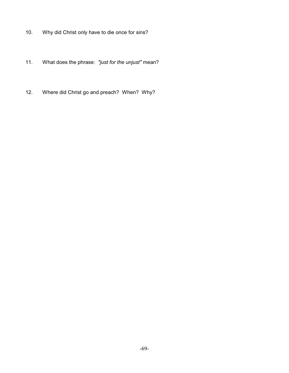- 10. Why did Christ only have to die once for sins?
- 11. What does the phrase: *"just for the unjust"* mean?
- 12. Where did Christ go and preach? When? Why?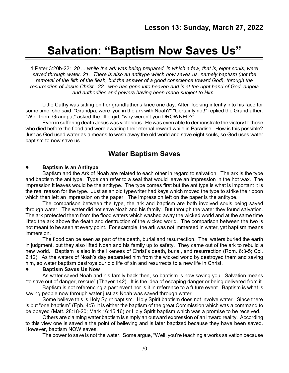# **Salvation: "Baptism Now Saves Us"**

1 Peter 3:20b-22: *20 ... while the ark was being prepared, in which a few, that is, eight souls, were saved through water. 21. There is also an antitype which now saves us, namely baptism (not the removal of the filth of the flesh, but the answer of a good conscience toward God), through the resurrection of Jesus Christ, 22. who has gone into heaven and is at the right hand of God, angels and authorities and powers having been made subject to Him.*

Little Cathy was sitting on her grandfather's knee one day. After looking intently into his face for some time, she said, "Grandpa, were you in the ark with Noah?" "Certainly not!" replied the Grandfather. "Well then, Grandpa," asked the little girl, "why weren't you DROWNED?"

Even in suffering death Jesus was victorious. He was even able to demonstrate the victory to those who died before the flood and were awaiting their eternal reward while in Paradise. How is this possible? Just as God used water as a means to wash away the old world and save eight souls, so God uses water baptism to now save us.

# **Water Baptism Saves**

### ! **Baptism Is an Antitype**

Baptism and the Ark of Noah are related to each other in regard to salvation. The ark is the type and baptism the antitype. Type can refer to a seal that would leave an impression in the hot wax. The impression it leaves would be the antitype. The type comes first but the antitype is what is important it is the real reason for the type. Just as an old typewriter had keys which moved the type to strike the ribbon which then left an impression on the paper. The impression left on the paper is the antitype.

The comparison between the type, the ark and baptism are both involved souls being saved through water. The water did not save Noah and his family. But through the water they found salvation. The ark protected them from the flood waters which washed away the wicked world and at the same time lifted the ark above the death and destruction of the wicked world. The comparison between the two is not meant to be seen at every point. For example, the ark was not immersed in water, yet baptism means immersion.

The flood can be seen as part of the death, burial and resurrection. The waters buried the earth in judgment, but they also lifted Noah and his family up to safety. They came out of the ark to rebuild a new world. Baptism is also in the likeness of Christ's death, burial, and resurrection (Rom. 6:3-5; Col. 2:12). As the waters of Noah's day separated him from the wicked world by destroyed them and saving him, so water baptism destroys our old life of sin and resurrects to a new life in Christ.

### ! **Baptism Saves Us Now**

As water saved Noah and his family back then, so baptism is now saving you. Salvation means "to save out of danger, rescue" (Thayer 142). It is the idea of escaping danger or being delivered from it.

Baptism is not referencing a past event nor is it in reference to a future event. Baptism is what is saving people now through water just as Noah was saved through water.

Some believe this is Holy Spirit baptism. Holy Spirit baptism does not involve water. Since there is but "one baptism" (Eph. 4:5) it is either the baptism of the great Commission which was a command to be obeyed (Matt. 28:18-20; Mark 16:15,16) or Holy Spirit baptism which was a promise to be received.

Others are claiming water baptism is simply an outward expression of an inward reality. According to this view one is saved a the point of believing and is later baptized because they have been saved. However, baptism NOW saves.

The power to save is not the water. Some argue, "Well, you're teaching a works salvation because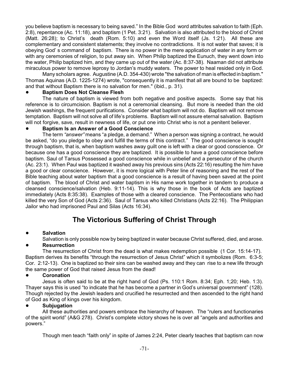you believe baptism is necessary to being saved." In the Bible God word attributes salvation to faith (Eph. 2:8), repentance (Ac. 11:18), and baptism (1 Pet. 3:21). Salvation is also attributed to the blood of Christ (Matt. 26:28); to Christ's death (Rom. 5:10) and even the Word itself (Js. 1:21). All these are complementary and consistent statements; they involve no contradictions. It is not water that saves; it is obeying God' s command of baptism. There is no power in the mere application of water in any form or with any ceremonies of religion, to put away sin. When Philip baptized the Eunuch, they went down into the water, Philip baptized him, and they came up out of the water (Ac. 8:37-38). Naaman did not attribute miraculous power to remove leprosy to Jordan's muddy waters. The power to heal resided only in God.

Many scholars agree. Augustine (A.D. 354-430) wrote "the salvation of man is effected in baptism." Thomas Aquinas (A.D. 1225-1274) wrote, "consequently it is manifest that all are bound to be baptized: and that without Baptism there is no salvation for men." (ibid., p. 31).

### ! **Baptism Does Not Cleanse Flesh**

The nature of baptism is viewed from both negative and positive aspects. Some say that his reference is to circumcision. Baptism is not a ceremonial cleansing. But more is needed than the old Jewish washings, the frequent purifications. Consider what baptism will not do. Baptism will not remove temptation. Baptism will not solve all of life's problems. Baptism will not assure eternal salvation. Baptism will not forgive, save, result in newness of life, or put one into Christ who is not a penitent believer.

### ! **Baptism Is an Answer of a Good Conscience**

The term *"answer"* means "a pledge, a demand." When a person was signing a contract, he would be asked, "do you pledge to obey and fulfill the terms of this contract." The good conscience is sought through baptism, that is, when baptism washes away guilt one is left with a clear or good conscience. Or because one has a good conscience they are baptized. It is possible to have a good conscience before baptism. Saul of Tarsus Possessed a good conscience while in unbelief and a persecutor of the church (Ac. 23:1). When Paul was baptized it washed away his previous sins (Acts 22:16) resulting the him have a good or clear conscience. However, it is more logical with Peter line of reasoning and the rest of the Bible teaching about water baptism that a good conscience is a result of having been saved at the point of baptism. The blood of Christ and water baptism in His name work together in tandem to produce a cleansed conscience/salvation (Heb. 9:11-14). This is why those in the book of Acts are baptized immediately (Acts 8:35:38). Examples of those with a cleared conscience. The Pentecostians who had killed the very Son of God (Acts 2:36). Saul of Tarsus who killed Christians (Acts 22:16). The Philippian Jailor who had imprisoned Paul and Silas (Acts 16:34).

# **The Victorious Suffering of Christ Through**

# ! **Salvation**

Salvation is only possible now by being baptized in water because Christ suffered, died, and arose.

### ! **Resurrection**

The resurrection of Christ from the dead is what makes redemption possible (1 Cor. 15:14-17). Baptism derives its benefits "through the resurrection of Jesus Christ" which it symbolizes (Rom. 6:3-5; Cor. 2:12-13). One is baptized so their sins can be washed away and they can rise to a new life through the same power of God that raised Jesus from the dead!

### ! **Coronation**

Jesus is often said to be at the right hand of God (Ps. 110:1 Rom. 8:34; Eph. 1;20; Heb. 1:3). Thayer says this is used "to indicate that he has become a partner in God's universal government" (128). Though rejected by the Jewish leaders and crucified he resurrected and then ascended to the right hand of God as King of kings over his kingdom.

### ! **Subjugation**

All these authorities and powers embrace the hierarchy of heaven. The "rulers and functionaries of the spirit world" (A&G 278). Christ's complete victory shows he is over all "angels and authorities and powers."

Though men teach "faith only" in spite of James 2:24, Peter clearly teaches that baptism can now